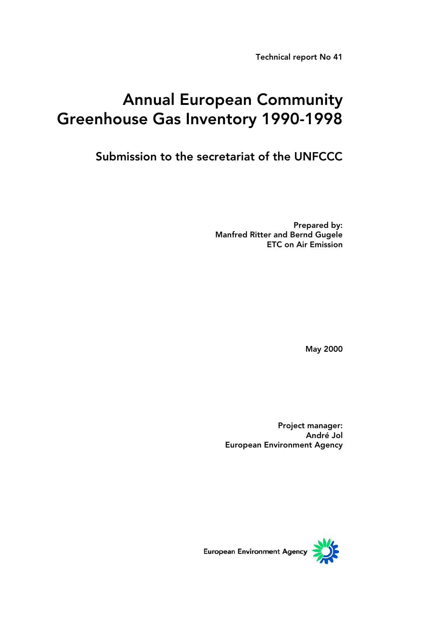Technical report No 41

# Annual European Community Greenhouse Gas Inventory 1990-1998

Submission to the secretariat of the UNFCCC

Prepared by: Manfred Ritter and Bernd Gugele ETC on Air Emission

May 2000

Project manager: André Jol European Environment Agency



European Environment Agency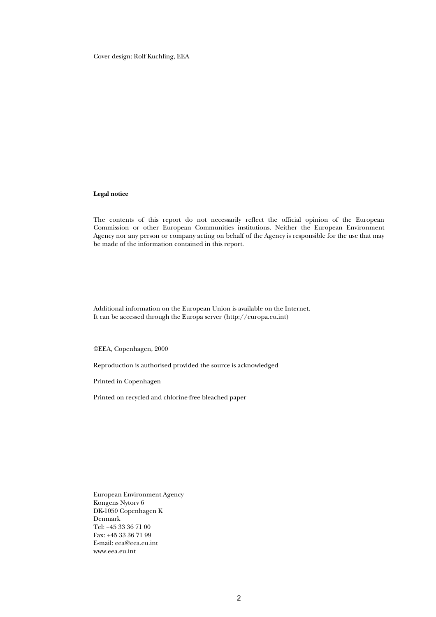Cover design: Rolf Kuchling, EEA

#### **Legal notice**

The contents of this report do not necessarily reflect the official opinion of the European Commission or other European Communities institutions. Neither the European Environment Agency nor any person or company acting on behalf of the Agency is responsible for the use that may be made of the information contained in this report.

Additional information on the European Union is available on the Internet. It can be accessed through the Europa server (http://europa.eu.int)

©EEA, Copenhagen, 2000

Reproduction is authorised provided the source is acknowledged

Printed in Copenhagen

Printed on recycled and chlorine-free bleached paper

European Environment Agency Kongens Nytorv 6 DK-1050 Copenhagen K Denmark Tel: +45 33 36 71 00 Fax: +45 33 36 71 99 E-mail: eea@eea.eu.int www.eea.eu.int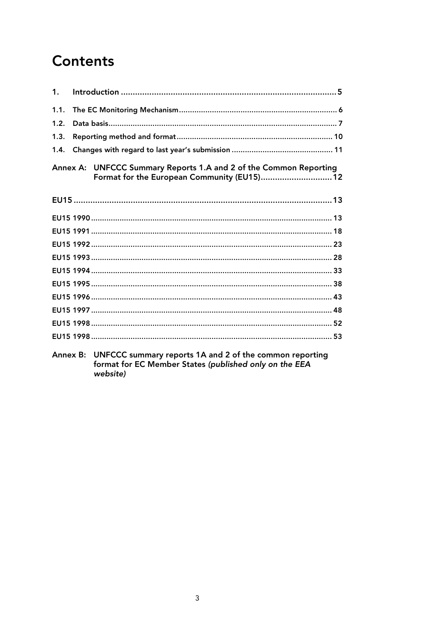# **Contents**

| $\mathbf{1}$ . |                                                                                                                  |
|----------------|------------------------------------------------------------------------------------------------------------------|
| 1.1.           |                                                                                                                  |
| 1.2.           |                                                                                                                  |
| 1.3.           |                                                                                                                  |
| 1.4.           |                                                                                                                  |
|                | Annex A: UNFCCC Summary Reports 1.A and 2 of the Common Reporting<br>Format for the European Community (EU15) 12 |
|                |                                                                                                                  |
|                |                                                                                                                  |
|                |                                                                                                                  |
|                |                                                                                                                  |
|                |                                                                                                                  |
|                |                                                                                                                  |
|                |                                                                                                                  |
|                |                                                                                                                  |
|                |                                                                                                                  |
|                |                                                                                                                  |
|                |                                                                                                                  |
|                | $\Lambda$ nnov B. IINECCC cummany reports 1 $\Lambda$ and 2 of the common reporting                              |

Annex B: UNFCCC summary reports 1A and 2 of the common reporting<br>format for EC Member States (published only on the EEA website)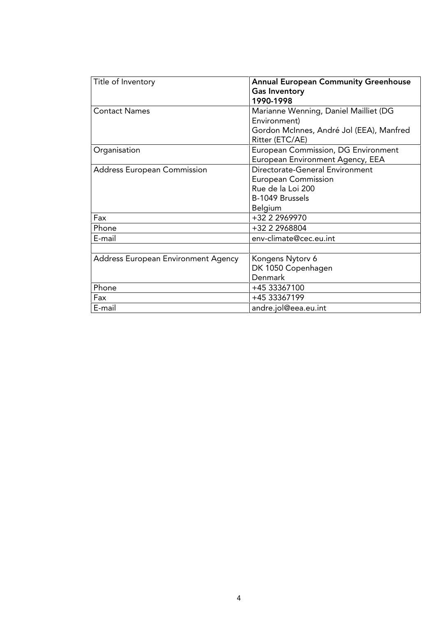| Title of Inventory                  | <b>Annual European Community Greenhouse</b> |
|-------------------------------------|---------------------------------------------|
|                                     | <b>Gas Inventory</b>                        |
|                                     | 1990-1998                                   |
| <b>Contact Names</b>                | Marianne Wenning, Daniel Mailliet (DG       |
|                                     | Environment)                                |
|                                     | Gordon McInnes, André Jol (EEA), Manfred    |
|                                     | Ritter (ETC/AE)                             |
| Organisation                        | European Commission, DG Environment         |
|                                     | European Environment Agency, EEA            |
| <b>Address European Commission</b>  | Directorate-General Environment             |
|                                     | <b>European Commission</b>                  |
|                                     | Rue de la Loi 200                           |
|                                     | B-1049 Brussels                             |
|                                     | Belgium                                     |
| Fax                                 | +32 2 2969970                               |
| Phone                               | +32 2 2968804                               |
| E-mail                              | env-climate@cec.eu.int                      |
|                                     |                                             |
| Address European Environment Agency | Kongens Nytorv 6                            |
|                                     | DK 1050 Copenhagen                          |
|                                     | Denmark                                     |
| Phone                               | +45 33367100                                |
| Fax                                 | +45 33367199                                |
| E-mail                              | andre.jol@eea.eu.int                        |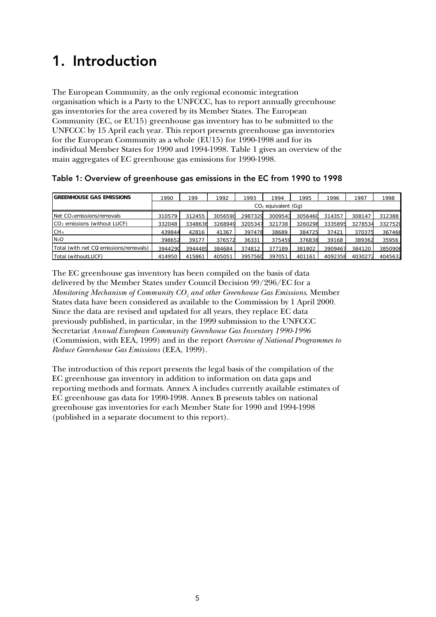# 1. Introduction

The European Community, as the only regional economic integration organisation which is a Party to the UNFCCC, has to report annually greenhouse gas inventories for the area covered by its Member States. The European Community (EC, or EU15) greenhouse gas inventory has to be submitted to the UNFCCC by 15 April each year. This report presents greenhouse gas inventories for the European Community as a whole (EU15) for 1990-1998 and for its individual Member States for 1990 and 1994-1998. Table 1 gives an overview of the main aggregates of EC greenhouse gas emissions for 1990-1998.

Table 1: Overview of greenhouse gas emissions in the EC from 1990 to 1998

| <b>I</b> GREENHOUSE GAS EMISSIONS      | 1990    | 199                   | 1992    | 1993    | 1994    | 1995    | 1996    | 1997    | 1998    |  |  |  |  |
|----------------------------------------|---------|-----------------------|---------|---------|---------|---------|---------|---------|---------|--|--|--|--|
|                                        |         | $CO2$ equivalent (Gq) |         |         |         |         |         |         |         |  |  |  |  |
| Net CO <sub>2</sub> emissions/removals | 310579  | 312455                | 3056590 | 2987329 | 3009543 | 3056460 | 314357  | 308147  | 312388  |  |  |  |  |
| $CO2$ emissions (without LUCF)         | 332048  | 3348636               | 3268949 | 3205347 | 321738  | 3260298 | 3335895 | 3278534 | 3327520 |  |  |  |  |
| CH <sub>4</sub>                        | 439844  | 42816                 | 41367   | 397478  | 38689   | 384725  | 37421   | 370375  | 367466  |  |  |  |  |
| N <sub>2</sub> O                       | 398652  | 39177                 | 376572  | 36331   | 375459  | 376838  | 39168   | 389362  | 35956   |  |  |  |  |
| Total (with net CQ emissions/removals) | 3944290 | 3944489               | 384684  | 374812  | 377189  | 381802  | 3909467 | 384120  | 3850906 |  |  |  |  |
| Total (withoutLUCF)                    | 414950  | 415861                | 405051  | 3957560 | 397051  | 401161  | 4092358 | 4030272 | 4045632 |  |  |  |  |

The EC greenhouse gas inventory has been compiled on the basis of data delivered by the Member States under Council Decision 99/296/EC for a *Monitoring Mechanism of Community CO2 and other Greenhouse Gas Emissions*. Member States data have been considered as available to the Commission by 1 April 2000. Since the data are revised and updated for all years, they replace EC data previously published, in particular, in the 1999 submission to the UNFCCC Secretariat *Annual European Community Greenhouse Gas Inventory 1990-1996* (Commission, with EEA, 1999) and in the report *Overview of National Programmes to Reduce Greenhouse Gas Emissions* (EEA, 1999).

The introduction of this report presents the legal basis of the compilation of the EC greenhouse gas inventory in addition to information on data gaps and reporting methods and formats. Annex A includes currently available estimates of EC greenhouse gas data for 1990-1998. Annex B presents tables on national greenhouse gas inventories for each Member State for 1990 and 1994-1998 (published in a separate document to this report).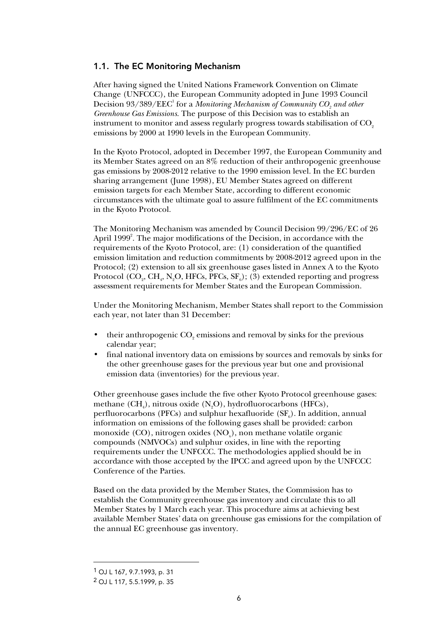#### 1.1. The EC Monitoring Mechanism

After having signed the United Nations Framework Convention on Climate Change (UNFCCC), the European Community adopted in June 1993 Council Decision  $93/389/\mathrm{EEC}^1$  for a *Monitoring Mechanism of Community CO<sub>2</sub> and other Greenhouse Gas Emissions*. The purpose of this Decision was to establish an instrument to monitor and assess regularly progress towards stabilisation of  $CO<sub>2</sub>$ emissions by 2000 at 1990 levels in the European Community.

In the Kyoto Protocol, adopted in December 1997, the European Community and its Member States agreed on an 8% reduction of their anthropogenic greenhouse gas emissions by 2008-2012 relative to the 1990 emission level. In the EC burden sharing arrangement (June 1998), EU Member States agreed on different emission targets for each Member State, according to different economic circumstances with the ultimate goal to assure fulfilment of the EC commitments in the Kyoto Protocol.

The Monitoring Mechanism was amended by Council Decision 99/296/EC of 26 April 1999 $^2$ . The major modifications of the Decision, in accordance with the requirements of the Kyoto Protocol, are: (1) consideration of the quantified emission limitation and reduction commitments by 2008-2012 agreed upon in the Protocol; (2) extension to all six greenhouse gases listed in Annex A to the Kyoto Protocol (CO<sub>2</sub>, CH<sub>4</sub>, N<sub>2</sub>O, HFCs, PFCs, SF<sub>6</sub>); (3) extended reporting and progress assessment requirements for Member States and the European Commission.

Under the Monitoring Mechanism, Member States shall report to the Commission each year, not later than 31 December:

- their anthropogenic  $\mathrm{CO}_2$  emissions and removal by sinks for the previous calendar year;
- final national inventory data on emissions by sources and removals by sinks for the other greenhouse gases for the previous year but one and provisional emission data (inventories) for the previous year.

Other greenhouse gases include the five other Kyoto Protocol greenhouse gases: methane  $(CH_4)$ , nitrous oxide  $(N_2O)$ , hydrofluorocarbons (HFCs), perfluorocarbons (PFCs) and sulphur hexafluoride ( $SF_{6}$ ). In addition, annual information on emissions of the following gases shall be provided: carbon monoxide (CO), nitrogen oxides (NO<sub>x</sub>), non methane volatile organic compounds (NMVOCs) and sulphur oxides, in line with the reporting requirements under the UNFCCC. The methodologies applied should be in accordance with those accepted by the IPCC and agreed upon by the UNFCCC Conference of the Parties.

Based on the data provided by the Member States, the Commission has to establish the Community greenhouse gas inventory and circulate this to all Member States by 1 March each year. This procedure aims at achieving best available Member States' data on greenhouse gas emissions for the compilation of the annual EC greenhouse gas inventory.

-

<sup>1</sup> OJ L 167, 9.7.1993, p. 31

<sup>2</sup> OJ L 117, 5.5.1999, p. 35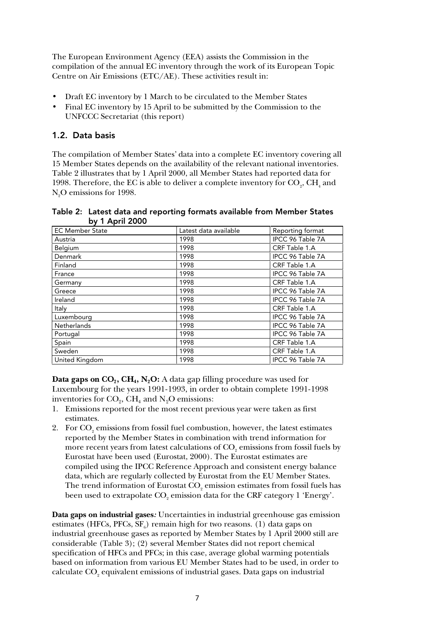The European Environment Agency (EEA) assists the Commission in the compilation of the annual EC inventory through the work of its European Topic Centre on Air Emissions (ETC/AE). These activities result in:

- Draft EC inventory by 1 March to be circulated to the Member States
- Final EC inventory by 15 April to be submitted by the Commission to the UNFCCC Secretariat (this report)

#### 1.2. Data basis

The compilation of Member States' data into a complete EC inventory covering all 15 Member States depends on the availability of the relevant national inventories. Table 2 illustrates that by 1 April 2000, all Member States had reported data for 1998. Therefore, the EC is able to deliver a complete inventory for  $\mathrm{CO}_2\mathrm{,CH}_4$  and  $\rm N_{2}O$  emissions for 1998.

Table 2: Latest data and reporting formats available from Member States by 1 April 2000

| .                      |                       |                  |
|------------------------|-----------------------|------------------|
| <b>EC Member State</b> | Latest data available | Reporting format |
| Austria                | 1998                  | IPCC 96 Table 7A |
| Belgium                | 1998                  | CRF Table 1.A    |
| Denmark                | 1998                  | IPCC 96 Table 7A |
| Finland                | 1998                  | CRF Table 1.A    |
| France                 | 1998                  | IPCC 96 Table 7A |
| Germany                | 1998                  | CRF Table 1.A    |
| Greece                 | 1998                  | IPCC 96 Table 7A |
| Ireland                | 1998                  | IPCC 96 Table 7A |
| Italy                  | 1998                  | CRF Table 1.A    |
| Luxembourg             | 1998                  | IPCC 96 Table 7A |
| Netherlands            | 1998                  | IPCC 96 Table 7A |
| Portugal               | 1998                  | IPCC 96 Table 7A |
| Spain                  | 1998                  | CRF Table 1.A    |
| Sweden                 | 1998                  | CRF Table 1.A    |
| United Kingdom         | 1998                  | IPCC 96 Table 7A |

**Data gaps on CO<sub>2</sub>, CH<sub>4</sub>, N<sub>2</sub>O:** A data gap filling procedure was used for Luxembourg for the years 1991-1993, in order to obtain complete 1991-1998 inventories for  $CO_2$ , CH<sub>4</sub> and N<sub>2</sub>O emissions:

- 1. Emissions reported for the most recent previous year were taken as first estimates.
- 2. For  $CO<sub>2</sub>$  emissions from fossil fuel combustion, however, the latest estimates reported by the Member States in combination with trend information for more recent years from latest calculations of  $\mathrm{CO}_\mathrm{2}$  emissions from fossil fuels by Eurostat have been used (Eurostat, 2000). The Eurostat estimates are compiled using the IPCC Reference Approach and consistent energy balance data, which are regularly collected by Eurostat from the EU Member States. The trend information of Eurostat  $\mathrm{CO}_2$  emission estimates from fossil fuels has been used to extrapolate  $\mathrm{CO}_2$  emission data for the CRF category  $1$  'Energy'.

**Data gaps on industrial gases***:* Uncertainties in industrial greenhouse gas emission estimates (HFCs, PFCs,  $SF_6$ ) remain high for two reasons. (1) data gaps on industrial greenhouse gases as reported by Member States by 1 April 2000 still are considerable (Table 3); (2) several Member States did not report chemical specification of HFCs and PFCs; in this case, average global warming potentials based on information from various EU Member States had to be used, in order to calculate  $\mathrm{CO}_\mathrm{_2}$  equivalent emissions of industrial gases. Data gaps on industrial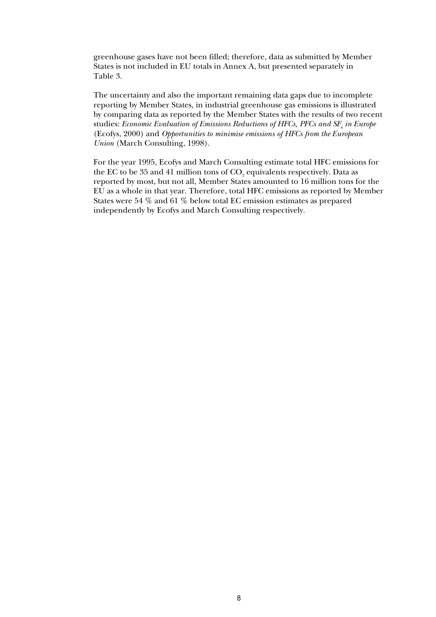greenhouse gases have not been filled; therefore, data as submitted by Member States is not included in EU totals in Annex A, but presented separately in Table 3.

The uncertainty and also the important remaining data gaps due to incomplete reporting by Member States, in industrial greenhouse gas emissions is illustrated by comparing data as reported by the Member States with the results of two recent studies: *Economic Evaluation of Emissions Reductions of HFCs, PFCs and SF<sub>6</sub> in Europe* (Ecofys, 2000) and *Opportunities to minimise emissions of HFCs from the European Union* (March Consulting, 1998).

For the year 1995, Ecofys and March Consulting estimate total HFC emissions for the EC to be 35 and 41 million tons of  $\mathrm{CO}_2$  equivalents respectively. Data as reported by most, but not all, Member States amounted to 16 million tons for the EU as a whole in that year. Therefore, total HFC emissions as reported by Member States were 54 % and 61 % below total EC emission estimates as prepared independently by Ecofys and March Consulting respectively.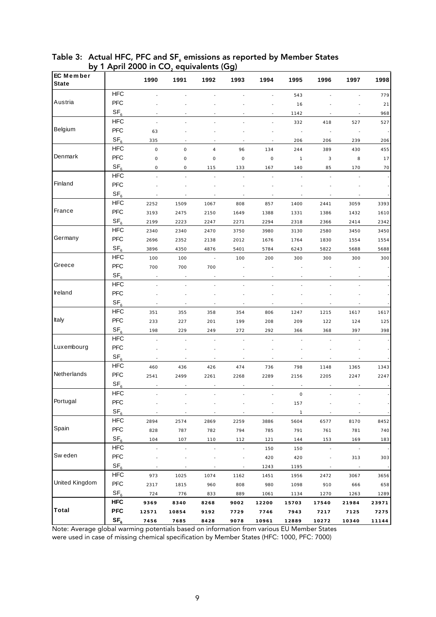| EC Member      |                               | 1990                | 1991        | 1992                     | 1993                     | 1994                | 1995                | 1996                     | 1997   | 1998  |
|----------------|-------------------------------|---------------------|-------------|--------------------------|--------------------------|---------------------|---------------------|--------------------------|--------|-------|
| <b>State</b>   |                               |                     |             |                          |                          |                     |                     |                          |        |       |
|                | <b>HFC</b>                    |                     |             |                          |                          |                     | 543                 |                          |        | 779   |
| Austria        | PFC                           |                     |             |                          |                          |                     | 16                  |                          |        | 21    |
|                | SF <sub>6</sub>               |                     |             |                          |                          |                     | 1142                |                          |        | 968   |
|                | <b>HFC</b>                    | ÷,                  |             |                          |                          |                     | 332                 | 418                      | 527    | 527   |
| Belgium        | <b>PFC</b>                    | 63                  |             |                          |                          |                     |                     |                          |        |       |
|                | SF <sub>6</sub>               | 335                 |             |                          |                          |                     | 206                 | 206                      | 239    | 206   |
|                | <b>HFC</b>                    | $\mathsf{O}\xspace$ | $\mathsf 0$ | $\overline{4}$           | 96                       | 134                 | 244                 | 389                      | 430    | 455   |
| Denmark        | <b>PFC</b>                    | $\mathbf 0$         | $\mathsf 0$ | $\mathbf 0$              | $\mathbb O$              | $\mathsf{O}\xspace$ | $\mathbf{1}$        | 3                        | 8      | 17    |
|                | SF <sub>6</sub>               | 0                   | 0           | 115                      | 133                      | 167                 | 140                 | 85                       | 170    | 70    |
|                | <b>HFC</b>                    |                     |             |                          |                          |                     |                     |                          |        |       |
| Finland        | <b>PFC</b>                    |                     |             |                          |                          |                     |                     |                          |        |       |
|                | SF <sub>6</sub>               |                     |             |                          |                          |                     |                     |                          |        |       |
|                | <b>HFC</b>                    | 2252                | 1509        | 1067                     | 808                      | 857                 | 1400                | 2441                     | 3059   | 3393  |
| France         | PFC                           | 3193                | 2475        | 2150                     | 1649                     | 1388                | 1331                | 1386                     | 1432   | 1610  |
|                | SF <sub>6</sub>               | 2199                | 2223        | 2247                     | 2271                     | 2294                | 2318                | 2366                     | 2414   | 2342  |
|                | <b>HFC</b>                    | 2340                | 2340        | 2470                     | 3750                     | 3980                | 3130                | 2580                     | 3450   | 3450  |
| Germany        | <b>PFC</b>                    | 2696                | 2352        | 2138                     | 2012                     | 1676                | 1764                | 1830                     | 1554   | 1554  |
|                | SF <sub>6</sub>               | 3896                | 4350        | 4876                     | 5401                     | 5784                | 6243                | 5822                     | 5688   | 5688  |
|                | <b>HFC</b>                    | 100                 | 100         | J,                       | 100                      | 200                 | 300                 | 300                      | 300    | 300   |
| Greece         | <b>PFC</b>                    | 700                 | 700         | 700                      |                          |                     |                     |                          |        |       |
|                | SF <sub>6</sub>               |                     |             |                          |                          |                     |                     |                          |        |       |
|                | <b>HFC</b>                    | J.                  |             |                          |                          |                     |                     |                          |        |       |
| Ireland        | PFC                           |                     |             |                          |                          |                     |                     |                          |        |       |
|                | SF <sub>6</sub>               |                     |             |                          |                          |                     |                     |                          |        |       |
|                | <b>HFC</b>                    |                     |             |                          |                          |                     |                     |                          |        |       |
| Italy          | PFC                           | 351                 | 355         | 358                      | 354                      | 806                 | 1247                | 1215                     | 1617   | 1617  |
|                | SF <sub>6</sub>               | 233                 | 227         | 201                      | 199                      | 208                 | 209                 | 122                      | 124    | 125   |
|                | <b>HFC</b>                    | 198                 | 229         | 249                      | 272                      | 292                 | 366                 | 368                      | 397    | 398   |
| Luxembourg     | <b>PFC</b>                    |                     |             |                          |                          |                     |                     |                          |        |       |
|                |                               |                     |             |                          |                          |                     |                     |                          |        |       |
|                | SF <sub>6</sub><br><b>HFC</b> | ÷.                  | ٠           |                          |                          |                     |                     |                          |        |       |
| Netherlands    | <b>PFC</b>                    | 460                 | 436         | 426                      | 474                      | 736                 | 798                 | 1148                     | 1365   | 1343  |
|                |                               | 2541                | 2499        | 2261                     | 2268                     | 2289                | 2156                | 2205                     | 2247   | 2247  |
|                | SF <sub>6</sub>               |                     |             |                          |                          |                     |                     |                          |        |       |
| Portugal       | <b>HFC</b>                    |                     |             |                          |                          |                     | $\mathsf{O}\xspace$ |                          |        |       |
|                | <b>PFC</b>                    |                     |             |                          |                          |                     | 157                 |                          |        |       |
|                | SF <sub>6</sub>               |                     |             |                          |                          |                     | $\overline{1}$      |                          |        |       |
| Spain          | <b>HFC</b>                    | 2894                | 2574        | 2869                     | 2259                     | 3886                | 5604                | 6577                     | 8170   | 8452  |
|                | PFC                           | 828                 | 787         | 782                      | 794                      | 785                 | 791                 | 761                      | 781    | 740   |
|                | SF <sub>6</sub>               | 104                 | 107         | 110                      | 112                      | 121                 | 144                 | 153                      | 169    | 183   |
|                | <b>HFC</b>                    | J.                  | ÷,          | $\overline{\phantom{a}}$ |                          | 150                 | 150                 | $\overline{\phantom{a}}$ | $\sim$ |       |
| Sw eden        | PFC                           |                     |             |                          |                          | 420                 | 420                 | $\overline{\phantom{a}}$ | 313    | 303   |
|                | SF <sub>6</sub>               |                     |             |                          | $\overline{\phantom{a}}$ | 1243                | 1195                |                          |        |       |
| United Kingdom | <b>HFC</b>                    | 973                 | 1025        | 1074                     | 1162                     | 1451                | 1956                | 2472                     | 3067   | 3656  |
|                | PFC                           | 2317                | 1815        | 960                      | 808                      | 980                 | 1098                | 910                      | 666    | 658   |
|                | SF <sub>6</sub>               | 724                 | 776         | 833                      | 889                      | 1061                | 1134                | 1270                     | 1263   | 1289  |
|                | <b>HFC</b>                    | 9369                | 8340        | 8268                     | 9002                     | 12200               | 15703               | 17540                    | 21984  | 23971 |
| Total          | <b>PFC</b>                    | 12571               | 10854       | 9192                     | 7729                     | 7746                | 7943                | 7217                     | 7125   | 7275  |
|                | SF <sub>6</sub>               | 7456                | 7685        | 8428                     | 9078                     | 10961               | 12889               | 10272                    | 10340  | 11144 |

Table 3:  $\,$  Actual HFC, PFC and SF $_{\textrm{\tiny{\it c}}}$  emissions as reported by Member States by 1 April 2000 in  $CO<sub>2</sub>$  equivalents (Gg)

Note: Average global warming potentials based on information from various EU Member States were used in case of missing chemical specification by Member States (HFC: 1000, PFC: 7000)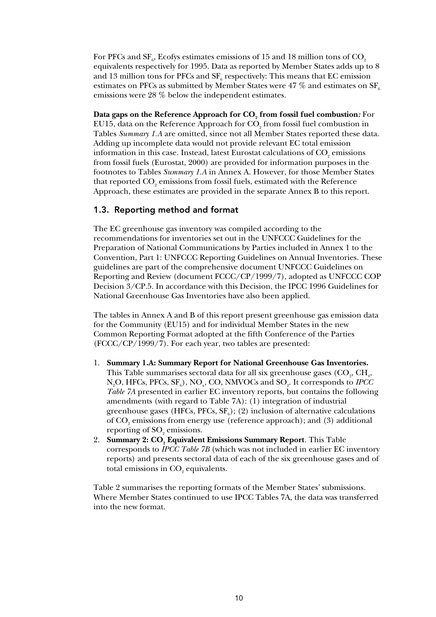For PFCs and  $\text{SF}_{\scriptscriptstyle{6}}$ , Ecofys estimates emissions of  $15$  and  $18$  million tons of  $\text{CO}_{\scriptscriptstyle{2}}$ equivalents respectively for 1995. Data as reported by Member States adds up to 8 and  $13$  million tons for PFCs and  $\rm{SF}_{6}$  respectively: This means that EC emission estimates on PFCs as submitted by Member States were 47  $\%$  and estimates on SF<sub>6</sub> emissions were 28 % below the independent estimates.

**Data gaps on the Reference Approach for CO<sub>2</sub> from fossil fuel combustion:** For EU15, data on the Reference Approach for  $\mathrm{CO}_2$  from fossil fuel combustion in Tables *Summary 1.A* are omitted, since not all Member States reported these data. Adding up incomplete data would not provide relevant EC total emission information in this case. Instead, latest Eurostat calculations of  $\mathrm{CO}_2$  emissions from fossil fuels (Eurostat, 2000) are provided for information purposes in the footnotes to Tables *Summary 1.A* in Annex A. However, for those Member States that reported  $\mathrm{CO}_\mathrm{2}$  emissions from fossil fuels, estimated with the Reference Approach, these estimates are provided in the separate Annex B to this report.

#### 1.3. Reporting method and format

The EC greenhouse gas inventory was compiled according to the recommendations for inventories set out in the UNFCCC Guidelines for the Preparation of National Communications by Parties included in Annex 1 to the Convention, Part 1: UNFCCC Reporting Guidelines on Annual Inventories. These guidelines are part of the comprehensive document UNFCCC Guidelines on Reporting and Review (document FCCC/CP/1999/7), adopted as UNFCCC COP Decision 3/CP.5. In accordance with this Decision, the IPCC 1996 Guidelines for National Greenhouse Gas Inventories have also been applied.

The tables in Annex A and B of this report present greenhouse gas emission data for the Community (EU15) and for individual Member States in the new Common Reporting Format adopted at the fifth Conference of the Parties (FCCC/CP/1999/7). For each year, two tables are presented:

- 1. **Summary 1.A: Summary Report for National Greenhouse Gas Inventories.** This Table summarises sectoral data for all six greenhouse gases  $(\mathrm{CO}_2, \mathrm{CH}_4,$ N<sub>2</sub>O, HFCs, PFCs, SF<sub>6</sub>), NO<sub>x</sub>, CO, NMVOCs and SO<sub>2</sub>. It corresponds to *IPCC Table 7A* presented in earlier EC inventory reports, but contains the following amendments (with regard to Table 7A): (1) integration of industrial greenhouse gases (HFCs, PFCs,  $SF_{6}$ ); (2) inclusion of alternative calculations of  $\mathrm{CO}_2$  emissions from energy use (reference approach); and (3) additional reporting of  $\text{SO}_2$  emissions.
- 2. **Summary 2: CO<sub>2</sub> Equivalent Emissions Summary Report**. This Table corresponds to *IPCC Table 7B* (which was not included in earlier EC inventory reports) and presents sectoral data of each of the six greenhouse gases and of total emissions in  $\mathrm{CO}_2$  equivalents.

Table 2 summarises the reporting formats of the Member States' submissions. Where Member States continued to use IPCC Tables 7A, the data was transferred into the new format.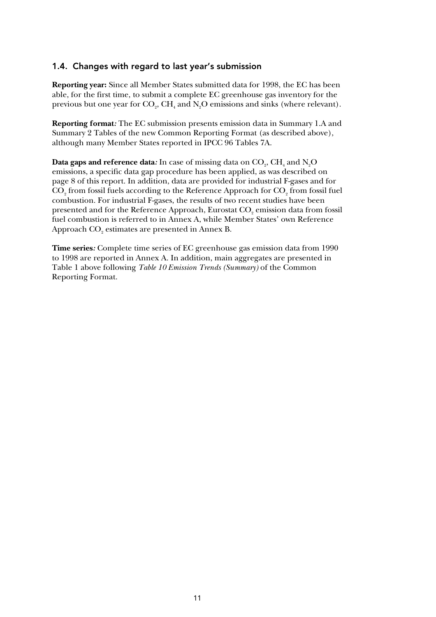#### 1.4. Changes with regard to last year's submission

**Reporting year:** Since all Member States submitted data for 1998, the EC has been able, for the first time, to submit a complete EC greenhouse gas inventory for the previous but one year for  $\text{CO}_2$ ,  $\text{CH}_4$  and  $\text{N}_2\text{O}$  emissions and sinks (where relevant).

**Reporting format***:* The EC submission presents emission data in Summary 1.A and Summary 2 Tables of the new Common Reporting Format (as described above), although many Member States reported in IPCC 96 Tables 7A.

 $\mathbf{Data}$  gaps and reference data: In case of missing data on  $\mathrm{CO}_2, \mathrm{CH}_4$  and  $\mathrm{N}_2\mathrm{O}$ emissions, a specific data gap procedure has been applied, as was described on page 8 of this report. In addition, data are provided for industrial F-gases and for  $\mathrm{CO}_2$  from fossil fuels according to the Reference Approach for  $\mathrm{CO}_2$  from fossil fuel combustion. For industrial F-gases, the results of two recent studies have been presented and for the Reference Approach, Eurostat  $\mathrm{CO}_\mathrm{2}$  emission data from fossil fuel combustion is referred to in Annex A, while Member States' own Reference Approach  $\mathrm{CO}_2$  estimates are presented in Annex B.

**Time series***:* Complete time series of EC greenhouse gas emission data from 1990 to 1998 are reported in Annex A. In addition, main aggregates are presented in Table 1 above following *Table 10 Emission Trends (Summary)* of the Common Reporting Format.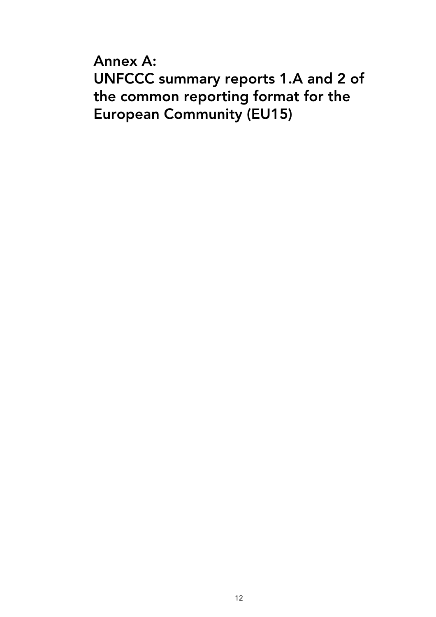Annex A: UNFCCC summary reports 1.A and 2 of the common reporting format for the European Community (EU15)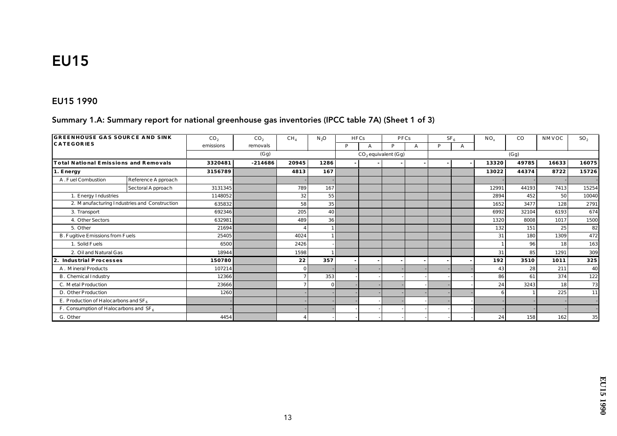# **EU15**

#### EU15 1990

#### Summary 1.A: Summary report for national greenhouse gas inventories (IPCC table 7A) (Sheet 1 of 3)

| <b>GREENHOUSE GAS SOURCE AND SINK</b>    |                                              | CO <sub>2</sub> | CO <sub>2</sub> | CH <sub>4</sub> | $N_2O$   |   | <b>HFCs</b>           | <b>PFCs</b> |  |      | SF <sub>e</sub> | $NO_x$ | $_{\rm CO}$ | NMVOC | SO <sub>2</sub> |
|------------------------------------------|----------------------------------------------|-----------------|-----------------|-----------------|----------|---|-----------------------|-------------|--|------|-----------------|--------|-------------|-------|-----------------|
| <b>CATEGORIES</b>                        |                                              | emissions       | removals        |                 |          | P |                       | P           |  | P    | А               |        |             |       |                 |
|                                          |                                              |                 | (Gg)            |                 |          |   | $CO2$ equivalent (Gg) |             |  | (Gg) |                 |        |             |       |                 |
| Total National Emissions and Removals    |                                              | 3320481         | $-214686$       | 20945           | 1286     |   |                       |             |  |      |                 | 13320  | 49785       | 16633 | 16075           |
| 1. Energy                                |                                              | 3156789         |                 | 4813            | 167      |   |                       |             |  |      |                 | 13022  | 44374       | 8722  | 15726           |
| A. Fuel Combustion                       | Reference Approach                           |                 |                 |                 |          |   |                       |             |  |      |                 |        |             |       |                 |
|                                          | Sectoral Approach                            | 3131345         |                 | 789             | 167      |   |                       |             |  |      |                 | 12991  | 44193       | 7413  | 15254           |
| 1. Energy Industries                     |                                              | 1148052         |                 | 32              | 55       |   |                       |             |  |      |                 | 2894   | 452         | 50    | 10040           |
|                                          | 2. Manufacturing Industries and Construction | 635832          |                 | 58              | 35       |   |                       |             |  |      |                 | 1652   | 3477        | 128   | 2791            |
| 3. Transport                             |                                              | 692346          |                 | 205             | 40       |   |                       |             |  |      |                 | 6992   | 32104       | 6193  | 674             |
| 4. Other Sectors                         |                                              | 632981          |                 | 489             | 36       |   |                       |             |  |      |                 | 1320   | 8008        | 1017  | 1500            |
| 5. Other                                 |                                              | 21694           |                 |                 |          |   |                       |             |  |      |                 | 132    | 151         | 25    | 82              |
| B. Fugitive Emissions from Fuels         |                                              | 25405           |                 | 4024            |          |   |                       |             |  |      |                 | 31     | 180         | 1309  | 472             |
| 1. Solid Fuels                           |                                              | 6500            |                 | 2426            |          |   |                       |             |  |      |                 |        | 96          | 18    | 163             |
| 2. Oil and Natural Gas                   |                                              | 18944           |                 | 1598            |          |   |                       |             |  |      |                 | 31     | 85          | 1291  | 309             |
| 2.<br>Industrial Processes               |                                              | 150780          |                 | 22              | 357      |   |                       |             |  |      |                 | 192    | 3510        | 1011  | 325             |
| A. Mineral Products                      |                                              | 107214          |                 | $\mathbf{0}$    |          |   |                       |             |  |      |                 | 43     | 28          | 211   | 40              |
| B. Chemical Industry                     |                                              | 12366           |                 | 7               | 353      |   |                       |             |  |      |                 | 86     | 61          | 374   | 122             |
| C. Metal Production                      |                                              | 23666           |                 |                 | $\Omega$ |   |                       |             |  |      |                 | 24     | 3243        | 18    | 73              |
| D. Other Production                      |                                              | 1260            |                 |                 |          |   |                       |             |  |      |                 |        |             | 225   | 11              |
| E. Production of Haloc arbons and $SF_6$ |                                              |                 |                 |                 |          |   |                       |             |  |      |                 |        |             |       |                 |
| F. Consumption of Haloc arbons and $SF6$ |                                              |                 |                 |                 |          |   |                       |             |  |      |                 |        |             |       |                 |
| G. Other                                 |                                              | 4454            |                 |                 |          |   |                       |             |  |      |                 | 24     | 158         | 162   | 35              |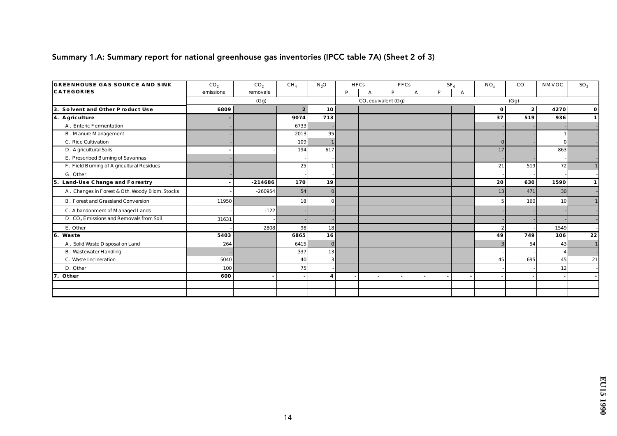### Summary 1.A: Summary report for national greenhouse gas inventories (IPCC table 7A) (Sheet 2 of 3)

| <b>GREENHOUSE GAS SOURCE AND SINK</b>               | CO <sub>2</sub> | CO <sub>2</sub> | CH <sub>4</sub>          | $N_2O$         |   | <b>HFCs</b> |                       | <b>PFCs</b> |   | SF <sub>e</sub> | $NO_x$       | $_{\rm CO}$ | NMVOC           | SO <sub>2</sub> |
|-----------------------------------------------------|-----------------|-----------------|--------------------------|----------------|---|-------------|-----------------------|-------------|---|-----------------|--------------|-------------|-----------------|-----------------|
| <b>CATEGORIES</b>                                   | emissions       | removals        |                          |                | P | A           | P                     | A           | P | A               |              |             |                 |                 |
|                                                     |                 | (Gg)            |                          |                |   |             | $CO2$ equivalent (Gg) |             |   |                 |              | (Gg)        |                 |                 |
| 3. Solvent and Other Product Use                    | 6809            |                 | $\boldsymbol{2}$         | 10             |   |             |                       |             |   |                 | $\mathbf 0$  | 2           | 4270            | $\mathbf{0}$    |
| 4. A griculture                                     |                 |                 | 9074                     | 713            |   |             |                       |             |   |                 | 37           | 519         | 936             | $\mathbf{1}$    |
| A. Enteric Fermentation                             |                 |                 | 6733                     |                |   |             |                       |             |   |                 |              |             |                 |                 |
| <b>B.</b> Manure Management                         |                 |                 | 2013                     | 95             |   |             |                       |             |   |                 |              |             |                 |                 |
| C. Rice Cultivation                                 |                 |                 | 109                      |                |   |             |                       |             |   |                 | $\Omega$     |             | $\Omega$        |                 |
| D. A gric ultural Soils                             |                 |                 | 194                      | 617            |   |             |                       |             |   |                 | 17           |             | 863             |                 |
| E. Prescribed Burning of Savannas                   |                 |                 |                          |                |   |             |                       |             |   |                 |              |             |                 |                 |
| F. Field Burning of A gricultural Residues          |                 |                 | 25                       |                |   |             |                       |             |   |                 | 21           | 519         | 72              |                 |
| G. Other                                            |                 |                 |                          |                |   |             |                       |             |   |                 |              |             |                 |                 |
| 5. Land-Use Change and Forestry                     |                 | $-214686$       | 170                      | 19             |   |             |                       |             |   |                 | 20           | 630         | 1590            | $\mathbf{1}$    |
| A. Changes in Forest & Oth. Woody Biom. Stocks      |                 | $-260954$       | 54                       | $\mathbf{0}$   |   |             |                       |             |   |                 | 13           | 471         | 30              |                 |
| <b>B.</b> Forest and Grassland Conversion           | 11950           |                 | 18                       | $\Omega$       |   |             |                       |             |   |                 |              | 160         | 10 <sup>1</sup> |                 |
| C. A bandonment of Managed Lands                    |                 | $-122$          |                          |                |   |             |                       |             |   |                 |              |             |                 |                 |
| D. CO <sub>2</sub> Emissions and Removals from Soil | 31631           |                 |                          |                |   |             |                       |             |   |                 |              |             |                 |                 |
| E. Other                                            |                 | 2808            | 98                       | 18             |   |             |                       |             |   |                 | $\mathbf{2}$ |             | 1549            |                 |
| 6. Waste                                            | 5403            |                 | 6865                     | 16             |   |             |                       |             |   |                 | 49           | 749         | 106             | 22              |
| A. Solid Waste Disposal on Land                     | 264             |                 | 6415                     | $\overline{0}$ |   |             |                       |             |   |                 |              | 54          | 43              |                 |
| <b>B.</b> Wastewater Handling                       |                 |                 | 337                      | 13             |   |             |                       |             |   |                 |              |             |                 |                 |
| C. Waste Incineration                               | 5040            |                 | 40                       |                |   |             |                       |             |   |                 | 45           | 695         | 45              | 21              |
| D. Other                                            | 100             |                 | 75                       |                |   |             |                       |             |   |                 |              |             | 12              |                 |
| 7. Other                                            | 600             |                 | $\overline{\phantom{a}}$ | 4              |   |             |                       |             |   |                 |              |             |                 |                 |
|                                                     |                 |                 |                          |                |   |             |                       |             |   |                 |              |             |                 |                 |
|                                                     |                 |                 |                          |                |   |             |                       |             |   |                 |              |             |                 |                 |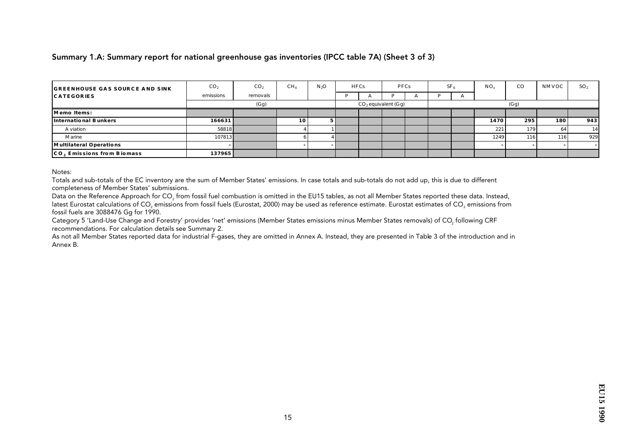#### Summary 1.A: Summary report for national greenhouse gas inventories (IPCC table 7A) (Sheet 3 of 3)

| <b>GREENHOUSE GAS SOURCE AND SINK</b> | CO <sub>2</sub> | CO <sub>2</sub> | CH <sub>4</sub> | N <sub>3</sub> O | <b>HFCs</b> |                       | <b>PFCs</b> | SF <sub>6</sub> | $NO_x$ | $_{\rm CO}$ | <b>NMVOC</b> | SO <sub>2</sub> |
|---------------------------------------|-----------------|-----------------|-----------------|------------------|-------------|-----------------------|-------------|-----------------|--------|-------------|--------------|-----------------|
| <b>CATEGORIES</b>                     | emissions       | removals        |                 |                  |             |                       |             |                 |        |             |              |                 |
|                                       |                 | (Gg)            |                 |                  |             | $CO2$ equivalent (Gg) |             |                 |        | (Gg)        |              |                 |
| Memo Items:                           |                 |                 |                 |                  |             |                       |             |                 |        |             |              |                 |
| International Bunkers                 | 166631          |                 | 10              |                  |             |                       |             |                 | 1470   | 295         | 180          | 943             |
| A viation                             | 58818           |                 |                 |                  |             |                       |             |                 | 221    | 179         | 64           | 14              |
| Marine                                | 107813          |                 |                 |                  |             |                       |             |                 | 1249   | 116         | 116          | 929             |
| Multilateral Operations               |                 |                 |                 |                  |             |                       |             |                 |        |             |              | $\sim$          |
| CO, Emissions from Biomass            | 137965          |                 |                 |                  |             |                       |             |                 |        |             |              |                 |

Notes:

Totals and sub-totals of the EC inventory are the sum of Member States' emissions. In case totals and sub-totals do not add up, this is due to different completeness of Member States' submissions.

Data on the Reference Approach for CO<sub>2</sub> from fossil fuel combustion is omitted in the EU15 tables, as not all Member States reported these data. Instead, latest Eurostat calculations of CO<sub>2</sub> emissions from fossil fuels (Eurostat, 2000) may be used as reference estimate. Eurostat estimates of CO<sub>2</sub> emissions from fossil fuels are 3088476 Gg for 1990.

Category 5 'Land-Use Change and Forestry' provides 'net' emissions (Member States emissions minus Member States removals) of CO<sub>2</sub> following CRF recommendations. For calculation details see Summary 2.

As not all Member States reported data for industrial F-gases, they are omitted in Annex A. Instead, they are presented in Table 3 of the introduction and in Annex B.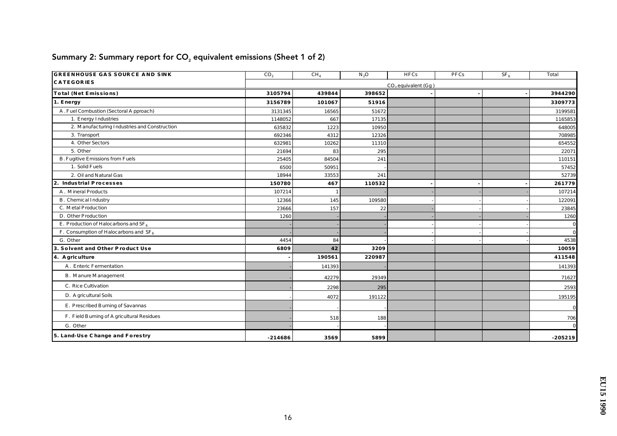| <b>GREENHOUSE GAS SOURCE AND SINK</b>        | CO <sub>2</sub> | CH <sub>4</sub> | $N_2O$ | <b>HFCs</b>           | PFCs | SF <sub>6</sub> | Total        |
|----------------------------------------------|-----------------|-----------------|--------|-----------------------|------|-----------------|--------------|
| <b>CATEGORIES</b>                            |                 |                 |        | $CO2$ equivalent (Gg) |      |                 |              |
| Total (Net Emissions)                        | 3105794         | 439844          | 398652 |                       |      |                 | 3944290      |
| 1. Energy                                    | 3156789         | 101067          | 51916  |                       |      |                 | 3309773      |
| A. Fuel Combustion (Sectoral Approach)       | 3131345         | 16565           | 51672  |                       |      |                 | 3199581      |
| 1. Energy Industries                         | 1148052         | 667             | 17135  |                       |      |                 | 1165853      |
| 2. Manufacturing Industries and Construction | 635832          | 1223            | 10950  |                       |      |                 | 648005       |
| 3. Transport                                 | 692346          | 4312            | 12326  |                       |      |                 | 708985       |
| 4. Other Sectors                             | 632981          | 10262           | 11310  |                       |      |                 | 654552       |
| 5. Other                                     | 21694           | 83              | 295    |                       |      |                 | 22071        |
| <b>B.</b> Fugitive Emissions from Fuels      | 25405           | 84504           | 241    |                       |      |                 | 110151       |
| 1. Solid Fuels                               | 6500            | 50951           |        |                       |      |                 | 57452        |
| 2. Oil and Natural Gas                       | 18944           | 33553           | 241    |                       |      |                 | 52739        |
| 2. Industrial Processes                      | 150780          | 467             | 110532 |                       |      |                 | 261779       |
| A. Mineral Products                          | 107214          |                 |        |                       |      |                 | 107214       |
| B. Chemical Industry                         | 12366           | 145             | 109580 |                       |      |                 | 122091       |
| C. Metal Production                          | 23666           | 157             | 22     |                       |      |                 | 23845        |
| D. Other Production                          | 1260            |                 |        |                       |      |                 | 1260         |
| E. Production of Haloc arbons and $SF_6$     |                 |                 |        |                       |      |                 | $\bf{0}$     |
| F. Consumption of Haloc arbons and $SF6$     |                 |                 |        |                       |      |                 | $\bf{0}$     |
| G. Other                                     | 4454            | 84              |        |                       |      |                 | 4538         |
| 3. Solvent and Other Product Use             | 6809            | 42              | 3209   |                       |      |                 | 10059        |
| 4. A griculture                              |                 | 190561          | 220987 |                       |      |                 | 411548       |
| A. Enteric Fermentation                      |                 | 141393          |        |                       |      |                 | 141393       |
| <b>B.</b> Manure Management                  |                 | 42279           | 29349  |                       |      |                 | 71627        |
| C. Rice Cultivation                          |                 | 2298            | 295    |                       |      |                 | 2593         |
| D. A gric ultural Soils                      |                 | 4072            | 191122 |                       |      |                 | 195195       |
| E. Prescribed Burning of Savannas            |                 |                 |        |                       |      |                 | $\bf{0}$     |
| F. Field Burning of A gric ultural Residues  |                 | 518             | 188    |                       |      |                 | 706          |
| G. Other                                     |                 |                 |        |                       |      |                 | $\mathbf{0}$ |
| 5. Land-Use Change and Forestry              | $-214686$       | 3569            | 5899   |                       |      |                 | $-205219$    |

# Summary 2: Summary report for  $CO<sub>2</sub>$  equivalent emissions (Sheet 1 of 2)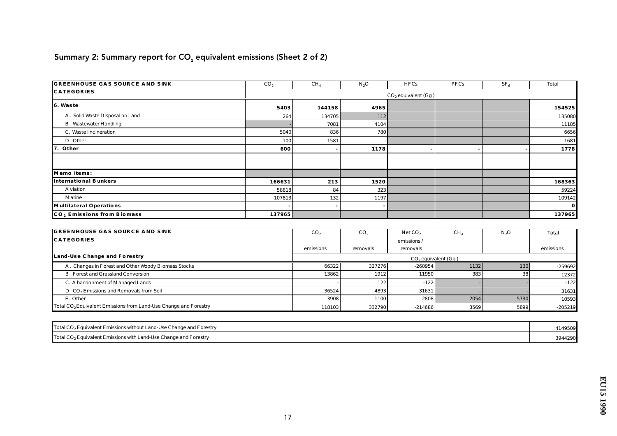# Summary 2: Summary report for  $CO<sub>2</sub>$  equivalent emissions (Sheet 2 of 2)

| <b>GREENHOUSE GAS SOURCE AND SINK</b>  | CO <sub>2</sub>       | $CH_4$ | $N_2O$ | <b>HFCs</b> | PFCs | SF <sub>6</sub> | Total    |  |  |  |  |
|----------------------------------------|-----------------------|--------|--------|-------------|------|-----------------|----------|--|--|--|--|
| <b>CATEGORIES</b>                      | $CO2$ equivalent (Gg) |        |        |             |      |                 |          |  |  |  |  |
| 6. Waste                               | 5403                  | 144158 | 4965   |             |      |                 | 154525   |  |  |  |  |
| A. Solid Waste Disposal on Land        | 264                   | 134705 | 112    |             |      |                 | 135080   |  |  |  |  |
| <b>B.</b> Wastewater Handling          |                       | 7081   | 4104   |             |      |                 | 11185    |  |  |  |  |
| C. Waste Incineration                  | 5040                  | 836    | 780 I  |             |      |                 | 6656     |  |  |  |  |
| D. Other                               | 100                   | 1581   |        |             |      |                 | 1681     |  |  |  |  |
| 7. Other                               | 600                   |        | 1178   |             |      |                 | 1778     |  |  |  |  |
|                                        |                       |        |        |             |      |                 |          |  |  |  |  |
|                                        |                       |        |        |             |      |                 |          |  |  |  |  |
| Memo Items:                            |                       |        |        |             |      |                 |          |  |  |  |  |
| International Bunkers                  | 166631                | 213    | 1520   |             |      |                 | 168363   |  |  |  |  |
| A viation                              | 58818                 | 84     | 323    |             |      |                 | 59224    |  |  |  |  |
| <b>M</b> arine                         | 107813                | 132    | 1197   |             |      |                 | 109142   |  |  |  |  |
| Multilateral Operations                |                       |        |        |             |      |                 | $\bf{0}$ |  |  |  |  |
| CO <sub>2</sub> Emissions from Biomass | 137965                |        |        |             |      |                 | 137965   |  |  |  |  |

| <b>GREENHOUSE GAS SOURCE AND SINK</b>                                        | CO <sub>2</sub> | CO <sub>2</sub> | Net CO <sub>2</sub>     | $CH_4$ | N <sub>2</sub> O | Total     |
|------------------------------------------------------------------------------|-----------------|-----------------|-------------------------|--------|------------------|-----------|
| <b>CATEGORIES</b>                                                            |                 |                 | emissions/              |        |                  |           |
|                                                                              | emissions       | removals        | removals                |        |                  | emissions |
| Land-Use Change and Forestry                                                 |                 |                 | $CO2$ equivalent $(Gg)$ |        |                  |           |
| A. Changes in Forest and Other Woody Biomass Stocks                          | 66322           | 327276          | $-260954$               | 1132   | 130              | $-259692$ |
| <b>B. Forest and Grassland Conversion</b>                                    | 13862           | 1912            | 11950                   | 383    | 38               | 12372     |
| C. A bandonment of Managed Lands                                             |                 | 122             | $-122$                  |        |                  | $-122$    |
| D. CO <sub>2</sub> Emissions and Removals from Soil                          | 36524           | 4893            | 31631                   |        |                  | 31631     |
| E. Other                                                                     | 3908            | 1100            | 2808                    | 2054   | 5730             | 10593     |
| Total CO <sub>2</sub> Equivalent Emissions from Land-Use Change and Forestry | 118103          | 332790          | $-214686$               | 3569   | 5899             | $-205219$ |

| Total CO <sub>2</sub> Equivalent Emissions without Land-Use Change and Forestry | 4149509 |
|---------------------------------------------------------------------------------|---------|
| Total CO <sub>2</sub> Equivalent Emissions with Land-Use Change and Forestry    | 3944290 |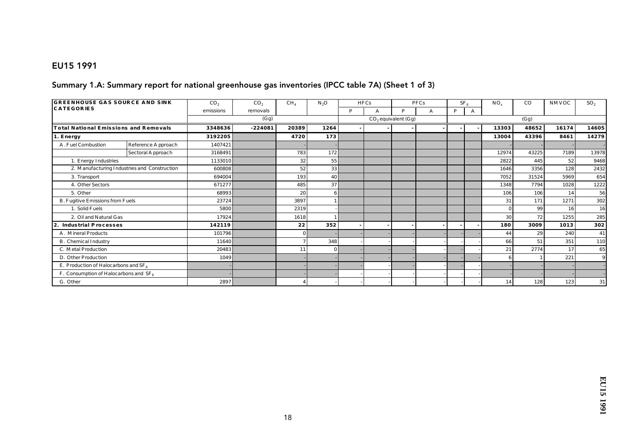#### EU15 1991

#### Summary 1.A: Summary report for national greenhouse gas inventories (IPCC table 7A) (Sheet 1 of 3)

| <b>GREENHOUSE GAS SOURCE AND SINK</b>    |                                              | CO <sub>2</sub> | CO <sub>2</sub> | CH <sub>4</sub> | $N_2O$   |   | <b>HFCs</b> |                       | <b>PFCs</b> |   | SF <sub>6</sub> | $NO_{v}$ | $_{\rm CO}$ | NMVOC | SO <sub>2</sub> |
|------------------------------------------|----------------------------------------------|-----------------|-----------------|-----------------|----------|---|-------------|-----------------------|-------------|---|-----------------|----------|-------------|-------|-----------------|
| <b>CATEGORIES</b>                        |                                              | emissions       | removals        |                 |          | P |             | D                     | A           | P |                 |          |             |       |                 |
|                                          |                                              |                 | (Gg)            |                 |          |   |             | $CO2$ equivalent (Gg) |             |   |                 |          | (Gg)        |       |                 |
| Total National Emissions and Removals    |                                              | 3348636         | $-224081$       | 20389           | 1264     |   |             |                       |             |   |                 | 13303    | 48652       | 16174 | 14605           |
| 1. Energy                                |                                              | 3192205         |                 | 4720            | 173      |   |             |                       |             |   |                 | 13004    | 43396       | 8461  | 14279           |
| A. Fuel Combustion                       | Reference Approach                           | 1407421         |                 |                 |          |   |             |                       |             |   |                 |          |             |       |                 |
|                                          | Sectoral Approach                            | 3168491         |                 | 783             | 172      |   |             |                       |             |   |                 | 12974    | 43225       | 7189  | 13978           |
| 1. Energy Industries                     |                                              | 1133010         |                 | 32              | 55       |   |             |                       |             |   |                 | 2822     | 445         | 52    | 9468            |
|                                          | 2. Manufacturing Industries and Construction | 600808          |                 | 52              | 33       |   |             |                       |             |   |                 | 1646     | 3356        | 128   | 2432            |
| 3. Transport                             |                                              | 694004          |                 | 193             | 40       |   |             |                       |             |   |                 | 7052     | 31524       | 5969  | 654             |
| 4. Other Sectors                         |                                              | 671277          |                 | 485             | 37       |   |             |                       |             |   |                 | 1348     | 7794        | 1028  | 1222            |
| 5. Other                                 |                                              | 68993           |                 | 20              |          |   |             |                       |             |   |                 | 106      | 106         | 14    | 56              |
| B. Fugitive Emissions from Fuels         |                                              | 23724           |                 | 3897            |          |   |             |                       |             |   |                 | 31       | 171         | 1271  | 302             |
| 1. Solid Fuels                           |                                              | 5800            |                 | 2319            |          |   |             |                       |             |   |                 |          | 99          | 16    | 16              |
| 2. Oil and Natural Gas                   |                                              | 17924           |                 | 1618            |          |   |             |                       |             |   |                 | 30       | 72          | 1255  | 285             |
| Industrial Processes<br>2.               |                                              | 142119          |                 | 22              | 352      |   |             |                       |             |   |                 | 180      | 3009        | 1013  | 302             |
| A. Mineral Products                      |                                              | 101796          |                 |                 |          |   |             |                       |             |   |                 | 44       | 29          | 240   | 41              |
| <b>B.</b> Chemical Industry              |                                              | 11640           |                 |                 | 348      |   |             |                       |             |   |                 | 66       | 51          | 351   | 110             |
| C. Metal Production                      |                                              | 20483           |                 |                 | $\Omega$ |   |             |                       |             |   |                 | 21       | 2774        | 17    | 65              |
| D. Other Production                      |                                              | 1049            |                 |                 |          |   |             |                       |             |   |                 |          |             | 221   | $\mathbf{Q}$    |
| E. Production of Haloc arbons and $SF_6$ |                                              |                 |                 |                 |          |   |             |                       |             |   |                 |          |             |       |                 |
| F. Consumption of Halocarbons and $SF_6$ |                                              |                 |                 |                 |          |   |             |                       |             |   |                 |          |             |       |                 |
| G. Other                                 |                                              | 2897            |                 |                 |          |   |             |                       |             |   |                 | 14       | 128         | 123   | 31              |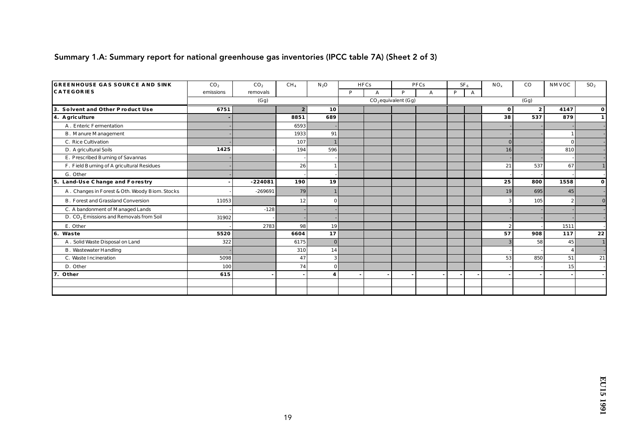### Summary 1.A: Summary report for national greenhouse gas inventories (IPCC table 7A) (Sheet 2 of 3)

| <b>GREENHOUSE GAS SOURCE AND SINK</b>               | CO <sub>2</sub> | CO <sub>2</sub> | CH <sub>4</sub>  | $N_2O$           |   | <b>HFCs</b> |                       | PFCs |   | SF <sub>e</sub> | $NO_x$         | $_{\rm CO}$      | NMVOC        | SO <sub>2</sub> |
|-----------------------------------------------------|-----------------|-----------------|------------------|------------------|---|-------------|-----------------------|------|---|-----------------|----------------|------------------|--------------|-----------------|
| <b>CATEGORIES</b>                                   | emissions       | removals        |                  |                  | P | A           | <b>D</b>              | A    | P | A               |                |                  |              |                 |
|                                                     |                 | (Gg)            |                  |                  |   |             | $CO2$ equivalent (Gg) |      |   |                 |                | (Gg)             |              |                 |
| 3. Solvent and Other Product Use                    | 6751            |                 | $\boldsymbol{2}$ | 10               |   |             |                       |      |   |                 | $\mathbf{0}$   | $\boldsymbol{2}$ | 4147         | 0               |
| 4. A griculture                                     |                 |                 | 8851             | 689              |   |             |                       |      |   |                 | 38             | 537              | 879          |                 |
| A. Enteric Fermentation                             |                 |                 | 6593             |                  |   |             |                       |      |   |                 |                |                  |              |                 |
| <b>B.</b> Manure Management                         |                 |                 | 1933             | 91               |   |             |                       |      |   |                 |                |                  |              |                 |
| C. Rice Cultivation                                 |                 |                 | 107              |                  |   |             |                       |      |   |                 | $\overline{0}$ |                  | $\Omega$     |                 |
| D. A gric ultural Soils                             | 1425            |                 | 194              | 596              |   |             |                       |      |   |                 | 16             |                  | 810          |                 |
| E. Prescribed Burning of Savannas                   |                 |                 |                  |                  |   |             |                       |      |   |                 |                |                  |              |                 |
| F. Field Burning of A gric ultural Residues         |                 |                 | 26               |                  |   |             |                       |      |   |                 | 21             | 537              | 67           |                 |
| G. Other                                            |                 |                 |                  |                  |   |             |                       |      |   |                 |                |                  |              |                 |
| 5. Land-Use Change and Forestry                     |                 | $-224081$       | 190              | 19               |   |             |                       |      |   |                 | 25             | 800              | 1558         | $\mathbf o$     |
| A. Changes in Forest & Oth. Woody Biom. Stocks      |                 | $-269691$       | 79               |                  |   |             |                       |      |   |                 | 19             | 695              | 45           |                 |
| <b>B.</b> Forest and Grassland Conversion           | 11053           |                 | 12               | $\mathbf{0}$     |   |             |                       |      |   |                 |                | 105              | $\mathbf{2}$ |                 |
| C. A bandonment of Managed Lands                    |                 | $-128$          |                  |                  |   |             |                       |      |   |                 |                |                  |              |                 |
| D. CO <sub>2</sub> Emissions and Removals from Soil | 31902           |                 |                  |                  |   |             |                       |      |   |                 |                |                  |              |                 |
| E. Other                                            |                 | 2783            | 98               | 19               |   |             |                       |      |   |                 | $\overline{2}$ |                  | 1511         |                 |
| 6. Waste                                            | 5520            |                 | 6604             | 17               |   |             |                       |      |   |                 | 57             | 908              | 117          | 22              |
| A. Solid Waste Disposal on Land                     | 322             |                 | 6175             | $\bf{0}$         |   |             |                       |      |   |                 |                | 58               | 45           |                 |
| <b>B.</b> Wastewater Handling                       |                 |                 | 310              | 14               |   |             |                       |      |   |                 |                |                  |              |                 |
| C. Waste Incineration                               | 5098            |                 | 47               | 3                |   |             |                       |      |   |                 | 53             | 850              | 51           | 21              |
| D. Other                                            | 100             |                 | 74               | $\bf{0}$         |   |             |                       |      |   |                 |                |                  | 15           |                 |
| 7. Other                                            | 615             |                 |                  | $\boldsymbol{4}$ |   |             |                       |      |   |                 |                |                  |              |                 |
|                                                     |                 |                 |                  |                  |   |             |                       |      |   |                 |                |                  |              |                 |
|                                                     |                 |                 |                  |                  |   |             |                       |      |   |                 |                |                  |              |                 |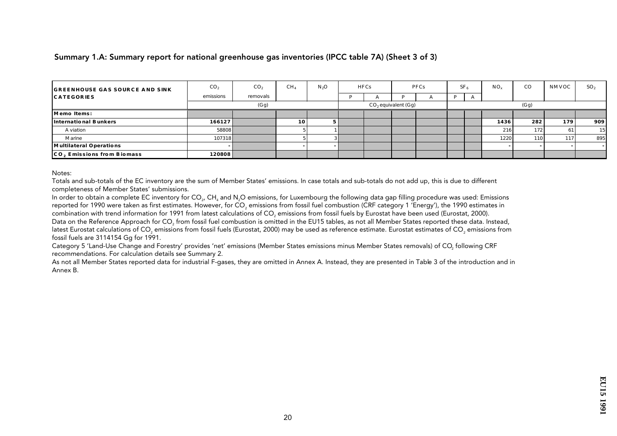#### Summary 1.A: Summary report for national greenhouse gas inventories (IPCC table 7A) (Sheet 3 of 3)

| <b>GREENHOUSE GAS SOURCE AND SINK</b> | CO <sub>2</sub> | CO <sub>2</sub> | CH <sub>4</sub> | $N_2O$ | <b>HFCs</b> |                       | PFCs | SF <sub>6</sub> | $NO_{v}$ | $_{\rm CO}$ | NMVOC | SO <sub>2</sub> |
|---------------------------------------|-----------------|-----------------|-----------------|--------|-------------|-----------------------|------|-----------------|----------|-------------|-------|-----------------|
| <b>CATEGORIES</b>                     | emissions       | removals        |                 |        |             |                       |      | Ð               |          |             |       |                 |
|                                       |                 | (Gg)            |                 |        |             | $CO2$ equivalent (Gg) |      |                 |          | (Gg)        |       |                 |
| Memo Items:                           |                 |                 |                 |        |             |                       |      |                 |          |             |       |                 |
| International Bunkers                 | 166127          |                 | 10 <sup>1</sup> |        |             |                       |      |                 | 1436     | 282         | 179   | 909             |
| A viation                             | 58808           |                 |                 |        |             |                       |      |                 | 216      | 172         | 61    | 15              |
| Marine                                | 107318          |                 |                 |        |             |                       |      |                 | 1220     | 110 l       | 117   | 895             |
| Multilateral Operations               |                 |                 |                 |        |             |                       |      |                 |          |             |       |                 |
| CO. Emissions from Biomass            | 120808          |                 |                 |        |             |                       |      |                 |          |             |       |                 |

Notes:

Totals and sub-totals of the EC inventory are the sum of Member States' emissions. In case totals and sub-totals do not add up, this is due to different completeness of Member States' submissions.

In order to obtain a complete EC inventory for CO<sub>2</sub>, CH, and N<sub>2</sub>O emissions, for Luxembourg the following data gap filling procedure was used: Emissions reported for 1990 were taken as first estimates. However, for CO<sub>3</sub> emissions from fossil fuel combustion (CRF category 1 'Energy'), the 1990 estimates in combination with trend information for 1991 from latest calculations of CO<sub>2</sub> emissions from fossil fuels by Eurostat have been used (Eurostat, 2000). Data on the Reference Approach for CO<sub>2</sub> from fossil fuel combustion is omitted in the EU15 tables, as not all Member States reported these data. Instead, latest Eurostat calculations of CO<sub>2</sub> emissions from fossil fuels (Eurostat, 2000) may be used as reference estimate. Eurostat estimates of CO<sub>2</sub> emissions from fossil fuels are 3114154 Gq for 1991.

Category 5 'Land-Use Change and Forestry' provides 'net' emissions (Member States emissions minus Member States removals) of CO<sub>2</sub> following CRF recommendations. For calculation details see Summary 2.

As not all Member States reported data for industrial F-gases, they are omitted in Annex A. Instead, they are presented in Table 3 of the introduction and in Annex B.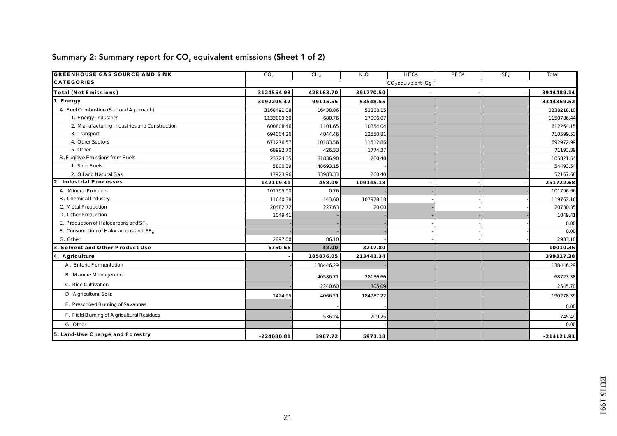| <b>GREENHOUSE GAS SOURCE AND SINK</b>        | CO <sub>2</sub> | CH <sub>4</sub> | $N_2O$    | $\overline{HFCs}$     | <b>PFCs</b> | SF <sub>6</sub> | Total        |
|----------------------------------------------|-----------------|-----------------|-----------|-----------------------|-------------|-----------------|--------------|
| <b>CATEGORIES</b>                            |                 |                 |           | $CO2$ equivalent (Gg) |             |                 |              |
| Total (Net Emissions)                        | 3124554.93      | 428163.70       | 391770.50 |                       |             |                 | 3944489.14   |
| 1. Energy                                    | 3192205.42      | 99115.55        | 53548.55  |                       |             |                 | 3344869.52   |
| A. Fuel Combustion (Sectoral Approach)       | 3168491.08      | 16438.86        | 53288.15  |                       |             |                 | 3238218.10   |
| 1. Energy Industries                         | 1133009.60      | 680.76          | 17096.07  |                       |             |                 | 1150786.44   |
| 2. Manufacturing Industries and Construction | 600808.46       | 1101.65         | 10354.04  |                       |             |                 | 612264.15    |
| 3. Transport                                 | 694004.26       | 4044.46         | 12550.81  |                       |             |                 | 710599.53    |
| 4. Other Sectors                             | 671276.57       | 10183.56        | 11512.86  |                       |             |                 | 692972.99    |
| 5. Other                                     | 68992.70        | 426.33          | 1774.37   |                       |             |                 | 71193.39     |
| <b>B. Fugitive Emissions from Fuels</b>      | 23724.35        | 81836.90        | 260.40    |                       |             |                 | 105821.64    |
| 1. Solid Fuels                               | 5800.39         | 48693.15        |           |                       |             |                 | 54493.54     |
| 2. Oil and Natural Gas                       | 17923.96        | 33983.33        | 260.40    |                       |             |                 | 52167.68     |
| 2. Industrial Processes                      | 142119.41       | 458.09          | 109145.18 |                       |             |                 | 251722.68    |
| A. Mineral Products                          | 101795.90       | 0.76            |           |                       |             |                 | 101796.66    |
| B. Chemical Industry                         | 11640.38        | 143.60          | 107978.18 |                       |             |                 | 119762.16    |
| C. Metal Production                          | 20482.72        | 227.63          | 20.00     |                       |             |                 | 20730.35     |
| D. Other Production                          | 1049.41         |                 |           |                       |             |                 | 1049.41      |
| E. Production of Haloc arbons and $SF_6$     |                 |                 |           |                       |             |                 | 0.00         |
| F. Consumption of Haloc arbons and $SF_6$    |                 |                 |           |                       |             |                 | 0.00         |
| G. Other                                     | 2897.00         | 86.10           |           |                       |             |                 | 2983.10      |
| 3. Solvent and Other Product Use             | 6750.56         | 42.00           | 3217.80   |                       |             |                 | 10010.36     |
| 4. A griculture                              |                 | 185876.05       | 213441.34 |                       |             |                 | 399317.38    |
| A. Enteric Fermentation                      |                 | 138446.29       |           |                       |             |                 | 138446.29    |
| <b>B.</b> Manure Management                  |                 | 40586.71        | 28136.66  |                       |             |                 | 68723.38     |
| C. Rice Cultivation                          |                 | 2240.60         | 305.09    |                       |             |                 | 2545.70      |
| D. A gric ultural Soils                      | 1424.95         | 4066.21         | 184787.22 |                       |             |                 | 190278.39    |
| E. Prescribed Burning of Savannas            |                 |                 |           |                       |             |                 | 0.00         |
| F. Field Burning of A gric ultural Residues  |                 | 536.24          | 209.25    |                       |             |                 | 745.49       |
| G. Other                                     |                 |                 |           |                       |             |                 | 0.00         |
| 5. Land-Use Change and Forestry              | $-224080.81$    | 3987.72         | 5971.18   |                       |             |                 | $-214121.91$ |

# Summary 2: Summary report for  $CO<sub>2</sub>$  equivalent emissions (Sheet 1 of 2)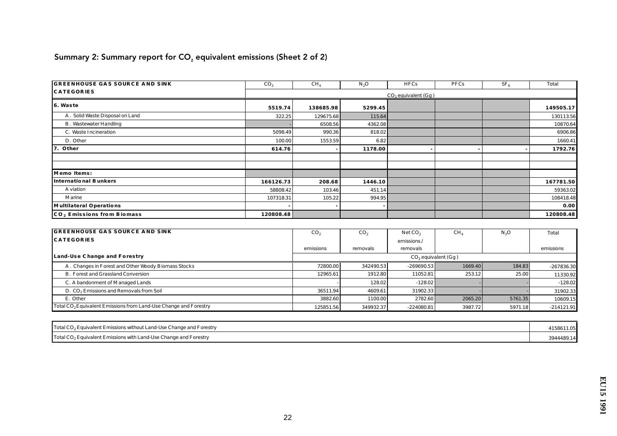# Summary 2: Summary report for  $CO<sub>2</sub>$  equivalent emissions (Sheet 2 of 2)

| <b>GREENHOUSE GAS SOURCE AND SINK</b>  | CO <sub>2</sub> | CH <sub>4</sub> | $N_2O$  | <b>HFCs</b>               | PFCs | SF <sub>6</sub> | <b>Total</b> |
|----------------------------------------|-----------------|-----------------|---------|---------------------------|------|-----------------|--------------|
| <b>CATEGORIES</b>                      |                 |                 |         | $CO2$ equivalent ( $Gg$ ) |      |                 |              |
| 6. Waste                               | 5519.74         | 138685.98       | 5299.45 |                           |      |                 | 149505.17    |
| A. Solid Waste Disposal on Land        | 322.25          | 129675.68       | 115.64  |                           |      |                 | 130113.56    |
| <b>B.</b> Wastewater Handling          |                 | 6508.56         | 4362.08 |                           |      |                 | 10870.64     |
| C. Waste Incineration                  | 5098.49         | 990.36          | 818.02  |                           |      |                 | 6906.86      |
| D. Other                               | 100.00          | 1553.59         | 6.82    |                           |      |                 | 1660.41      |
| 7. Other                               | 614.76          |                 | 1178.00 |                           |      |                 | 1792.76      |
|                                        |                 |                 |         |                           |      |                 |              |
|                                        |                 |                 |         |                           |      |                 |              |
| Memo Items:                            |                 |                 |         |                           |      |                 |              |
| International Bunkers                  | 166126.73       | 208.68          | 1446.10 |                           |      |                 | 167781.50    |
| A viation                              | 58808.42        | 103.46          | 451.14  |                           |      |                 | 59363.02     |
| Marine                                 | 107318.31       | 105.22          | 994.95  |                           |      |                 | 108418.48    |
| Multilateral Operations                |                 |                 |         |                           |      |                 | 0.00         |
| CO <sub>2</sub> Emissions from Biomass | 120808.48       |                 |         |                           |      |                 | 120808.48    |

| <b>GREENHOUSE GAS SOURCE AND SINK</b>                                        | CO <sub>2</sub> | CO <sub>2</sub> | NetCO <sub>2</sub>    | CH      | N <sub>2</sub> O | Total        |
|------------------------------------------------------------------------------|-----------------|-----------------|-----------------------|---------|------------------|--------------|
| <b>CATEGORIES</b>                                                            |                 |                 | emissions/            |         |                  |              |
|                                                                              | emissions       | removals        | removals              |         |                  | emissions    |
| Land-Use Change and Forestry                                                 |                 |                 | $CO2$ equivalent (Gg) |         |                  |              |
| A. Changes in Forest and Other Woody Biomass Stocks                          | 72800.00        | 342490.53       | $-269690.53$          | 1669.40 | 184.83           | $-267836.30$ |
| <b>B. Forest and Grassland Conversion</b>                                    | 12965.61        | 1912.80         | 11052.81              | 253.12  | 25.00            | 11330.92     |
| C. A bandonment of Managed Lands                                             |                 | 128.02          | $-128.02$             |         |                  | $-128.02$    |
| D. CO <sub>2</sub> Emissions and Removals from Soil                          | 36511.94        | 4609.61         | 31902.33              |         |                  | 31902.33     |
| E. Other                                                                     | 3882.60         | 1100.00         | 2782.60               | 2065.20 | 5761.35          | 10609.15     |
| Total CO <sub>2</sub> Equivalent Emissions from Land-Use Change and Forestry | 125851.56       | 349932.37       | $-224080.81$          | 3987.72 | 5971.18          | $-214121.91$ |

| Total CO <sub>2</sub> Equivalent Emissions without Land-Use Change and Forestry | 1158611.05 |
|---------------------------------------------------------------------------------|------------|
| Total CO <sub>2</sub> Equivalent Emissions with Land-Use Change and Forestry    | 3944489.14 |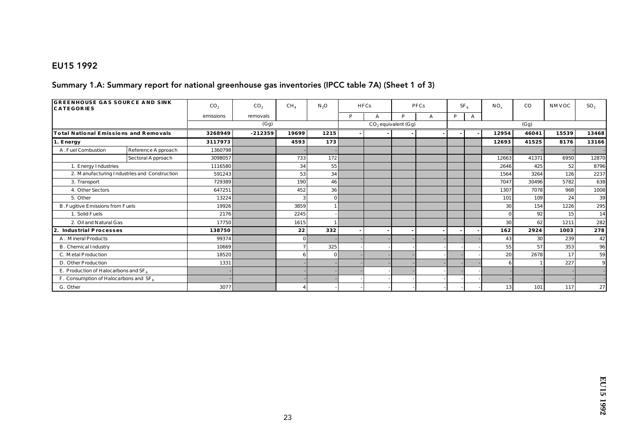#### EU15 1992

#### Summary 1.A: Summary report for national greenhouse gas inventories (IPCC table 7A) (Sheet 1 of 3)

| <b>GREENHOUSE GAS SOURCE AND SINK</b><br><b>CATEGORIES</b> |                                              | CO <sub>2</sub> | CO <sub>2</sub> | CH <sub>4</sub> | $N_2O$   |   | <b>HFCs</b> |                       | PFCs |   | SF <sub>6</sub> | $NO_x$ | $_{\rm CO}$     | NMVOC | SO <sub>2</sub> |
|------------------------------------------------------------|----------------------------------------------|-----------------|-----------------|-----------------|----------|---|-------------|-----------------------|------|---|-----------------|--------|-----------------|-------|-----------------|
|                                                            |                                              | emissions       | removals        |                 |          | P |             | P                     | A    | P | A               |        |                 |       |                 |
|                                                            |                                              |                 | (Gg)            |                 |          |   |             | $CO2$ equivalent (Gg) |      |   |                 |        | (Gg)            |       |                 |
| Total National Emissions and Removals                      |                                              | 3268949         | $-212359$       | 19699           | 1215     |   |             |                       |      |   |                 | 12954  | 46041           | 15539 | 13468           |
| 1. Energy                                                  |                                              | 3117973         |                 | 4593            | 173      |   |             |                       |      |   |                 | 12693  | 41525           | 8176  | 13166           |
| A. Fuel Combustion                                         | Reference Approach                           | 1360798         |                 |                 |          |   |             |                       |      |   |                 |        |                 |       |                 |
|                                                            | Sectoral Approach                            | 3098057         |                 | 733             | 172      |   |             |                       |      |   |                 | 12663  | 41371           | 6950  | 12870           |
| 1. Energy Industries                                       |                                              | 1116580         |                 | 34              | 55       |   |             |                       |      |   |                 | 2646   | 425             | 52    | 8796            |
|                                                            | 2. Manufacturing Industries and Construction | 591243          |                 | 53              | 34       |   |             |                       |      |   |                 | 1564   | 3264            | 126   | 2237            |
| 3. Transport                                               |                                              | 729389          |                 | 190             | 46       |   |             |                       |      |   |                 | 7047   | 30496           | 5782  | 638             |
| 4. Other Sectors                                           |                                              | 647251          |                 | 452             | 36       |   |             |                       |      |   |                 | 1307   | 7078            | 968   | 1008            |
| 5. Other                                                   |                                              | 13224           |                 |                 | $\Omega$ |   |             |                       |      |   |                 | 101    | 109             | 24    | 39              |
| B. Fugitive Emissions from Fuels                           |                                              | 19926           |                 | 3859            |          |   |             |                       |      |   |                 | 30     | 154             | 1226  | 295             |
| 1. Solid Fuels                                             |                                              | 2176            |                 | 2245            |          |   |             |                       |      |   |                 |        | 92              | 15    | 14              |
| 2. Oil and Natural Gas                                     |                                              | 17750           |                 | 1615            |          |   |             |                       |      |   |                 | 30     | 62              | 1211  | 282             |
| 2. Industrial Processes                                    |                                              | 138750          |                 | 22              | 332      |   |             |                       |      |   |                 | 162    | 2924            | 1003  | 278             |
| A. Mineral Products                                        |                                              | 99374           |                 | $\Omega$        |          |   |             |                       |      |   |                 | 43     | 30 <sup>1</sup> | 239   | 42              |
| B. Chemical Industry                                       |                                              | 10669           |                 |                 | 325      |   |             |                       |      |   |                 | 55     | 57              | 353   | 96              |
| C. Metal Production                                        |                                              | 18520           |                 |                 |          |   |             |                       |      |   |                 | 20     | 2678            | 17    | 59              |
| D. Other Production                                        |                                              | 1331            |                 |                 |          |   |             |                       |      |   |                 |        |                 | 227   | 9               |
| E. Production of Haloc arbons and $SF_6$                   |                                              |                 |                 |                 |          |   |             |                       |      |   |                 |        |                 |       |                 |
| F. Consumption of Halocarbons and $SF6$                    |                                              |                 |                 |                 |          |   |             |                       |      |   |                 |        |                 |       |                 |
| G. Other                                                   |                                              | 3077            |                 |                 |          |   |             |                       |      |   |                 | 13     | 101             | 117   | 27              |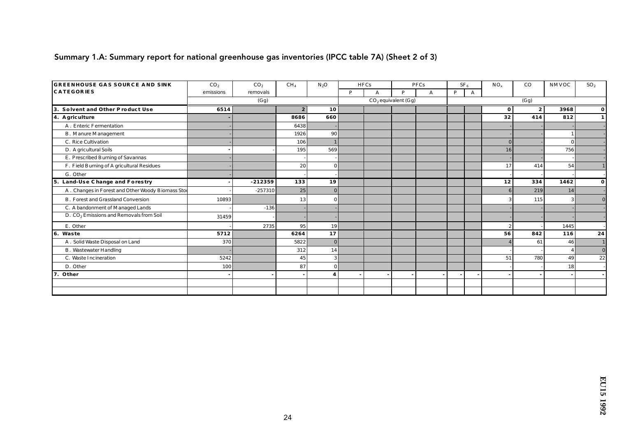### Summary 1.A: Summary report for national greenhouse gas inventories (IPCC table 7A) (Sheet 2 of 3)

| <b>GREENHOUSE GAS SOURCE AND SINK</b>               | CO <sub>2</sub> | CO <sub>2</sub> | CH <sub>4</sub>  | $N_2O$          |   | <b>HFCs</b> |                       | PFCs |   | SF <sub>6</sub> | $NO_x$         | $_{\rm CO}$      | NMVOC    | SO <sub>2</sub> |
|-----------------------------------------------------|-----------------|-----------------|------------------|-----------------|---|-------------|-----------------------|------|---|-----------------|----------------|------------------|----------|-----------------|
| <b>CATEGORIES</b>                                   | emissions       | removals        |                  |                 | P | A           | <b>D</b>              | A    | P | A               |                |                  |          |                 |
|                                                     |                 | (Gg)            |                  |                 |   |             | $CO2$ equivalent (Gg) |      |   |                 |                | (Gg)             |          |                 |
| Solvent and Other Product Use<br>3.                 | 6514            |                 | $\boldsymbol{2}$ | 10              |   |             |                       |      |   |                 | $\mathbf{0}$   | $\boldsymbol{2}$ | 3968     | 0               |
| 4. A griculture                                     |                 |                 | 8686             | 660             |   |             |                       |      |   |                 | 32             | 414              | 812      |                 |
| A. Enteric Fermentation                             |                 |                 | 6438             |                 |   |             |                       |      |   |                 |                |                  |          |                 |
| <b>B.</b> Manure Management                         |                 |                 | 1926             | 90 <sup>°</sup> |   |             |                       |      |   |                 |                |                  |          |                 |
| C. Rice Cultivation                                 |                 |                 | 106              |                 |   |             |                       |      |   |                 | $\overline{0}$ |                  | $\Omega$ |                 |
| D. A gric ultural Soils                             |                 |                 | 195              | 569             |   |             |                       |      |   |                 | 16             |                  | 756      |                 |
| E. Prescribed Burning of Savannas                   |                 |                 |                  |                 |   |             |                       |      |   |                 |                |                  |          |                 |
| F. Field Burning of A gric ultural Residues         |                 |                 | 20               | $\vert$ 0       |   |             |                       |      |   |                 | 17             | 414              | 54       |                 |
| G. Other                                            |                 |                 |                  |                 |   |             |                       |      |   |                 |                |                  |          |                 |
| 5. Land-Use Change and Forestry                     |                 | $-212359$       | 133              | 19              |   |             |                       |      |   |                 | 12             | 334              | 1462     | 0               |
| A. Changes in Forest and Other Woody Biomass Stoc   |                 | $-257310$       | 25               | 0               |   |             |                       |      |   |                 | 6 <sup>1</sup> | 219              | 14       |                 |
| <b>B.</b> Forest and Grassland Conversion           | 10893           |                 | 13               | $\bf{0}$        |   |             |                       |      |   |                 |                | 115              | 3        |                 |
| C. A bandonment of Managed Lands                    |                 | $-136$          |                  |                 |   |             |                       |      |   |                 |                |                  |          |                 |
| D. CO <sub>2</sub> Emissions and Removals from Soil | 31459           |                 |                  |                 |   |             |                       |      |   |                 |                |                  |          |                 |
| E. Other                                            |                 | 2735            | 95               | 19              |   |             |                       |      |   |                 | $\mathbf{2}$   |                  | 1445     |                 |
| 6. Waste                                            | 5712            |                 | 6264             | 17              |   |             |                       |      |   |                 | 56             | 842              | 116      | 24              |
| A. Solid Waste Disposal on Land                     | 370             |                 | 5822             | $\mathbf{0}$    |   |             |                       |      |   |                 |                | 61               | 46       |                 |
| <b>B.</b> Wastewater Handling                       |                 |                 | 312              | 14              |   |             |                       |      |   |                 |                |                  |          | $\mathbf{0}$    |
| C. Waste Incineration                               | 5242            |                 | 45               | $\overline{3}$  |   |             |                       |      |   |                 | 51             | 780              | 49       | 22              |
| D. Other                                            | 100             |                 | 87               | $\vert$ 0       |   |             |                       |      |   |                 |                |                  | 18       |                 |
| 7. Other                                            |                 |                 |                  |                 |   |             |                       |      |   |                 |                |                  |          |                 |
|                                                     |                 |                 |                  |                 |   |             |                       |      |   |                 |                |                  |          |                 |
|                                                     |                 |                 |                  |                 |   |             |                       |      |   |                 |                |                  |          |                 |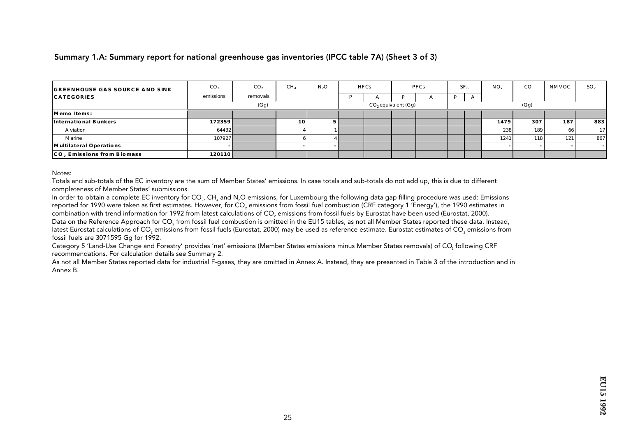#### Summary 1.A: Summary report for national greenhouse gas inventories (IPCC table 7A) (Sheet 3 of 3)

| <b>GREENHOUSE GAS SOURCE AND SINK</b> | CO <sub>2</sub> | CO <sub>2</sub> | CH <sub>4</sub> | $N_2O$ | <b>HFCs</b> |                       | PFCs | SF <sub>6</sub> | $NO_{v}$ | $_{\rm CO}$ | NMVOC | SO <sub>2</sub> |
|---------------------------------------|-----------------|-----------------|-----------------|--------|-------------|-----------------------|------|-----------------|----------|-------------|-------|-----------------|
| <b>CATEGORIES</b>                     | emissions       | removals        |                 |        |             |                       |      | Ð               |          |             |       |                 |
|                                       |                 | (Gg)            |                 |        |             | $CO2$ equivalent (Gg) |      |                 |          | (Gg)        |       |                 |
| Memo Items:                           |                 |                 |                 |        |             |                       |      |                 |          |             |       |                 |
| International Bunkers                 | 172359          |                 | 10 <sup> </sup> |        |             |                       |      |                 | 1479     | 307         | 187   | 883             |
| A viation                             | 64432           |                 |                 |        |             |                       |      |                 | 238      | 189         | 66    | 17              |
| Marine                                | 107927          |                 |                 |        |             |                       |      |                 | 1241     | 118         | 121   | 867             |
| Multilateral Operations               |                 |                 |                 |        |             |                       |      |                 |          |             |       |                 |
| CO. Emissions from Biomass            | 120110          |                 |                 |        |             |                       |      |                 |          |             |       |                 |

Notes:

Totals and sub-totals of the EC inventory are the sum of Member States' emissions. In case totals and sub-totals do not add up, this is due to different completeness of Member States' submissions.

In order to obtain a complete EC inventory for CO<sub>2</sub>, CH, and N<sub>2</sub>O emissions, for Luxembourg the following data gap filling procedure was used: Emissions reported for 1990 were taken as first estimates. However, for CO<sub>3</sub> emissions from fossil fuel combustion (CRF category 1 'Energy'), the 1990 estimates in combination with trend information for 1992 from latest calculations of CO<sub>2</sub> emissions from fossil fuels by Eurostat have been used (Eurostat, 2000). Data on the Reference Approach for CO<sub>2</sub> from fossil fuel combustion is omitted in the EU15 tables, as not all Member States reported these data. Instead, latest Eurostat calculations of CO<sub>2</sub> emissions from fossil fuels (Eurostat, 2000) may be used as reference estimate. Eurostat estimates of CO<sub>2</sub> emissions from fossil fuels are 3071595 Gq for 1992.

Category 5 'Land-Use Change and Forestry' provides 'net' emissions (Member States emissions minus Member States removals) of CO<sub>2</sub> following CRF recommendations. For calculation details see Summary 2.

As not all Member States reported data for industrial F-gases, they are omitted in Annex A. Instead, they are presented in Table 3 of the introduction and in Annex B.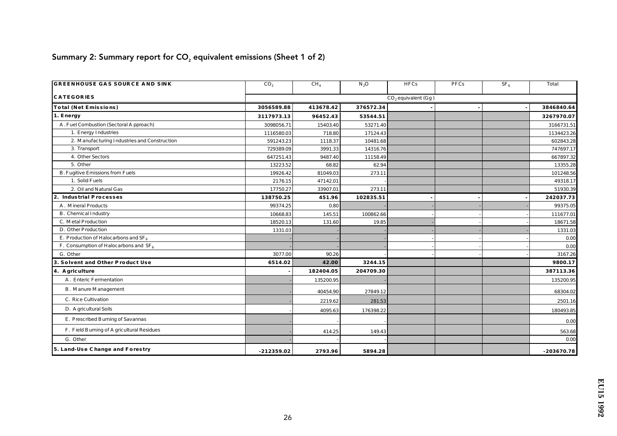# Summary 2: Summary report for  $CO<sub>2</sub>$  equivalent emissions (Sheet 1 of 2)

| <b>GREENHOUSE GAS SOURCE AND SINK</b>        | CO <sub>2</sub> | CH <sub>4</sub> | $N_2O$    | <b>HFCs</b>           | PFCs | SF <sub>6</sub> | Total        |
|----------------------------------------------|-----------------|-----------------|-----------|-----------------------|------|-----------------|--------------|
| <b>CATEGORIES</b>                            |                 |                 |           | $CO2$ equivalent (Gg) |      |                 |              |
| Total (Net Emissions)                        | 3056589.88      | 413678.42       | 376572.34 |                       |      |                 | 3846840.64   |
| 1. Energy                                    | 3117973.13      | 96452.43        | 53544.51  |                       |      |                 | 3267970.07   |
| A. Fuel Combustion (Sectoral Approach)       | 3098056.71      | 15403.40        | 53271.40  |                       |      |                 | 3166731.51   |
| 1. Energy Industries                         | 1116580.03      | 718.80          | 17124.43  |                       |      |                 | 1134423.26   |
| 2. Manufacturing Industries and Construction | 591243.23       | 1118.37         | 10481.68  |                       |      |                 | 602843.28    |
| 3. Transport                                 | 729389.09       | 3991.33         | 14316.76  |                       |      |                 | 747697.17    |
| 4. Other Sectors                             | 647251.43       | 9487.40         | 11158.49  |                       |      |                 | 667897.32    |
| 5. Other                                     | 13223.52        | 68.82           | 62.94     |                       |      |                 | 13355.28     |
| <b>B.</b> Fugitive Emissions from Fuels      | 19926.42        | 81049.03        | 273.11    |                       |      |                 | 101248.56    |
| 1. Solid Fuels                               | 2176.15         | 47142.01        |           |                       |      |                 | 49318.17     |
| 2. Oil and Natural Gas                       | 17750.27        | 33907.01        | 273.11    |                       |      |                 | 51930.39     |
| 2. Industrial Processes                      | 138750.25       | 451.96          | 102835.51 |                       |      |                 | 242037.73    |
| A. Mineral Products                          | 99374.25        | 0.80            |           |                       |      |                 | 99375.05     |
| <b>B.</b> Chemical Industry                  | 10668.83        | 145.51          | 100862.66 |                       |      |                 | 111677.01    |
| C. Metal Production                          | 18520.13        | 131.60          | 19.85     |                       |      |                 | 18671.58     |
| D. Other Production                          | 1331.03         |                 |           |                       |      |                 | 1331.03      |
| E. Production of Haloc arbons and $SF6$      |                 |                 |           |                       |      |                 | 0.00         |
| F. Consumption of Halocarbons and $SF6$      |                 |                 |           |                       |      |                 | 0.00         |
| G. Other                                     | 3077.00         | 90.26           |           |                       |      |                 | 3167.26      |
| 3. Solvent and Other Product Use             | 6514.02         | 42.00           | 3244.15   |                       |      |                 | 9800.17      |
| 4. A griculture                              |                 | 182404.05       | 204709.30 |                       |      |                 | 387113.36    |
| A. Enteric Fermentation                      |                 | 135200.95       |           |                       |      |                 | 135200.95    |
| <b>B.</b> Manure Management                  |                 | 40454.90        | 27849.12  |                       |      |                 | 68304.02     |
| C. Rice Cultivation                          |                 | 2219.62         | 281.53    |                       |      |                 | 2501.16      |
| D. A gric ultural Soils                      |                 | 4095.63         | 176398.22 |                       |      |                 | 180493.85    |
| E. Prescribed Burning of Savannas            |                 |                 |           |                       |      |                 | 0.00         |
| F. Field Burning of A gric ultural Residues  |                 | 414.25          | 149.43    |                       |      |                 | 563.68       |
| G. Other                                     |                 |                 |           |                       |      |                 | 0.00         |
| 5. Land-Use Change and Forestry              | $-212359.02$    | 2793.96         | 5894.28   |                       |      |                 | $-203670.78$ |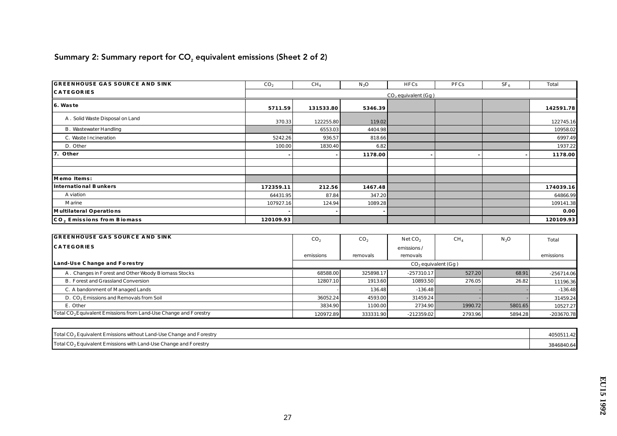# Summary 2: Summary report for  $CO<sub>2</sub>$  equivalent emissions (Sheet 2 of 2)

| <b>GREENHOUSE GAS SOURCE AND SINK</b> | CO <sub>2</sub> | CH <sub>4</sub> | $N_2O$  | <b>HFCs</b>           | PFCs | SF <sub>6</sub> | Total     |
|---------------------------------------|-----------------|-----------------|---------|-----------------------|------|-----------------|-----------|
| <b>CATEGORIES</b>                     |                 |                 |         | $CO2$ equivalent (Gg) |      |                 |           |
| 6. Waste                              | 5711.59         | 131533.80       | 5346.39 |                       |      |                 | 142591.78 |
| A. Solid Waste Disposal on Land       | 370.33          | 122255.80       | 119.02  |                       |      |                 | 122745.16 |
| <b>B.</b> Wastewater Handling         |                 | 6553.03         | 4404.98 |                       |      |                 | 10958.02  |
| C. Waste Incineration                 | 5242.26         | 936.57          | 818.66  |                       |      |                 | 6997.49   |
| D. Other                              | 100.00          | 1830.40         | 6.82    |                       |      |                 | 1937.22   |
| 7. Other                              |                 |                 | 1178.00 |                       |      |                 | 1178.00   |
|                                       |                 |                 |         |                       |      |                 |           |
|                                       |                 |                 |         |                       |      |                 |           |
| Memo Items:                           |                 |                 |         |                       |      |                 |           |
| International Bunkers                 | 172359.11       | 212.56          | 1467.48 |                       |      |                 | 174039.16 |
| A viation                             | 64431.95        | 87.84           | 347.20  |                       |      |                 | 64866.99  |
| Marine                                | 107927.16       | 124.94          | 1089.28 |                       |      |                 | 109141.38 |
| Multilateral Operations               |                 |                 |         |                       |      |                 | 0.00      |
| CO, Emissions from Biomass            | 120109.93       |                 |         |                       |      |                 | 120109.93 |

| <b>GREENHOUSE GAS SOURCE AND SINK</b>                                        | CO <sub>2</sub> | CO <sub>2</sub> | NetCO <sub>2</sub>       | CH <sub>4</sub> | N <sub>2</sub> O | Total        |
|------------------------------------------------------------------------------|-----------------|-----------------|--------------------------|-----------------|------------------|--------------|
| <b>CATEGORIES</b>                                                            |                 |                 | emissions/               |                 |                  |              |
|                                                                              | emissions       | removals        | removals                 |                 |                  | emissions    |
| Land-Use Change and Forestry                                                 |                 |                 | $CO$ , equivalent $(Gg)$ |                 |                  |              |
| A. Changes in Forest and Other Woody Biomass Stocks                          | 68588.00        | 325898.17       | $-257310.17$             | 527.20          | 68.91            | $-256714.06$ |
| <b>B. Forest and Grassland Conversion</b>                                    | 12807.10        | 1913.60         | 10893.50                 | 276.05          | 26.82            | 11196.36     |
| C. A bandonment of Managed Lands                                             |                 | 136.48          | $-136.48$                |                 |                  | $-136.48$    |
| D. CO <sub>2</sub> Emissions and Removals from Soil                          | 36052.24        | 4593.00         | 31459.24                 |                 |                  | 31459.24     |
| E. Other                                                                     | 3834.90         | 1100.00         | 2734.90                  | 1990.72         | 5801.65          | 10527.27     |
| Total CO <sub>2</sub> Equivalent Emissions from Land-Use Change and Forestry | 120972.89       | 333331.90       | $-212359.02$             | 2793.96         | 5894.28          | $-203670.78$ |

| Total CO <sub>2</sub> Equivalent Emissions without Land-Use Change and Forestry | 4050511.42 |
|---------------------------------------------------------------------------------|------------|
| Total CO <sub>2</sub> Equivalent Emissions with Land-Use Change and Forestry    | 3846840.64 |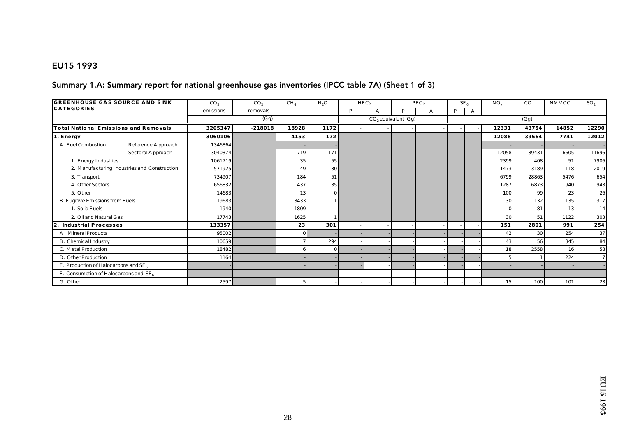#### EU15 1993

#### Summary 1.A: Summary report for national greenhouse gas inventories (IPCC table 7A) (Sheet 1 of 3)

| <b>GREENHOUSE GAS SOURCE AND SINK</b>    |                                              | CO <sub>2</sub> | CO <sub>2</sub> | CH <sub>4</sub> | $N_2O$   |   | <b>HFCs</b> |                       | <b>PFCs</b> |   | SF <sub>6</sub> | $NO_x$ | $_{\rm CO}$ | NMVOC | SO <sub>2</sub> |
|------------------------------------------|----------------------------------------------|-----------------|-----------------|-----------------|----------|---|-------------|-----------------------|-------------|---|-----------------|--------|-------------|-------|-----------------|
| <b>CATEGORIES</b>                        |                                              | emissions       | removals        |                 |          | P |             | D                     |             | P |                 |        |             |       |                 |
|                                          |                                              |                 | (Gg)            |                 |          |   |             | $CO2$ equivalent (Gg) |             |   |                 |        | (Gg)        |       |                 |
| Total National Emissions and Removals    |                                              | 3205347         | $-218018$       | 18928           | 1172     |   |             |                       |             |   |                 | 12331  | 43754       | 14852 | 12290           |
| 1. Energy                                |                                              | 3060106         |                 | 4153            | 172      |   |             |                       |             |   |                 | 12088  | 39564       | 7741  | 12012           |
| A. Fuel Combustion                       | Reference Approach                           | 1346864         |                 |                 |          |   |             |                       |             |   |                 |        |             |       |                 |
|                                          | Sectoral Approach                            | 3040374         |                 | 719             | 171      |   |             |                       |             |   |                 | 12058  | 39431       | 6605  | 11696           |
| 1. Energy Industries                     |                                              | 1061719         |                 | 35              | 55       |   |             |                       |             |   |                 | 2399   | 408         | 51    | 7906            |
|                                          | 2. Manufacturing Industries and Construction | 571925          |                 | 49              | 30       |   |             |                       |             |   |                 | 1473   | 3189        | 118   | 2019            |
| 3. Transport                             |                                              | 734907          |                 | 184             | 51       |   |             |                       |             |   |                 | 6799   | 28863       | 5476  | 654             |
| 4. Other Sectors                         |                                              | 656832          |                 | 437             | 35       |   |             |                       |             |   |                 | 1287   | 6873        | 940   | 943             |
| 5. Other                                 |                                              | 14683           |                 | 13              | $\Omega$ |   |             |                       |             |   |                 | 100    | 99          | 23    | 26              |
| <b>B. Fugitive Emissions from Fuels</b>  |                                              | 19683           |                 | 3433            |          |   |             |                       |             |   |                 | 30     | 132         | 1135  | 317             |
| 1. Solid Fuels                           |                                              | 1940            |                 | 1809            |          |   |             |                       |             |   |                 |        | 81          | 13    | 14              |
| 2. Oil and Natural Gas                   |                                              | 17743           |                 | 1625            |          |   |             |                       |             |   |                 | 30     | 51          | 1122  | 303             |
| Industrial Processes<br>2.               |                                              | 133357          |                 | 23              | 301      |   |             |                       |             |   |                 | 151    | 2801        | 991   | 254             |
| A. Mineral Products                      |                                              | 95002           |                 | $\overline{0}$  |          |   |             |                       |             |   |                 | 42     | 30          | 254   | 37              |
| <b>B.</b> Chemical Industry              |                                              | 10659           |                 |                 | 294      |   |             |                       |             |   |                 | 43     | 56          | 345   | 84              |
| C. Metal Production                      |                                              | 18482           |                 | 6               | $\Omega$ |   |             |                       |             |   |                 | 18     | 2558        | 16    | 58              |
| D. Other Production                      |                                              | 1164            |                 |                 |          |   |             |                       |             |   |                 |        |             | 224   |                 |
| E. Production of Haloc arbons and $SF_6$ |                                              |                 |                 |                 |          |   |             |                       |             |   |                 |        |             |       |                 |
| F. Consumption of Halocarbons and $SF_6$ |                                              |                 |                 |                 |          |   |             |                       |             |   |                 |        |             |       |                 |
| G. Other                                 |                                              | 2597            |                 |                 |          |   |             |                       |             |   |                 | 15     | 100         | 101   | 23              |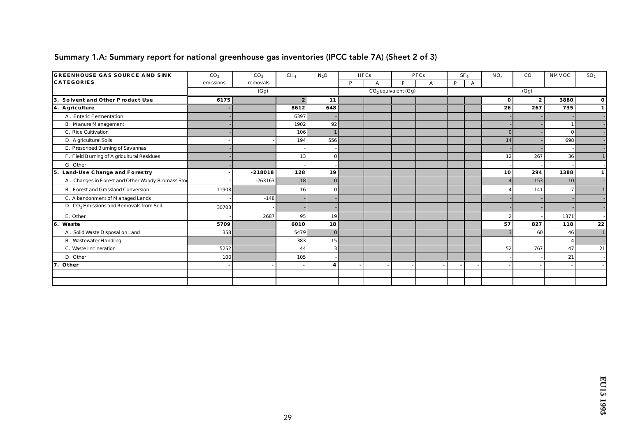| <b>GREENHOUSE GAS SOURCE AND SINK</b>               | CO <sub>2</sub> | CO <sub>2</sub> | CH <sub>4</sub> | $N_2O$       |   | <b>HFCs</b> |                       | <b>PFCs</b> | SF <sub>a</sub> |   | $NO_x$         | $_{\rm CO}$ | NMVOC           | SO <sub>2</sub> |
|-----------------------------------------------------|-----------------|-----------------|-----------------|--------------|---|-------------|-----------------------|-------------|-----------------|---|----------------|-------------|-----------------|-----------------|
| <b>CATEGORIES</b>                                   | emissions       | removals        |                 |              | P | A           | P                     | A           | P               | A |                |             |                 |                 |
|                                                     |                 | (Gg)            |                 |              |   |             | $CO2$ equivalent (Gg) |             |                 |   |                | (Gg)        |                 |                 |
| Solvent and Other Product Use<br>3.                 | 6175            |                 | $2^{\circ}$     | 11           |   |             |                       |             |                 |   | $\bf{0}$       |             | 3880            | $\bf{0}$        |
| 4. A griculture                                     |                 |                 | 8612            | 648          |   |             |                       |             |                 |   | 26             | 267         | 735             |                 |
| A. Enteric Fermentation                             |                 |                 | 6397            |              |   |             |                       |             |                 |   |                |             |                 |                 |
| <b>B.</b> Manure Management                         |                 |                 | 1902            | 92           |   |             |                       |             |                 |   |                |             |                 |                 |
| C. Rice Cultivation                                 |                 |                 | 106             |              |   |             |                       |             |                 |   | $\Omega$       |             | $\mathbf{0}$    |                 |
| D. A gric ultural Soils                             |                 |                 | 194             | 556          |   |             |                       |             |                 |   | 14             |             | 698             |                 |
| E. Prescribed Burning of Savannas                   |                 |                 |                 |              |   |             |                       |             |                 |   |                |             |                 |                 |
| F. Field Burning of A gric ultural Residues         |                 |                 | 13              | $\Omega$     |   |             |                       |             |                 |   | 12             | 267         | 36              |                 |
| G. Other                                            |                 |                 |                 |              |   |             |                       |             |                 |   |                |             |                 |                 |
| 5. Land-Use Change and Forestry                     |                 | $-218018$       | 128             | 19           |   |             |                       |             |                 |   | 10             | 294         | 1388            |                 |
| A. Changes in Forest and Other Woody Biomass Stoc   |                 | $-263163$       | 18              | $\theta$     |   |             |                       |             |                 |   |                | 153         | 10 <sup>1</sup> |                 |
| <b>B.</b> Forest and Grassland Conversion           | 11903           |                 | 16              | $\mathbf{0}$ |   |             |                       |             |                 |   |                | 141         | $\overline{7}$  |                 |
| C. A bandonment of Managed Lands                    |                 | $-148$          |                 |              |   |             |                       |             |                 |   |                |             |                 |                 |
| D. CO <sub>2</sub> Emissions and Removals from Soil | 30703           |                 |                 |              |   |             |                       |             |                 |   |                |             |                 |                 |
| E. Other                                            |                 | 2687            | 95              | 19           |   |             |                       |             |                 |   | $\overline{2}$ |             | 1371            |                 |
| 6. Waste                                            | 5709            |                 | 6010            | 18           |   |             |                       |             |                 |   | 57             | 827         | 118             | 22              |
| A. Solid Waste Disposal on Land                     | 358             |                 | 5479            | $\mathbf{0}$ |   |             |                       |             |                 |   |                | 60          | 46              |                 |
| <b>B.</b> Wastewater Handling                       |                 |                 | 383             | 15           |   |             |                       |             |                 |   |                |             |                 |                 |
| C. Waste Incineration                               | 5252            |                 | 44              | $\vert$ 3    |   |             |                       |             |                 |   | 52             | 767         | 47              | 21              |
| D. Other                                            | 100             |                 | 105             |              |   |             |                       |             |                 |   |                |             | 21              |                 |
| 7.<br>Other                                         |                 |                 |                 | 4            |   |             |                       |             |                 |   |                |             |                 |                 |
|                                                     |                 |                 |                 |              |   |             |                       |             |                 |   |                |             |                 |                 |
|                                                     |                 |                 |                 |              |   |             |                       |             |                 |   |                |             |                 |                 |

### Summary 1.A: Summary report for national greenhouse gas inventories (IPCC table 7A) (Sheet 2 of 3)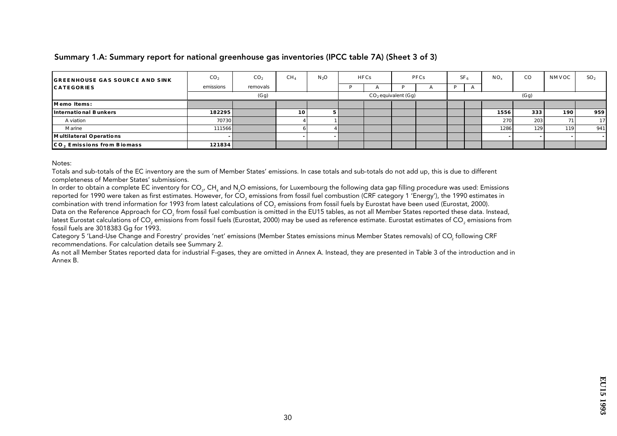Summary 1.A: Summary report for national greenhouse gas inventories (IPCC table 7A) (Sheet 3 of 3)

| <b>GREENHOUSE GAS SOURCE AND SINK</b> | CO <sub>2</sub> | CO <sub>2</sub> | CH <sub>4</sub> | $N_2O$ | <b>HFCs</b> | <b>PFCs</b>              |  | SF <sub>e</sub> |  | $NO_{v}$ | CO   | NMVOC | SO <sub>2</sub> |
|---------------------------------------|-----------------|-----------------|-----------------|--------|-------------|--------------------------|--|-----------------|--|----------|------|-------|-----------------|
| <b>CATEGORIES</b>                     | emissions       | removals        |                 |        | A           |                          |  | D               |  |          |      |       |                 |
|                                       |                 | (Gg)            |                 |        |             | $CO$ , equivalent $(Gg)$ |  |                 |  |          | (Gg) |       |                 |
| Memo Items:                           |                 |                 |                 |        |             |                          |  |                 |  |          |      |       |                 |
| International Bunkers                 | 182295          |                 | 10              |        |             |                          |  |                 |  | 1556     | 333  | 190   | 959             |
| A viation                             | 70730           |                 |                 |        |             |                          |  |                 |  | 270      | 203  | 71    | 17 <sup>1</sup> |
| Marine                                | 111566          |                 |                 |        |             |                          |  |                 |  | 1286     | 129  | 119   | 941             |
| Multilateral Operations               |                 |                 |                 |        |             |                          |  |                 |  |          |      |       |                 |
| CO. Emissions from Biomass            | 121834          |                 |                 |        |             |                          |  |                 |  |          |      |       |                 |

Notes:

Totals and sub-totals of the EC inventory are the sum of Member States' emissions. In case totals and sub-totals do not add up, this is due to different completeness of Member States' submissions.

In order to obtain a complete EC inventory for CO<sub>2</sub>, CH<sub>4</sub> and N<sub>2</sub>O emissions, for Luxembourg the following data gap filling procedure was used: Emissions reported for 1990 were taken as first estimates. However, for CO<sub>2</sub> emissions from fossil fuel combustion (CRF category 1 'Energy'), the 1990 estimates in combination with trend information for 1993 from latest calculations of CO<sub>2</sub> emissions from fossil fuels by Eurostat have been used (Eurostat, 2000).

Data on the Reference Approach for CO<sub>2</sub> from fossil fuel combustion is omitted in the EU15 tables, as not all Member States reported these data. Instead, latest Eurostat calculations of CO<sub>2</sub> emissions from fossil fuels (Eurostat, 2000) may be used as reference estimate. Eurostat estimates of CO<sub>2</sub> emissions from fossil fuels are 3018383 Gq for 1993.

Category 5 'Land-Use Change and Forestry' provides 'net' emissions (Member States emissions minus Member States removals) of CO<sub>2</sub> following CRF recommendations. For calculation details see Summary 2.

As not all Member States reported data for industrial F-gases, they are omitted in Annex A. Instead, they are presented in Table 3 of the introduction and in Annex B.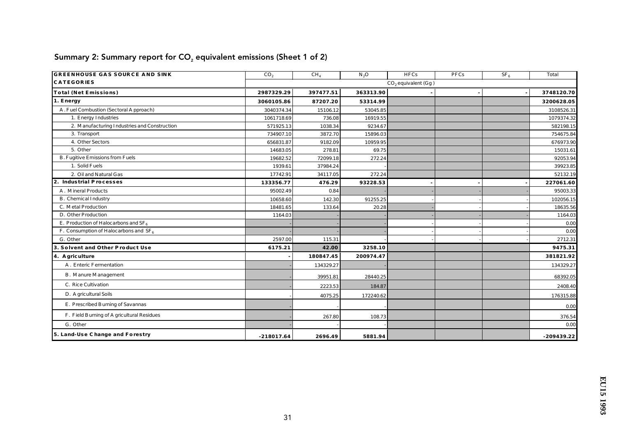| <b>GREENHOUSE GAS SOURCE AND SINK</b>        | CO <sub>2</sub> | CH <sub>4</sub> | $N_2O$    | <b>HFCs</b>           | PFCs | SF <sub>6</sub> | Total        |
|----------------------------------------------|-----------------|-----------------|-----------|-----------------------|------|-----------------|--------------|
| <b>CATEGORIES</b>                            |                 |                 |           | $CO2$ equivalent (Gg) |      |                 |              |
| Total (Net Emissions)                        | 2987329.29      | 397477.51       | 363313.90 |                       |      |                 | 3748120.70   |
| 1. Energy                                    | 3060105.86      | 87207.20        | 53314.99  |                       |      |                 | 3200628.05   |
| A. Fuel Combustion (Sectoral Approach)       | 3040374.34      | 15106.12        | 53045.85  |                       |      |                 | 3108526.31   |
| 1. Energy Industries                         | 1061718.69      | 736.08          | 16919.55  |                       |      |                 | 1079374.32   |
| 2. Manufacturing Industries and Construction | 571925.13       | 1038.34         | 9234.67   |                       |      |                 | 582198.15    |
| 3. Transport                                 | 734907.10       | 3872.70         | 15896.03  |                       |      |                 | 754675.84    |
| 4. Other Sectors                             | 656831.87       | 9182.09         | 10959.95  |                       |      |                 | 676973.90    |
| 5. Other                                     | 14683.05        | 278.81          | 69.75     |                       |      |                 | 15031.61     |
| <b>B. Fugitive Emissions from Fuels</b>      | 19682.52        | 72099.18        | 272.24    |                       |      |                 | 92053.94     |
| 1. Solid Fuels                               | 1939.61         | 37984.24        |           |                       |      |                 | 39923.85     |
| 2. Oil and Natural Gas                       | 17742.91        | 34117.05        | 272.24    |                       |      |                 | 52132.19     |
| 2. Industrial Processes                      | 133356.77       | 476.29          | 93228.53  |                       |      |                 | 227061.60    |
| A. Mineral Products                          | 95002.49        | 0.84            |           |                       |      |                 | 95003.33     |
| B. Chemical Industry                         | 10658.60        | 142.30          | 91255.25  |                       |      |                 | 102056.15    |
| C. Metal Production                          | 18481.65        | 133.64          | 20.28     |                       |      |                 | 18635.56     |
| D. Other Production                          | 1164.03         |                 |           |                       |      |                 | 1164.03      |
| E. Production of Haloc arbons and $SF_6$     |                 |                 |           |                       |      |                 | 0.00         |
| F. Consumption of Haloc arbons and $SF_6$    |                 |                 |           |                       |      |                 | 0.00         |
| G. Other                                     | 2597.00         | 115.31          |           |                       |      |                 | 2712.31      |
| 3. Solvent and Other Product Use             | 6175.21         | 42.00           | 3258.10   |                       |      |                 | 9475.31      |
| 4. A griculture                              |                 | 180847.45       | 200974.47 |                       |      |                 | 381821.92    |
| A. Enteric Fermentation                      |                 | 134329.27       |           |                       |      |                 | 134329.27    |
| <b>B.</b> Manure Management                  |                 | 39951.81        | 28440.25  |                       |      |                 | 68392.05     |
| C. Rice Cultivation                          |                 | 2223.53         | 184.87    |                       |      |                 | 2408.40      |
| D. A gric ultural Soils                      |                 | 4075.25         | 172240.62 |                       |      |                 | 176315.88    |
| E. Prescribed Burning of Savannas            |                 |                 |           |                       |      |                 | 0.00         |
| F. Field Burning of A gric ultural Residues  |                 | 267.80          | 108.73    |                       |      |                 | 376.54       |
| G. Other                                     |                 |                 |           |                       |      |                 | 0.00         |
| 5. Land-Use Change and Forestry              | $-218017.64$    | 2696.49         | 5881.94   |                       |      |                 | $-209439.22$ |

# Summary 2: Summary report for  $CO<sub>2</sub>$  equivalent emissions (Sheet 1 of 2)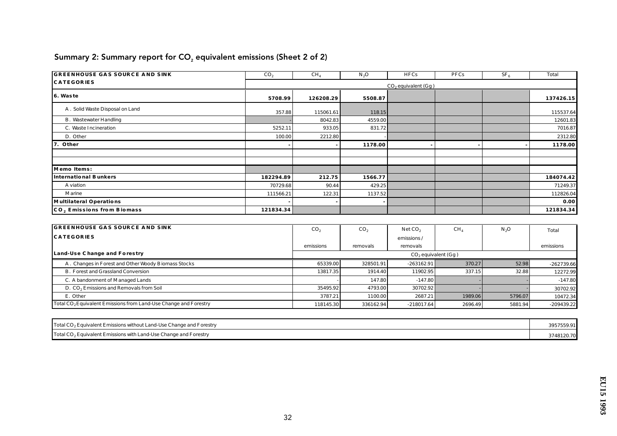| <b>GREENHOUSE GAS SOURCE AND SINK</b> | CO <sub>2</sub> | CH <sub>4</sub> | $N_2O$  | <b>HFCs</b>              | PFCs | SF <sub>6</sub> | Total     |
|---------------------------------------|-----------------|-----------------|---------|--------------------------|------|-----------------|-----------|
| <b>CATEGORIES</b>                     |                 |                 |         | $CO$ , equivalent $(Gg)$ |      |                 |           |
| 6. Waste                              | 5708.99         | 126208.29       | 5508.87 |                          |      |                 | 137426.15 |
| A. Solid Waste Disposal on Land       | 357.88          | 115061.61       | 118.15  |                          |      |                 | 115537.64 |
| <b>B.</b> Wastewater Handling         |                 | 8042.83         | 4559.00 |                          |      |                 | 12601.83  |
| C. Waste Incineration                 | 5252.11         | 933.05          | 831.72  |                          |      |                 | 7016.87   |
| D. Other                              | 100.00          | 2212.80         |         |                          |      |                 | 2312.80   |
| 7. Other                              |                 |                 | 1178.00 |                          |      |                 | 1178.00   |
|                                       |                 |                 |         |                          |      |                 |           |
|                                       |                 |                 |         |                          |      |                 |           |
| Memo Items:                           |                 |                 |         |                          |      |                 |           |
| International Bunkers                 | 182294.89       | 212.75          | 1566.77 |                          |      |                 | 184074.42 |
| A viation                             | 70729.68        | 90.44           | 429.25  |                          |      |                 | 71249.37  |
| Marine                                | 111566.21       | 122.31          | 1137.52 |                          |      |                 | 112826.04 |
| Multilateral Operations               |                 |                 |         |                          |      |                 | 0.00      |
| CO, Emissions from Biomass            | 121834.34       |                 |         |                          |      |                 | 121834.34 |

# Summary 2: Summary report for  $CO<sub>2</sub>$  equivalent emissions (Sheet 2 of 2)

| <b>GREENHOUSE GAS SOURCE AND SINK</b>                                        | CO <sub>2</sub> | CO,       | NetCO <sub>2</sub>    | CH <sub>4</sub> | $N_{2}O$ | Total        |
|------------------------------------------------------------------------------|-----------------|-----------|-----------------------|-----------------|----------|--------------|
| <b>CATEGORIES</b>                                                            |                 |           | emissions/            |                 |          |              |
|                                                                              | emissions       | removals  | removals              |                 |          | emissions    |
| Land-Use Change and Forestry                                                 |                 |           | $CO2$ equivalent (Gg) |                 |          |              |
| A. Changes in Forest and Other Woody Biomass Stocks                          | 65339.00        | 328501.91 | $-263162.91$          | 370.27          | 52.98    | $-262739.66$ |
| <b>B.</b> Forest and Grassland Conversion                                    | 13817.35        | 1914.40   | 11902.95              | 337.15          | 32.88    | 12272.99     |
| C. A bandonment of Managed Lands                                             |                 | 147.80    | $-147.80$             |                 |          | $-147.80$    |
| D. CO <sub>2</sub> Emissions and Removals from Soil                          | 35495.92        | 4793.00   | 30702.92              |                 |          | 30702.92     |
| E. Other                                                                     | 3787.21         | 1100.00   | 2687.21               | 1989.06         | 5796.07  | 10472.34     |
| Total CO <sub>2</sub> Equivalent Emissions from Land-Use Change and Forestry | 118145.30       | 336162.94 | $-218017.64$          | 2696.49         | 5881.94  | $-209439.22$ |

| Total CO <sub>2</sub> Equivalent Emissions without Land-Use Change and Forestry | 3957559.91 |
|---------------------------------------------------------------------------------|------------|
| Total CO <sub>2</sub> Equivalent Emissions with Land-Use Change and Forestry    | 3748120.70 |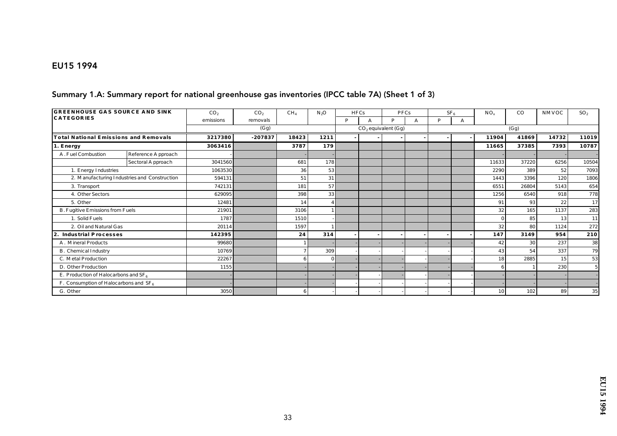#### EU15 1994

#### Summary 1.A: Summary report for national greenhouse gas inventories (IPCC table 7A) (Sheet 1 of 3)

| <b>GREENHOUSE GAS SOURCE AND SINK</b>     |                                              | CO <sub>2</sub> | CO <sub>2</sub> | CH <sub>4</sub> | $N_2O$   |   | <b>HFCs</b> | <b>PFCs</b>           |   |   | SF <sub>e</sub> | $NO_{v}$ | $_{\rm CO}$ | <b>NMVOC</b> | SO <sub>2</sub> |
|-------------------------------------------|----------------------------------------------|-----------------|-----------------|-----------------|----------|---|-------------|-----------------------|---|---|-----------------|----------|-------------|--------------|-----------------|
| <b>CATEGORIES</b>                         |                                              | emissions       | removals        |                 |          | P |             | P                     | A | D | А               |          |             |              |                 |
|                                           |                                              |                 | (Gg)            |                 |          |   |             | $CO2$ equivalent (Gg) |   |   |                 |          | (Gg)        |              |                 |
| Total National Emissions and Removals     |                                              | 3217380         | $-207837$       | 18423           | 1211     |   |             |                       |   |   |                 | 11904    | 41869       | 14732        | 11019           |
| 1. Energy                                 |                                              | 3063416         |                 | 3787            | 179      |   |             |                       |   |   |                 | 11665    | 37385       | 7393         | 10787           |
| A. Fuel Combustion                        | Reference Approach                           |                 |                 |                 |          |   |             |                       |   |   |                 |          |             |              |                 |
|                                           | Sectoral Approach                            | 3041560         |                 | 681             | 178      |   |             |                       |   |   |                 | 11633    | 37220       | 6256         | 10504           |
| 1. Energy Industries                      |                                              | 1063530         |                 | 36              | 53       |   |             |                       |   |   |                 | 2290     | 389         | 52           | 7093            |
|                                           | 2. Manufacturing Industries and Construction | 594131          |                 | 51              | 31       |   |             |                       |   |   |                 | 1443     | 3396        | 120          | 1806            |
| 3. Transport                              |                                              | 742131          |                 | 181             | 57       |   |             |                       |   |   |                 | 6551     | 26804       | 5143         | 654             |
| 4. Other Sectors                          |                                              | 629095          |                 | 398             | 33       |   |             |                       |   |   |                 | 1256     | 6540        | 918          | 778             |
| 5. Other                                  |                                              | 12481           |                 | 14              |          |   |             |                       |   |   |                 | 91       | 93          | 22           | 17              |
| <b>B. Fugitive Emissions from Fuels</b>   |                                              | 21901           |                 | 3106            |          |   |             |                       |   |   |                 | 32       | 165         | 1137         | 283             |
| 1. Solid Fuels                            |                                              | 1787            |                 | 1510            |          |   |             |                       |   |   |                 |          | 85          | 13           | 11              |
| 2. Oil and Natural Gas                    |                                              | 20114           |                 | 1597            |          |   |             |                       |   |   |                 | 32       | 80          | 1124         | 272             |
| Industrial Processes<br>2.                |                                              | 142395          |                 | 24              | 314      |   |             |                       |   |   |                 | 147      | 3149        | 954          | 210             |
| A. Mineral Products                       |                                              | 99680           |                 |                 |          |   |             |                       |   |   |                 | 42       | 30          | 237          | 38              |
| <b>B.</b> Chemical Industry               |                                              | 10769           |                 | 7               | 309      |   |             |                       |   |   |                 | 43       | 54          | 337          | 79              |
| C. Metal Production                       |                                              | 22267           |                 | 6               | $\Omega$ |   |             |                       |   |   |                 | 18       | 2885        | 15           | 53              |
| D. Other Production                       |                                              | 1155            |                 |                 |          |   |             |                       |   |   |                 |          |             | 230          |                 |
| E. Production of Haloc arbons and $SF_6$  |                                              |                 |                 |                 |          |   |             |                       |   |   |                 |          |             |              |                 |
| F. Consumption of Haloc arbons and $SF_6$ |                                              |                 |                 |                 |          |   |             |                       |   |   |                 |          |             |              |                 |
| G. Other                                  |                                              | 3050            |                 | 6               |          |   |             |                       |   |   |                 | 10       | 102         | 89           | 35              |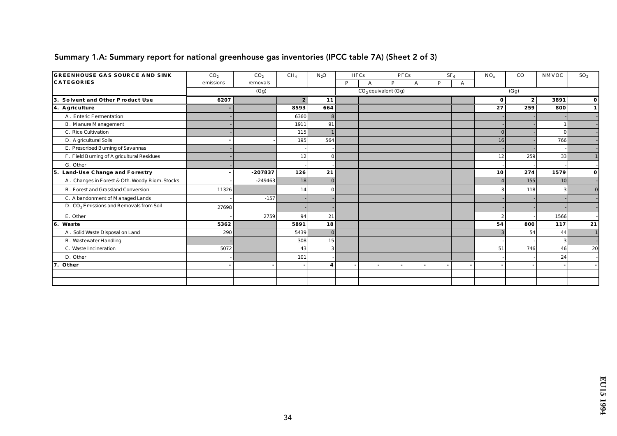| <b>GREENHOUSE GAS SOURCE AND SINK</b>               | CO <sub>2</sub> | CO <sub>2</sub> | CH <sub>4</sub>  | $N_2O$       | <b>HFCs</b> |   | PFCs                  |   |   | SF <sub>6</sub> | $NO_{x}$       | $_{\rm CO}$    | NMVOC    | SO <sub>2</sub> |
|-----------------------------------------------------|-----------------|-----------------|------------------|--------------|-------------|---|-----------------------|---|---|-----------------|----------------|----------------|----------|-----------------|
| <b>CATEGORIES</b>                                   | emissions       | removals        |                  |              | P           | А | P                     | А | D | A               |                |                |          |                 |
|                                                     |                 | (Gg)            |                  |              |             |   | $CO2$ equivalent (Gg) |   |   |                 |                | (Gg)           |          |                 |
| 3. Solvent and Other Product Use                    | 6207            |                 | $\boldsymbol{2}$ | 11           |             |   |                       |   |   |                 | $\bf{0}$       | 2 <sup>2</sup> | 3891     | $\mathbf{0}$    |
| 4. A griculture                                     |                 |                 | 8593             | 664          |             |   |                       |   |   |                 | 27             | 259            | 800      | $\mathbf{1}$    |
| A. Enteric Fermentation                             |                 |                 | 6360             | 8            |             |   |                       |   |   |                 |                |                |          |                 |
| <b>B.</b> Manure Management                         |                 |                 | 1911             | 91           |             |   |                       |   |   |                 |                |                |          |                 |
| C. Rice Cultivation                                 |                 |                 | 115              |              |             |   |                       |   |   |                 | $\Omega$       |                | $\Omega$ |                 |
| D. A gric ultural Soils                             |                 |                 | 195              | 564          |             |   |                       |   |   |                 | 16             |                | 766      |                 |
| E. Prescribed Burning of Savannas                   |                 |                 |                  |              |             |   |                       |   |   |                 |                |                |          |                 |
| F. Field Burning of A gric ultural Residues         |                 |                 | 12               |              |             |   |                       |   |   |                 | 12             | 259            | 33       |                 |
| G. Other                                            |                 |                 |                  |              |             |   |                       |   |   |                 |                |                |          |                 |
| 5. Land-Use Change and Forestry                     |                 | $-207837$       | 126              | 21           |             |   |                       |   |   |                 | 10             | 274            | 1579     | $\mathbf{o}$    |
| A. Changes in Forest & Oth. Woody Biom. Stocks      |                 | $-249463$       | 18               |              |             |   |                       |   |   |                 |                | 155            | 10       |                 |
| <b>B.</b> Forest and Grassland Conversion           | 11326           |                 | 14               |              |             |   |                       |   |   |                 |                | 118            | 3        | $\bf{0}$        |
| C. A bandonment of Managed Lands                    |                 | $-157$          |                  |              |             |   |                       |   |   |                 |                |                |          |                 |
| D. CO <sub>2</sub> Emissions and Removals from Soil | 27698           |                 |                  |              |             |   |                       |   |   |                 |                |                |          |                 |
| E. Other                                            |                 | 2759            | 94               | 21           |             |   |                       |   |   |                 | $\overline{2}$ |                | 1566     |                 |
| 6. Waste                                            | 5362            |                 | 5891             | 18           |             |   |                       |   |   |                 | 54             | 800            | 117      | 21              |
| A. Solid Waste Disposal on Land                     | 290             |                 | 5439             | $\mathbf{0}$ |             |   |                       |   |   |                 |                | 54             | 44       |                 |
| <b>B.</b> Wastewater Handling                       |                 |                 | 308              | 15           |             |   |                       |   |   |                 |                |                | 3        |                 |
| C. Waste Incineration                               | 5072            |                 | 43               | 3            |             |   |                       |   |   |                 | 51             | 746            | 46       | 20              |
| D. Other                                            |                 |                 | 101              |              |             |   |                       |   |   |                 |                |                | 24       |                 |
| 7. Other                                            |                 |                 |                  | 4            |             |   |                       |   |   |                 |                |                |          |                 |
|                                                     |                 |                 |                  |              |             |   |                       |   |   |                 |                |                |          |                 |
|                                                     |                 |                 |                  |              |             |   |                       |   |   |                 |                |                |          |                 |

### Summary 1.A: Summary report for national greenhouse gas inventories (IPCC table 7A) (Sheet 2 of 3)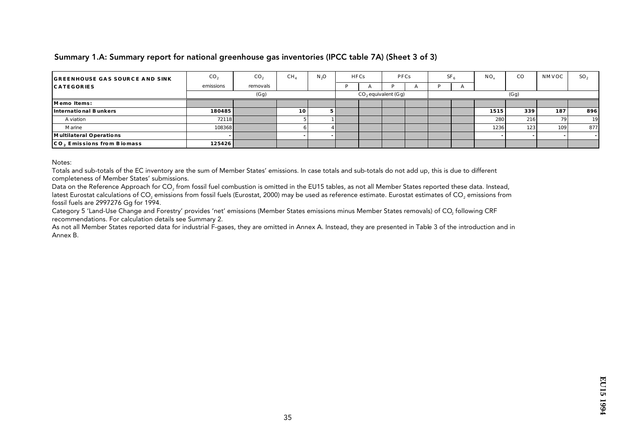#### Summary 1.A: Summary report for national greenhouse gas inventories (IPCC table 7A) (Sheet 3 of 3)

| <b>GREENHOUSE GAS SOURCE AND SINK</b> | CO <sub>2</sub> | CO <sub>2</sub> | CH <sub>4</sub> | N <sub>3</sub> O | HFCs |  | <b>PFCs</b>           |              | SF <sub>6</sub> |          | $NO_{v}$ | $_{\rm CO}$ | NMVOC            | SO <sub>2</sub> |
|---------------------------------------|-----------------|-----------------|-----------------|------------------|------|--|-----------------------|--------------|-----------------|----------|----------|-------------|------------------|-----------------|
| <b>CATEGORIES</b>                     | emissions       | removals        |                 |                  |      |  |                       | $\mathbf{L}$ |                 | $\Gamma$ |          |             |                  |                 |
|                                       |                 | (Gg)            |                 |                  |      |  | $CO2$ equivalent (Gg) |              |                 |          |          | (Gg)        |                  |                 |
| Memo Items:                           |                 |                 |                 |                  |      |  |                       |              |                 |          |          |             |                  |                 |
| International Bunkers                 | 180485          |                 | 10 <sub>1</sub> |                  |      |  |                       |              |                 |          | 1515     | 339         | 187              | 896             |
| A viation                             | 72118           |                 |                 |                  |      |  |                       |              |                 |          | 280      | 216         | 79 I             | 19              |
| Marine                                | 108368          |                 |                 |                  |      |  |                       |              |                 |          | 1236     | 123         | 109 <sup>°</sup> | 877             |
| Multilateral Operations               |                 |                 |                 |                  |      |  |                       |              |                 |          |          |             |                  |                 |
| CO, Emissions from Biomass            | 125426          |                 |                 |                  |      |  |                       |              |                 |          |          |             |                  |                 |

Notes:

Totals and sub-totals of the EC inventory are the sum of Member States' emissions. In case totals and sub-totals do not add up, this is due to different completeness of Member States' submissions.

Data on the Reference Approach for CO<sub>2</sub> from fossil fuel combustion is omitted in the EU15 tables, as not all Member States reported these data. Instead, latest Eurostat calculations of CO<sub>2</sub> emissions from fossil fuels (Eurostat, 2000) may be used as reference estimate. Eurostat estimates of CO<sub>2</sub> emissions from fossil fuels are 2997276 Gg for 1994.

Category 5 'Land-Use Change and Forestry' provides 'net' emissions (Member States emissions minus Member States removals) of CO<sub>2</sub> following CRF recommendations. For calculation details see Summary 2.

As not all Member States reported data for industrial F-gases, they are omitted in Annex A. Instead, they are presented in Table 3 of the introduction and in Annex B.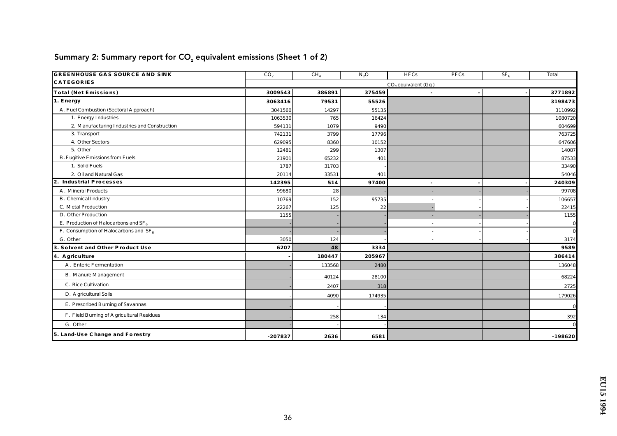| <b>GREENHOUSE GAS SOURCE AND SINK</b>        | CO <sub>2</sub> | CH <sub>4</sub> | $N_2O$ | <b>HFCs</b>           | PFCs | $SF_6$ | Total          |
|----------------------------------------------|-----------------|-----------------|--------|-----------------------|------|--------|----------------|
| <b>CATEGORIES</b>                            |                 |                 |        | $CO2$ equivalent (Gg) |      |        |                |
| Total (Net Emissions)                        | 3009543         | 386891          | 375459 |                       |      |        | 3771892        |
| 1. Energy                                    | 3063416         | 79531           | 55526  |                       |      |        | 3198473        |
| A. Fuel Combustion (Sectoral Approach)       | 3041560         | 14297           | 55135  |                       |      |        | 3110992        |
| 1. Energy Industries                         | 1063530         | 765             | 16424  |                       |      |        | 1080720        |
| 2. Manufacturing Industries and Construction | 594131          | 1079            | 9490   |                       |      |        | 604699         |
| 3. Transport                                 | 742131          | 3799            | 17796  |                       |      |        | 763725         |
| 4. Other Sectors                             | 629095          | 8360            | 10152  |                       |      |        | 647606         |
| 5. Other                                     | 12481           | 299             | 1307   |                       |      |        | 14087          |
| <b>B. Fugitive Emissions from Fuels</b>      | 21901           | 65232           | 401    |                       |      |        | 87533          |
| 1. Solid Fuels                               | 1787            | 31703           |        |                       |      |        | 33490          |
| 2. Oil and Natural Gas                       | 20114           | 33531           | 401    |                       |      |        | 54046          |
| 2. Industrial Processes                      | 142395          | 514             | 97400  |                       |      |        | 240309         |
| A. Mineral Products                          | 99680           | 28              |        |                       |      |        | 99708          |
| B. Chemical Industry                         | 10769           | 152             | 95735  |                       |      |        | 106657         |
| C. Metal Production                          | 22267           | 125             | 22     |                       |      |        | 22415          |
| D. Other Production                          | 1155            |                 |        |                       |      |        | 1155           |
| E. Production of Haloc arbons and $SF_6$     |                 |                 |        |                       |      |        | $\mathbf{0}$   |
| F. Consumption of Haloc arbons and $SF6$     |                 |                 |        |                       |      |        | $\overline{0}$ |
| G. Other                                     | 3050            | 124             |        |                       |      |        | 3174           |
| 3. Solvent and Other Product Use             | 6207            | 48              | 3334   |                       |      |        | 9589           |
| 4. A griculture                              |                 | 180447          | 205967 |                       |      |        | 386414         |
| A. Enteric Fermentation                      |                 | 133568          | 2480   |                       |      |        | 136048         |
| <b>B.</b> Manure Management                  |                 | 40124           | 28100  |                       |      |        | 68224          |
| C. Rice Cultivation                          |                 | 2407            | 318    |                       |      |        | 2725           |
| D. A gric ultural Soils                      |                 | 4090            | 174935 |                       |      |        | 179026         |
| E. Prescribed Burning of Savannas            |                 |                 |        |                       |      |        | $\mathbf{0}$   |
| F. Field Burning of A gric ultural Residues  |                 | 258             | 134    |                       |      |        | 392            |
| G. Other                                     |                 |                 |        |                       |      |        | $\mathbf{0}$   |
| 5. Land-Use Change and Forestry              | $-207837$       | 2636            | 6581   |                       |      |        | $-198620$      |

# Summary 2: Summary report for  $CO<sub>2</sub>$  equivalent emissions (Sheet 1 of 2)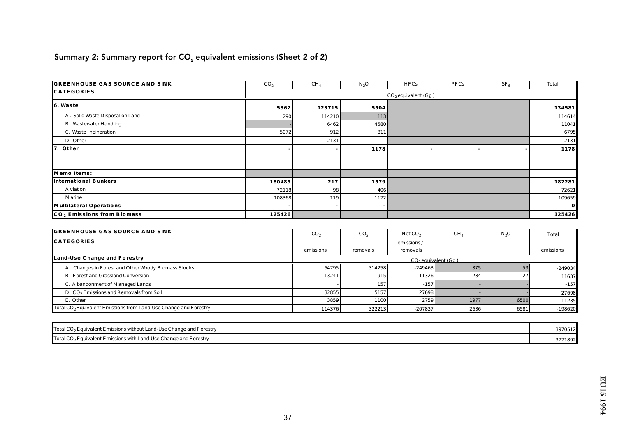# Summary 2: Summary report for  $CO<sub>2</sub>$  equivalent emissions (Sheet 2 of 2)

| <b>GREENHOUSE GAS SOURCE AND SINK</b> | CO <sub>2</sub> | $CH_4$ | $N_2O$ | <b>HFCs</b>           | PFCs | SF <sub>6</sub> | <b>Total</b> |
|---------------------------------------|-----------------|--------|--------|-----------------------|------|-----------------|--------------|
| <b>CATEGORIES</b>                     |                 |        |        | $CO2$ equivalent (Gg) |      |                 |              |
| 6. Waste                              | 5362            | 123715 | 5504   |                       |      |                 | 134581       |
| A. Solid Waste Disposal on Land       | 290             | 114210 | 113    |                       |      |                 | 114614       |
| <b>B.</b> Wastewater Handling         |                 | 6462   | 4580   |                       |      |                 | 11041        |
| C. Waste Incineration                 | 5072            | 912    | 811    |                       |      |                 | 6795         |
| D. Other                              |                 | 2131   |        |                       |      |                 | 2131         |
| 7. Other                              |                 |        | 1178   |                       |      |                 | 1178         |
|                                       |                 |        |        |                       |      |                 |              |
|                                       |                 |        |        |                       |      |                 |              |
| Memo Items:                           |                 |        |        |                       |      |                 |              |
| International Bunkers                 | 180485          | 217    | 1579   |                       |      |                 | 182281       |
| A viation                             | 72118           | 98     | 406    |                       |      |                 | 72621        |
| <b>Marine</b>                         | 108368          | 119    | 1172   |                       |      |                 | 109659       |
| Multilateral Operations               |                 |        |        |                       |      |                 | $\mathbf{0}$ |
| CO, Emissions from Biomass            | 125426          |        |        |                       |      |                 | 125426       |

| <b>GREENHOUSE GAS SOURCE AND SINK</b>                                        | CO <sub>2</sub> | CO <sub>2</sub> | NetCO <sub>2</sub> | CH <sub>4</sub> | $N_2O$ | <b>Total</b> |
|------------------------------------------------------------------------------|-----------------|-----------------|--------------------|-----------------|--------|--------------|
| <b>CATEGORIES</b>                                                            |                 |                 | emissions/         |                 |        |              |
|                                                                              | emissions       | removals        | removals           |                 |        | emissions    |
| Land-Use Change and Forestry                                                 |                 |                 |                    |                 |        |              |
| A. Changes in Forest and Other Woody Biomass Stocks                          | 64795           | 314258          | $-249463$          | 375             |        | $-249034$    |
| <b>B. Forest and Grassland Conversion</b>                                    | 13241           | 1915            | 11326              | 284             |        | 11637        |
| C. A bandonment of Managed Lands                                             |                 | 157             | $-157$             |                 |        | $-157$       |
| D. CO <sub>2</sub> Emissions and Removals from Soil                          | 32855           | 5157            | 27698              |                 |        | 27698        |
| E. Other                                                                     | 3859            | 1100            | 2759               | 1977            | 6500   | 11235        |
| Total CO <sub>2</sub> Equivalent Emissions from Land-Use Change and Forestry | 114376          | 322213          | $-207837$          | 2636            | 6581   | $-198620$    |

| Total CO <sub>2</sub> Equivalent Emissions without Land-Use Change and Forestry | 3970512 |
|---------------------------------------------------------------------------------|---------|
| Total CO <sub>2</sub> Equivalent Emissions with Land-Use Change and Forestry    | 3771892 |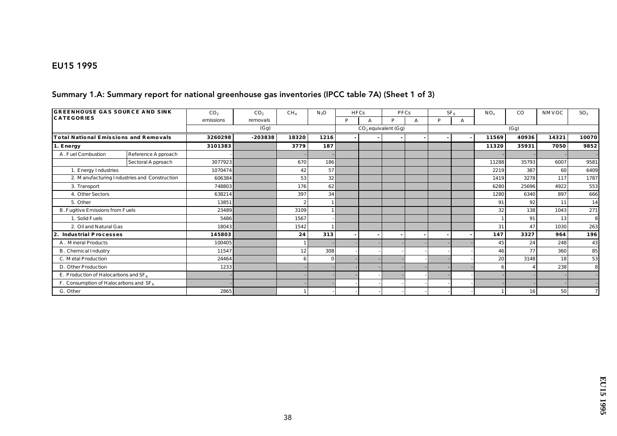#### EU15 1995

#### Summary 1.A: Summary report for national greenhouse gas inventories (IPCC table 7A) (Sheet 1 of 3)

| <b>GREENHOUSE GAS SOURCE AND SINK</b>     |                                              | CO <sub>2</sub> | CO <sub>2</sub> | CH <sub>4</sub>            | $N_2O$   |   | <b>HFCs</b> | <b>PFCs</b>           |   |   | SF <sub>e</sub> | $NO_{v}$                | $_{\rm CO}$ | <b>NMVOC</b> | SO <sub>2</sub> |
|-------------------------------------------|----------------------------------------------|-----------------|-----------------|----------------------------|----------|---|-------------|-----------------------|---|---|-----------------|-------------------------|-------------|--------------|-----------------|
| <b>CATEGORIES</b>                         |                                              | emissions       | removals        |                            |          | P |             | P                     | A | D | А               |                         |             |              |                 |
|                                           |                                              |                 | (Gg)            |                            |          |   |             | $CO2$ equivalent (Gg) |   |   |                 |                         | (Gg)        |              |                 |
| Total National Emissions and Removals     |                                              | 3260298         | $-203838$       | 18320                      | 1216     |   |             |                       |   |   |                 | 40936<br>14321<br>11569 |             | 10070        |                 |
| 1. Energy                                 |                                              | 3101383         |                 | 3779                       | 187      |   |             |                       |   |   |                 | 11320                   | 35931       | 7050         | 9852            |
| A. Fuel Combustion                        | Reference Approach                           |                 |                 |                            |          |   |             |                       |   |   |                 |                         |             |              |                 |
|                                           | Sectoral Approach                            | 3077923         |                 | 670                        | 186      |   |             |                       |   |   |                 | 11288                   | 35793       | 6007         | 9581            |
| 1. Energy Industries                      |                                              | 1070474         |                 | 42                         | 57       |   |             |                       |   |   |                 | 2219                    | 387         | 60           | 6409            |
|                                           | 2. Manufacturing Industries and Construction | 606384          |                 | 53                         | 32       |   |             |                       |   |   |                 | 1419                    | 3278        | 117          | 1787            |
| 3. Transport                              |                                              | 748803          |                 | 176                        | 62       |   |             |                       |   |   |                 | 6280                    | 25696       | 4922         | 553             |
| 4. Other Sectors                          |                                              | 638214          |                 | 397                        | 34       |   |             |                       |   |   |                 | 1280                    | 6340        | 897          | 666             |
| 5. Other                                  |                                              | 13851           |                 | $\boldsymbol{\mathcal{P}}$ |          |   |             |                       |   |   |                 | 91                      | 92          | 11           | 14              |
| <b>B. Fugitive Emissions from Fuels</b>   |                                              | 23489           |                 | 3109                       |          |   |             |                       |   |   |                 | 32                      | 138         | 1043         | 271             |
| 1. Solid Fuels                            |                                              | 5486            |                 | 1567                       |          |   |             |                       |   |   |                 |                         | 91          | 13           | 8               |
| 2. Oil and Natural Gas                    |                                              | 18043           |                 | 1542                       |          |   |             |                       |   |   |                 | 31                      | 47          | 1030         | 263             |
| Industrial Processes<br>2.                |                                              | 145803          |                 | 24                         | 313      |   |             |                       |   |   |                 | 147                     | 3327        | 964          | 196             |
| A. Mineral Products                       |                                              | 100405          |                 |                            |          |   |             |                       |   |   |                 | 45                      | 24          | 248          | 43              |
| <b>B.</b> Chemical Industry               |                                              | 11547           |                 | 12                         | 308      |   |             |                       |   |   |                 | 46                      | 77          | 360          | 85              |
| C. Metal Production                       |                                              | 24464           |                 | 6                          | $\Omega$ |   |             |                       |   |   |                 | 20                      | 3148        | 18           | 53              |
| D. Other Production                       |                                              | 1233            |                 |                            |          |   |             |                       |   |   |                 |                         |             | 238          | 8               |
| E. Production of Haloc arbons and $SF_6$  |                                              |                 |                 |                            |          |   |             |                       |   |   |                 |                         |             |              |                 |
| F. Consumption of Haloc arbons and $SF_6$ |                                              |                 |                 |                            |          |   |             |                       |   |   |                 |                         |             |              |                 |
| G. Other                                  |                                              | 2865            |                 |                            |          |   |             |                       |   |   |                 |                         | 16          | 50           |                 |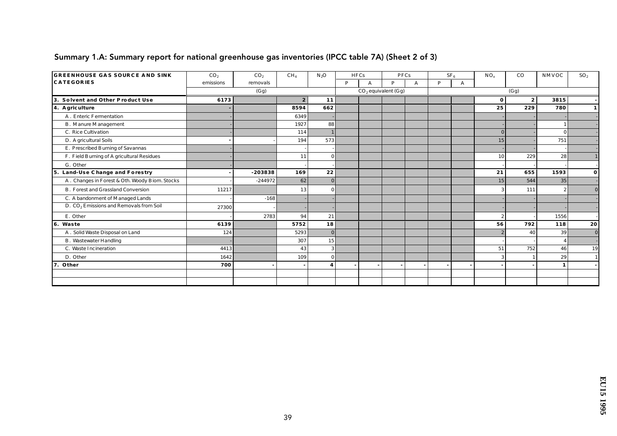| <b>GREENHOUSE GAS SOURCE AND SINK</b>               | CO <sub>2</sub> | CO <sub>2</sub> | CH <sub>4</sub>  | $N_2O$                  | <b>HFCs</b> |                       | PFCs |   |   | SF <sub>6</sub> | $NO_{x}$       | $_{\rm CO}$      | NMVOC          | SO <sub>2</sub> |  |  |
|-----------------------------------------------------|-----------------|-----------------|------------------|-------------------------|-------------|-----------------------|------|---|---|-----------------|----------------|------------------|----------------|-----------------|--|--|
| <b>CATEGORIES</b>                                   | emissions       | removals        |                  |                         | P           | А                     | P    | А | D | A               |                |                  |                |                 |  |  |
|                                                     |                 | (Gg)            |                  |                         |             | $CO2$ equivalent (Gg) |      |   |   |                 | (Gg)           |                  |                |                 |  |  |
| 3. Solvent and Other Product Use                    | 6173            |                 | $\boldsymbol{2}$ | 11                      |             |                       |      |   |   |                 | $\bf{0}$       | $\boldsymbol{2}$ | 3815           |                 |  |  |
| 4. A griculture                                     |                 |                 | 8594             | 662                     |             |                       |      |   |   |                 | 25             | 229              | 780            | $\mathbf{1}$    |  |  |
| A. Enteric Fermentation                             |                 |                 | 6349             |                         |             |                       |      |   |   |                 |                |                  |                |                 |  |  |
| <b>B.</b> Manure Management                         |                 |                 | 1927             | 88                      |             |                       |      |   |   |                 |                |                  |                |                 |  |  |
| C. Rice Cultivation                                 |                 |                 | 114              |                         |             |                       |      |   |   |                 | $\Omega$       |                  | $\Omega$       |                 |  |  |
| D. A gric ultural Soils                             |                 |                 | 194              | 573                     |             |                       |      |   |   |                 | 15             |                  | 751            |                 |  |  |
| E. Prescribed Burning of Savannas                   |                 |                 |                  |                         |             |                       |      |   |   |                 |                |                  |                |                 |  |  |
| F. Field Burning of A gric ultural Residues         |                 |                 | 11               |                         |             |                       |      |   |   |                 | 10             | 229              | 28             |                 |  |  |
| G. Other                                            |                 |                 |                  |                         |             |                       |      |   |   |                 |                |                  |                |                 |  |  |
| 5. Land-Use Change and Forestry                     |                 | $-203838$       | 169              | 22                      |             |                       |      |   |   |                 | 21             | 655              | 1593           | $\mathbf{o}$    |  |  |
| A. Changes in Forest & Oth. Woody Biom. Stocks      |                 | $-244972$       | 62               |                         |             |                       |      |   |   |                 | 15             | 544              | 35             |                 |  |  |
| <b>B.</b> Forest and Grassland Conversion           | 11217           |                 | <b>13</b>        |                         |             |                       |      |   |   |                 | 3              | 111              | $\overline{2}$ | $\bf{0}$        |  |  |
| C. A bandonment of Managed Lands                    |                 | $-168$          |                  |                         |             |                       |      |   |   |                 |                |                  |                |                 |  |  |
| D. CO <sub>2</sub> Emissions and Removals from Soil | 27300           |                 |                  |                         |             |                       |      |   |   |                 |                |                  |                |                 |  |  |
| E. Other                                            |                 | 2783            | 94               | 21                      |             |                       |      |   |   |                 | $\overline{2}$ |                  | 1556           |                 |  |  |
| 6. Waste                                            | 6139            |                 | 5752             | 18                      |             |                       |      |   |   |                 | 56             | 792              | 118            | 20              |  |  |
| A. Solid Waste Disposal on Land                     | 124             |                 | 5293             | $\mathbf{0}$            |             |                       |      |   |   |                 |                | 40               | 39             | $\bf{0}$        |  |  |
| <b>B.</b> Wastewater Handling                       |                 |                 | 307              | 15                      |             |                       |      |   |   |                 |                |                  |                |                 |  |  |
| C. Waste Incineration                               | 4413            |                 | 43               | 3                       |             |                       |      |   |   |                 | 51             | 752              | 46             | 19              |  |  |
| D. Other                                            | 1642            |                 | 109              | $\Omega$                |             |                       |      |   |   |                 | -3             |                  | 29             |                 |  |  |
| 7. Other                                            | 700             |                 |                  | $\overline{\mathbf{4}}$ |             |                       |      |   |   |                 |                |                  | $\mathbf{1}$   |                 |  |  |
|                                                     |                 |                 |                  |                         |             |                       |      |   |   |                 |                |                  |                |                 |  |  |
|                                                     |                 |                 |                  |                         |             |                       |      |   |   |                 |                |                  |                |                 |  |  |

### Summary 1.A: Summary report for national greenhouse gas inventories (IPCC table 7A) (Sheet 2 of 3)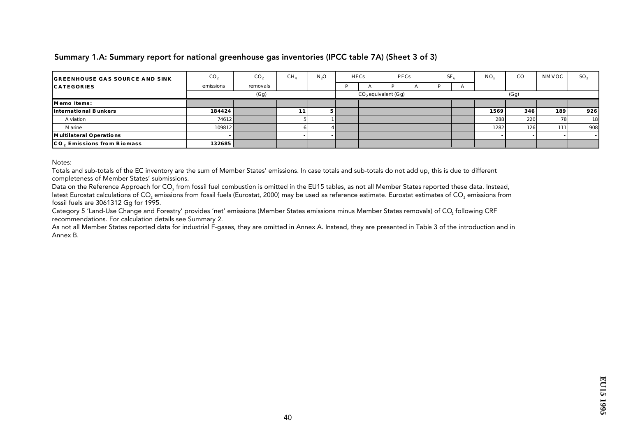#### Summary 1.A: Summary report for national greenhouse gas inventories (IPCC table 7A) (Sheet 3 of 3)

| <b>GREENHOUSE GAS SOURCE AND SINK</b> | CO <sub>2</sub> | CO <sub>2</sub> | CH <sub>4</sub> | N <sub>2</sub> O | HFCs                  |  | <b>PFCs</b> |  | SF <sub>6</sub> | $NO_{v}$ | $_{\rm CO}$      | NMVOC | SO <sub>2</sub> |
|---------------------------------------|-----------------|-----------------|-----------------|------------------|-----------------------|--|-------------|--|-----------------|----------|------------------|-------|-----------------|
| <b>CATEGORIES</b>                     | emissions       | removals        |                 |                  |                       |  | A           |  | $\mathbf{r}$    |          |                  |       |                 |
|                                       |                 | (Gg)            |                 |                  | $CO2$ equivalent (Gg) |  |             |  |                 |          | (Gg)             |       |                 |
| Memo Items:                           |                 |                 |                 |                  |                       |  |             |  |                 |          |                  |       |                 |
| International Bunkers                 | 184424          |                 | 11              |                  |                       |  |             |  |                 | 1569     | 346 <sub>1</sub> | 189   | 926             |
| A viation                             | 74612           |                 |                 |                  |                       |  |             |  |                 | 288      | 220              | 78    | 18              |
| Marine                                | 109812          |                 |                 |                  |                       |  |             |  |                 | 1282     | 126              | 111   | 908             |
| Multilateral Operations               |                 |                 |                 |                  |                       |  |             |  |                 |          |                  |       |                 |
| CO, Emissions from Biomass            | 132685          |                 |                 |                  |                       |  |             |  |                 |          |                  |       |                 |

Notes:

Totals and sub-totals of the EC inventory are the sum of Member States' emissions. In case totals and sub-totals do not add up, this is due to different completeness of Member States' submissions.

Data on the Reference Approach for CO<sub>2</sub> from fossil fuel combustion is omitted in the EU15 tables, as not all Member States reported these data. Instead, latest Eurostat calculations of CO<sub>2</sub> emissions from fossil fuels (Eurostat, 2000) may be used as reference estimate. Eurostat estimates of CO<sub>2</sub> emissions from fossil fuels are 3061312 Gg for 1995.

Category 5 'Land-Use Change and Forestry' provides 'net' emissions (Member States emissions minus Member States removals) of CO<sub>2</sub> following CRF recommendations. For calculation details see Summary 2.

As not all Member States reported data for industrial F-gases, they are omitted in Annex A. Instead, they are presented in Table 3 of the introduction and in Annex B.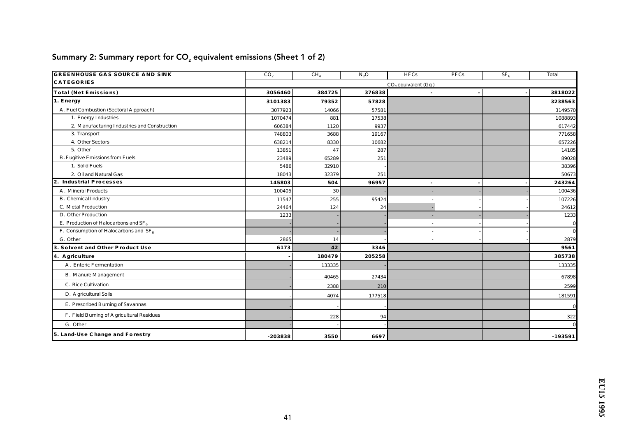| <b>GREENHOUSE GAS SOURCE AND SINK</b>        | CO <sub>2</sub> | CH <sub>4</sub> | $N_2O$ | <b>HFCs</b>           | PFCs | $SF_6$ | Total          |
|----------------------------------------------|-----------------|-----------------|--------|-----------------------|------|--------|----------------|
| <b>CATEGORIES</b>                            |                 |                 |        | $CO2$ equivalent (Gg) |      |        |                |
| Total (Net Emissions)                        | 3056460         | 384725          | 376838 |                       |      |        | 3818022        |
| 1. Energy                                    | 3101383         | 79352           | 57828  |                       |      |        | 3238563        |
| A. Fuel Combustion (Sectoral Approach)       | 3077923         | 14066           | 57581  |                       |      |        | 3149570        |
| 1. Energy Industries                         | 1070474         | 881             | 17538  |                       |      |        | 1088893        |
| 2. Manufacturing Industries and Construction | 606384          | 1120            | 9937   |                       |      |        | 617442         |
| 3. Transport                                 | 748803          | 3688            | 19167  |                       |      |        | 771658         |
| 4. Other Sectors                             | 638214          | 8330            | 10682  |                       |      |        | 657226         |
| 5. Other                                     | 13851           | 47              | 287    |                       |      |        | 14185          |
| <b>B. Fugitive Emissions from Fuels</b>      | 23489           | 65289           | 251    |                       |      |        | 89028          |
| 1. Solid Fuels                               | 5486            | 32910           |        |                       |      |        | 38396          |
| 2. Oil and Natural Gas                       | 18043           | 32379           | 251    |                       |      |        | 50673          |
| 2. Industrial Processes                      | 145803          | 504             | 96957  |                       |      |        | 243264         |
| A. Mineral Products                          | 100405          | 30              |        |                       |      |        | 100436         |
| B. Chemical Industry                         | 11547           | 255             | 95424  |                       |      |        | 107226         |
| C. Metal Production                          | 24464           | 124             | 24     |                       |      |        | 24612          |
| D. Other Production                          | 1233            |                 |        |                       |      |        | 1233           |
| E. Production of Haloc arbons and $SF_6$     |                 |                 |        |                       |      |        | $\mathbf{0}$   |
| F. Consumption of Haloc arbons and $SF6$     |                 |                 |        |                       |      |        | $\overline{0}$ |
| G. Other                                     | 2865            | 14              |        |                       |      |        | 2879           |
| 3. Solvent and Other Product Use             | 6173            | 42              | 3346   |                       |      |        | 9561           |
| 4. A griculture                              |                 | 180479          | 205258 |                       |      |        | 385738         |
| A. Enteric Fermentation                      |                 | 133335          |        |                       |      |        | 133335         |
| <b>B.</b> Manure Management                  |                 | 40465           | 27434  |                       |      |        | 67898          |
| C. Rice Cultivation                          |                 | 2388            | 210    |                       |      |        | 2599           |
| D. A gric ultural Soils                      |                 | 4074            | 177518 |                       |      |        | 181591         |
| E. Prescribed Burning of Savannas            |                 |                 |        |                       |      |        | $\mathbf{0}$   |
| F. Field Burning of A gric ultural Residues  |                 | 228             | 94     |                       |      |        | 322            |
| G. Other                                     |                 |                 |        |                       |      |        | $\mathbf{0}$   |
| 5. Land-Use Change and Forestry              | $-203838$       | 3550            | 6697   |                       |      |        | $-193591$      |

# Summary 2: Summary report for  $CO<sub>2</sub>$  equivalent emissions (Sheet 1 of 2)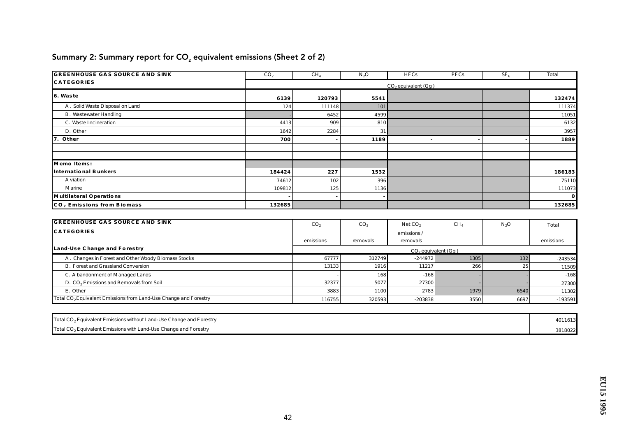| <b>GREENHOUSE GAS SOURCE AND SINK</b> | CO <sub>2</sub> | CH <sub>4</sub> | $N_2O$ | <b>HFCs</b>           | PFCs | SF <sub>6</sub> | Total    |
|---------------------------------------|-----------------|-----------------|--------|-----------------------|------|-----------------|----------|
| <b>CATEGORIES</b>                     |                 |                 |        | $CO2$ equivalent (Gg) |      |                 |          |
| 6. Waste                              | 6139            | 120793          | 5541   |                       |      |                 | 132474   |
| A. Solid Waste Disposal on Land       | 124             | 111148          | 101    |                       |      |                 | 111374   |
| <b>B.</b> Wastewater Handling         |                 | 6452            | 4599   |                       |      |                 | 11051    |
| C. Waste Incineration                 | 4413            | 909             | 810    |                       |      |                 | 6132     |
| D. Other                              | 1642            | 2284            | 31     |                       |      |                 | 3957     |
| 7. Other                              | 700             |                 | 1189   |                       |      |                 | 1889     |
|                                       |                 |                 |        |                       |      |                 |          |
|                                       |                 |                 |        |                       |      |                 |          |
| Memo Items:                           |                 |                 |        |                       |      |                 |          |
| International Bunkers                 | 184424          | 227             | 1532   |                       |      |                 | 186183   |
| A viation                             | 74612           | 102             | 396 l  |                       |      |                 | 75110    |
| <b>M</b> arine                        | 109812          | 125             | 1136   |                       |      |                 | 111073   |
| Multilateral Operations               |                 |                 | $\sim$ |                       |      |                 | $\bf{0}$ |
| CO, Emissions from Biomass            | 132685          |                 |        |                       |      |                 | 132685   |

# Summary 2: Summary report for  $CO<sub>2</sub>$  equivalent emissions (Sheet 2 of 2)

| <b>GREENHOUSE GAS SOURCE AND SINK</b>                                        | CO <sub>2</sub>         | CO <sub>2</sub> | NetCO <sub>2</sub> | CH <sub>4</sub> | N <sub>2</sub> O | Total     |  |  |  |  |
|------------------------------------------------------------------------------|-------------------------|-----------------|--------------------|-----------------|------------------|-----------|--|--|--|--|
| <b>CATEGORIES</b>                                                            |                         |                 | emissions/         |                 |                  |           |  |  |  |  |
|                                                                              | emissions               | removals        | removals           |                 |                  | emissions |  |  |  |  |
| Land-Use Change and Forestry                                                 | $CO2$ equivalent $(Gg)$ |                 |                    |                 |                  |           |  |  |  |  |
| A. Changes in Forest and Other Woody Biomass Stocks                          | 67777                   | 312749          | $-244972$          | 1305            | 132              | $-243534$ |  |  |  |  |
| <b>B. Forest and Grassland Conversion</b>                                    | 13133                   | 1916            | 11217              | 266             | 25               | 11509     |  |  |  |  |
| C. A bandonment of Managed Lands                                             |                         | 168             | $-168$             |                 |                  | $-168$    |  |  |  |  |
| D. CO <sub>2</sub> Emissions and Removals from Soil                          | 32377                   | 5077            | 27300              |                 |                  | 27300     |  |  |  |  |
| E. Other                                                                     | 3883                    | 1100            | 2783               | 1979            | 6540             | 11302     |  |  |  |  |
| Total CO <sub>2</sub> Equivalent Emissions from Land-Use Change and Forestry | 116755                  | 320593          | $-203838$          | 3550            | 6697             | $-193591$ |  |  |  |  |

| Total CO <sub>2</sub> Equivalent Emissions without Land-Use Change and Forestry | 4011613 |
|---------------------------------------------------------------------------------|---------|
| Total CO <sub>2</sub> Equivalent Emissions with Land-Use Change and Forestry    | 3818022 |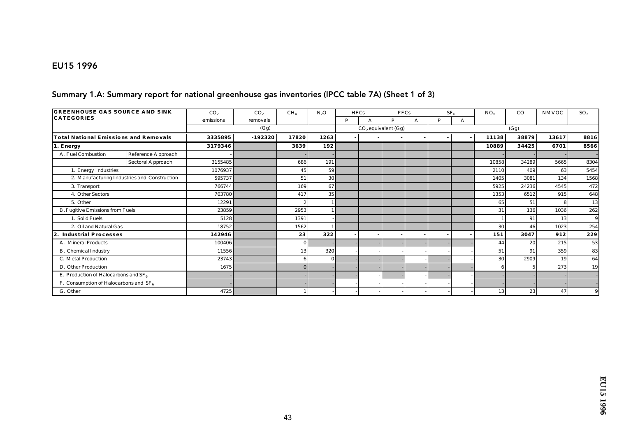#### EU15 1996

#### Summary 1.A: Summary report for national greenhouse gas inventories (IPCC table 7A) (Sheet 1 of 3)

| <b>GREENHOUSE GAS SOURCE AND SINK</b>     |                                              | CO <sub>2</sub> | CO <sub>2</sub> | CH <sub>4</sub> | $N_2O$          |   | <b>HFCs</b> | PFCs                  |              |   | SF <sub>6</sub> | $NO_x$ | CO    | NMVOC | SO <sub>2</sub> |
|-------------------------------------------|----------------------------------------------|-----------------|-----------------|-----------------|-----------------|---|-------------|-----------------------|--------------|---|-----------------|--------|-------|-------|-----------------|
| <b>CATEGORIES</b>                         |                                              | emissions       | removals        |                 |                 | P |             | P                     | $\mathbf{A}$ | P | А               |        |       |       |                 |
|                                           |                                              |                 | (Gg)            |                 |                 |   |             | $CO2$ equivalent (Gg) |              |   |                 |        | (Gg)  |       |                 |
| Total National Emissions and Removals     |                                              | 3335895         | $-192320$       | 17820           | 1263            |   |             |                       |              |   |                 | 11138  | 38879 | 13617 | 8816            |
| 1. Energy                                 |                                              | 3179346         |                 | 3639            | 192             |   |             |                       |              |   |                 | 10889  | 34425 | 6701  | 8566            |
| A. Fuel Combustion                        | Reference Approach                           |                 |                 |                 |                 |   |             |                       |              |   |                 |        |       |       |                 |
|                                           | Sectoral Approach                            | 3155485         |                 | 686             | 191             |   |             |                       |              |   |                 | 10858  | 34289 | 5665  | 8304            |
| 1. Energy Industries                      |                                              | 1076937         |                 | 45              | 59              |   |             |                       |              |   |                 | 2110   | 409   | 63    | 5454            |
|                                           | 2. Manufacturing Industries and Construction | 595737          |                 | 51              | 30              |   |             |                       |              |   |                 | 1405   | 3081  | 134   | 1568            |
| 3. Transport                              |                                              | 766744          |                 | 169             | 67              |   |             |                       |              |   |                 | 5925   | 24236 | 4545  | 472             |
| 4. Other Sectors                          |                                              | 703780          |                 | 417             | 35 <sup>1</sup> |   |             |                       |              |   |                 | 1353   | 6512  | 915   | 648             |
| 5. Other                                  |                                              | 12291           |                 | 2               |                 |   |             |                       |              |   |                 | 65     | 51    |       | 13              |
| B. Fugitive Emissions from Fuels          |                                              | 23859           |                 | 2953            |                 |   |             |                       |              |   |                 | 31     | 136   | 1036  | 262             |
| 1. Solid Fuels                            |                                              | 5128            |                 | 1391            |                 |   |             |                       |              |   |                 |        | 91    | 13    | 9               |
| 2. Oil and Natural Gas                    |                                              | 18752           |                 | 1562            |                 |   |             |                       |              |   |                 | 30     | 46    | 1023  | 254             |
| <b>Industrial Processes</b><br>2.         |                                              | 142946          |                 | 23              | 322             |   |             |                       |              |   |                 | 151    | 3047  | 912   | 229             |
| A. Mineral Products                       |                                              | 100406          |                 | $\bf{0}$        |                 |   |             |                       |              |   |                 | 44     | 20    | 215   | 53              |
| B. Chemical Industry                      |                                              | 11556           |                 | 13              | 320             |   |             |                       |              |   |                 | 51     | 91    | 359   | 83              |
| C. Metal Production                       |                                              | 23743           |                 | 6               | $\Omega$        |   |             |                       |              |   |                 | 30     | 2909  | 19    | 64              |
| D. Other Production                       |                                              | 1675            |                 | $\mathbf{0}$    |                 |   |             |                       |              |   |                 | 6      |       | 273   | 19              |
| E. Production of Haloc arbons and $SF_6$  |                                              |                 |                 |                 |                 |   |             |                       |              |   |                 |        |       |       |                 |
| F. Consumption of Haloc arbons and $SF_6$ |                                              |                 |                 |                 |                 |   |             |                       |              |   |                 |        |       |       |                 |
| G. Other                                  |                                              | 4725            |                 |                 |                 |   |             |                       |              |   |                 | 13     | 23    | 47    |                 |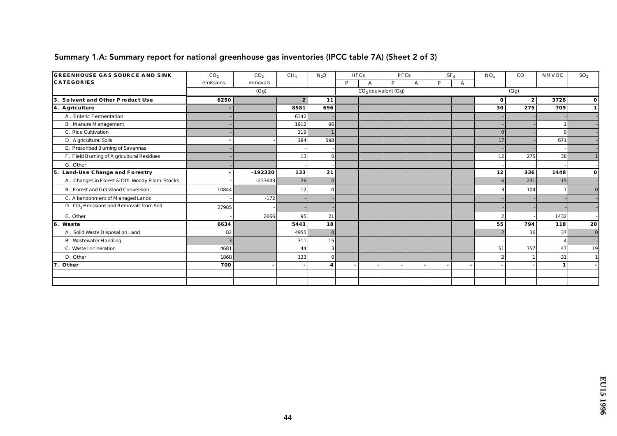| <b>GREENHOUSE GAS SOURCE AND SINK</b>               | CO <sub>2</sub> | CO <sub>2</sub> | CH <sub>4</sub>  | $N_2O$                  | <b>HFCs</b> |   | PFCs                  |   |   | SF <sub>6</sub> | $NO_{x}$       | $_{\rm CO}$    | NMVOC        | SO <sub>2</sub> |
|-----------------------------------------------------|-----------------|-----------------|------------------|-------------------------|-------------|---|-----------------------|---|---|-----------------|----------------|----------------|--------------|-----------------|
| <b>CATEGORIES</b>                                   | emissions       | removals        |                  |                         | P           | А | P                     | А | D | A               |                |                |              |                 |
|                                                     |                 | (Gg)            |                  |                         |             |   | $CO2$ equivalent (Gg) |   |   |                 |                | (Gg)           |              |                 |
| 3. Solvent and Other Product Use                    | 6250            |                 | $\boldsymbol{2}$ | 11                      |             |   |                       |   |   |                 | $\bf{0}$       | 2 <sup>2</sup> | 3728         | $\mathbf{0}$    |
| 4. A griculture                                     |                 |                 | 8581             | 696                     |             |   |                       |   |   |                 | 30             | 275            | 709          | $\mathbf{1}$    |
| A. Enteric Fermentation                             |                 |                 | 6342             |                         |             |   |                       |   |   |                 |                |                |              |                 |
| <b>B.</b> Manure Management                         |                 |                 | 1912             | 96                      |             |   |                       |   |   |                 |                |                |              |                 |
| C. Rice Cultivation                                 |                 |                 | 119              |                         |             |   |                       |   |   |                 | $\Omega$       |                | $\Omega$     |                 |
| D. A gric ultural Soils                             |                 |                 | 194              | 598                     |             |   |                       |   |   |                 | 17             |                | 671          |                 |
| E. Prescribed Burning of Savannas                   |                 |                 |                  |                         |             |   |                       |   |   |                 |                |                |              |                 |
| F. Field Burning of A gric ultural Residues         |                 |                 | 13               |                         |             |   |                       |   |   |                 | 12             | 275            | 38           |                 |
| G. Other                                            |                 |                 |                  |                         |             |   |                       |   |   |                 |                |                |              |                 |
| 5. Land-Use Change and Forestry                     |                 | $-192320$       | 133              | 21                      |             |   |                       |   |   |                 | 12             | 336            | 1448         | $\mathbf{o}$    |
| A. Changes in Forest & Oth. Woody Biom. Stocks      |                 | $-233643$       | 26               |                         |             |   |                       |   |   |                 | 6              | 231            | 15           |                 |
| <b>B.</b> Forest and Grassland Conversion           | 10844           |                 | 12               |                         |             |   |                       |   |   |                 |                | 104            |              | $\bf{0}$        |
| C. A bandonment of Managed Lands                    |                 | $-172$          |                  |                         |             |   |                       |   |   |                 |                |                |              |                 |
| D. CO <sub>2</sub> Emissions and Removals from Soil | 27985           |                 |                  |                         |             |   |                       |   |   |                 |                |                |              |                 |
| E. Other                                            |                 | 2666            | 95               | 21                      |             |   |                       |   |   |                 | $\overline{2}$ |                | 1432         |                 |
| 6. Waste                                            | 6634            |                 | 5443             | 18                      |             |   |                       |   |   |                 | 55             | 794            | 118          | 20              |
| A. Solid Waste Disposal on Land                     | 82              |                 | 4955             | $\mathbf{0}$            |             |   |                       |   |   |                 |                | 36             | 37           | $\bf{0}$        |
| <b>B.</b> Wastewater Handling                       |                 |                 | 311              | 15                      |             |   |                       |   |   |                 |                |                |              |                 |
| C. Waste Incineration                               | 4681            |                 | 44               | 3                       |             |   |                       |   |   |                 | 51             | 757            | 47           | 19              |
| D. Other                                            | 1868            |                 | 133              | $\Omega$                |             |   |                       |   |   |                 | $\overline{2}$ |                | 31           |                 |
| 7. Other                                            | 700             |                 |                  | $\overline{\mathbf{4}}$ |             |   |                       |   |   |                 |                |                | $\mathbf{1}$ |                 |
|                                                     |                 |                 |                  |                         |             |   |                       |   |   |                 |                |                |              |                 |
|                                                     |                 |                 |                  |                         |             |   |                       |   |   |                 |                |                |              |                 |

### Summary 1.A: Summary report for national greenhouse gas inventories (IPCC table 7A) (Sheet 2 of 3)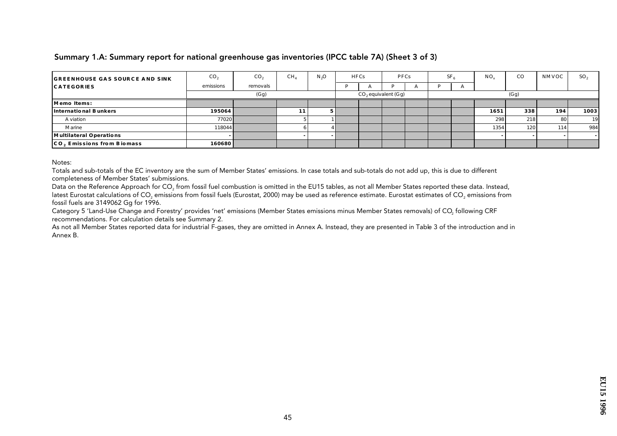#### Summary 1.A: Summary report for national greenhouse gas inventories (IPCC table 7A) (Sheet 3 of 3)

| <b>GREENHOUSE GAS SOURCE AND SINK</b> | CO <sub>2</sub> | CO <sub>2</sub> | CH <sub>4</sub> | N <sub>3</sub> O | HFCs | <b>PFCs</b>           |              | SF <sub>6</sub> |          | $NO_{v}$ | $_{\rm CO}$ | NMVOC | SO <sub>2</sub> |
|---------------------------------------|-----------------|-----------------|-----------------|------------------|------|-----------------------|--------------|-----------------|----------|----------|-------------|-------|-----------------|
| <b>CATEGORIES</b>                     | emissions       | removals        |                 |                  |      |                       | $\mathbf{L}$ |                 | $\Gamma$ |          |             |       |                 |
|                                       |                 | (Gg)            |                 |                  |      | $CO2$ equivalent (Gg) |              |                 |          |          | (Gg)        |       |                 |
| Memo Items:                           |                 |                 |                 |                  |      |                       |              |                 |          |          |             |       |                 |
| International Bunkers                 | 195064          |                 | 11.             |                  |      |                       |              |                 |          | 1651     | 338         | 194   | 1003            |
| A viation                             | 77020           |                 |                 |                  |      |                       |              |                 |          | 298      | 218         | 80 I  | 19              |
| Marine                                | 118044          |                 |                 |                  |      |                       |              |                 |          | 1354     | 120         | 114   | 984             |
| Multilateral Operations               |                 |                 |                 |                  |      |                       |              |                 |          |          |             |       |                 |
| CO, Emissions from Biomass            | 160680          |                 |                 |                  |      |                       |              |                 |          |          |             |       |                 |

Notes:

Totals and sub-totals of the EC inventory are the sum of Member States' emissions. In case totals and sub-totals do not add up, this is due to different completeness of Member States' submissions.

Data on the Reference Approach for CO<sub>2</sub> from fossil fuel combustion is omitted in the EU15 tables, as not all Member States reported these data. Instead, latest Eurostat calculations of CO<sub>2</sub> emissions from fossil fuels (Eurostat, 2000) may be used as reference estimate. Eurostat estimates of CO<sub>2</sub> emissions from fossil fuels are 3149062 Gg for 1996.

Category 5 'Land-Use Change and Forestry' provides 'net' emissions (Member States emissions minus Member States removals) of CO<sub>2</sub> following CRF recommendations. For calculation details see Summary 2.

As not all Member States reported data for industrial F-gases, they are omitted in Annex A. Instead, they are presented in Table 3 of the introduction and in Annex B.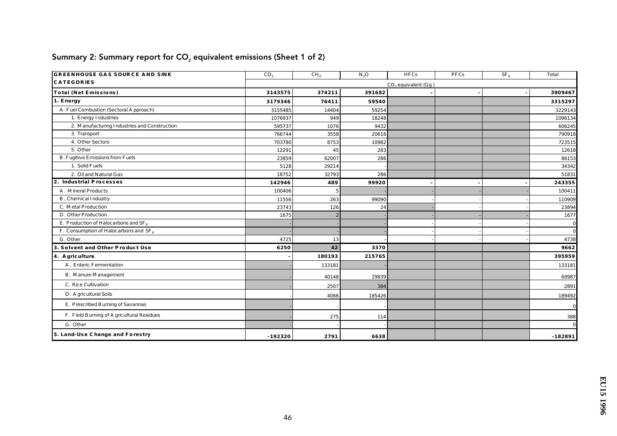| <b>GREENHOUSE GAS SOURCE AND SINK</b>        | CO <sub>2</sub> | CH <sub>4</sub> | $N_2O$ | <b>HFCs</b>           | PFCs | $SF_6$ | Total        |
|----------------------------------------------|-----------------|-----------------|--------|-----------------------|------|--------|--------------|
| <b>CATEGORIES</b>                            |                 |                 |        | $CO2$ equivalent (Gg) |      |        |              |
| Total (Net Emissions)                        | 3143575         | 374211          | 391682 |                       |      |        | 3909467      |
| 1. Energy                                    | 3179346         | 76411           | 59540  |                       |      |        | 3315297      |
| A. Fuel Combustion (Sectoral Approach)       | 3155485         | 14404           | 59254  |                       |      |        | 3229143      |
| 1. Energy Industries                         | 1076937         | 949             | 18248  |                       |      |        | 1096134      |
| 2. Manufacturing Industries and Construction | 595737          | 1076            | 9432   |                       |      |        | 606245       |
| 3. Transport                                 | 766744          | 3558            | 20616  |                       |      |        | 790918       |
| 4. Other Sectors                             | 703780          | 8753            | 10982  |                       |      |        | 723515       |
| 5. Other                                     | 12291           | 45              | 283    |                       |      |        | 12618        |
| <b>B. Fugitive Emissions from Fuels</b>      | 23859           | 62007           | 286    |                       |      |        | 86153        |
| 1. Solid Fuels                               | 5128            | 29214           |        |                       |      |        | 34342        |
| 2. Oil and Natural Gas                       | 18752           | 32793           | 286    |                       |      |        | 51831        |
| 2. Industrial Processes                      | 142946          | 489             | 99920  |                       |      |        | 243355       |
| A. Mineral Products                          | 100406          |                 |        |                       |      |        | 100411       |
| B. Chemical Industry                         | 11556           | 263             | 99090  |                       |      |        | 110909       |
| C. Metal Production                          | 23743           | 126             | 24     |                       |      |        | 23894        |
| D. Other Production                          | 1675            | $\overline{2}$  |        |                       |      |        | 1677         |
| E. Production of Haloc arbons and $SF_6$     |                 |                 |        |                       |      |        | $\mathbf{0}$ |
| F. Consumption of Haloc arbons and $SF6$     |                 |                 |        |                       |      |        | $\mathbf{0}$ |
| G. Other                                     | 4725            | 13              |        |                       |      |        | 4738         |
| 3. Solvent and Other Product Use             | 6250            | 42              | 3370   |                       |      |        | 9662         |
| 4. A griculture                              |                 | 180193          | 215765 |                       |      |        | 395959       |
| A. Enteric Fermentation                      |                 | 133181          |        |                       |      |        | 133181       |
| <b>B.</b> Manure Management                  |                 | 40148           | 29839  |                       |      |        | 69987        |
| C. Rice Cultivation                          |                 | 2507            | 384    |                       |      |        | 2891         |
| D. A gric ultural Soils                      |                 | 4066            | 185426 |                       |      |        | 189492       |
| E. Prescribed Burning of Savannas            |                 |                 |        |                       |      |        | $\mathbf{0}$ |
| F. Field Burning of A gric ultural Residues  |                 | 275             | 114    |                       |      |        | 388          |
| G. Other                                     |                 |                 |        |                       |      |        | $\Omega$     |
| 5. Land-Use Change and Forestry              | $-192320$       | 2791            | 6638   |                       |      |        | $-182891$    |

# Summary 2: Summary report for  $CO<sub>2</sub>$  equivalent emissions (Sheet 1 of 2)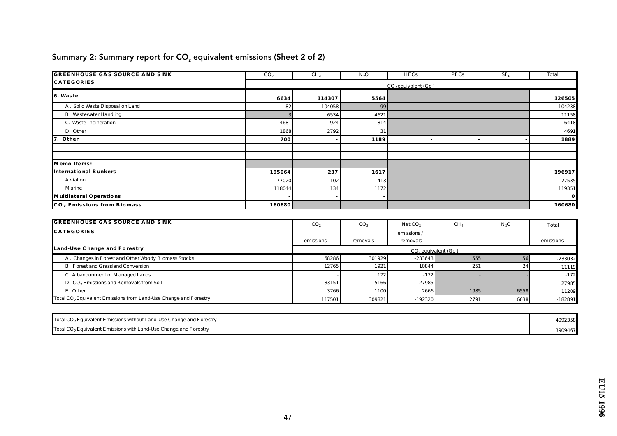| <b>GREENHOUSE GAS SOURCE AND SINK</b>  | CO <sub>2</sub>          | CH <sub>4</sub> | $N_2O$ | <b>HFCs</b> | PFCs | SF <sub>6</sub> | <b>Total</b> |  |  |  |  |  |
|----------------------------------------|--------------------------|-----------------|--------|-------------|------|-----------------|--------------|--|--|--|--|--|
| <b>CATEGORIES</b>                      | $CO$ , equivalent $(Gg)$ |                 |        |             |      |                 |              |  |  |  |  |  |
| 6. Waste                               | 6634                     | 114307          | 5564   |             |      |                 | 126505       |  |  |  |  |  |
| A. Solid Waste Disposal on Land        | 82                       | 104058          | 99     |             |      |                 | 104238       |  |  |  |  |  |
| <b>B.</b> Wastewater Handling          |                          | 6534            | 4621   |             |      |                 | 11158        |  |  |  |  |  |
| C. Waste Incineration                  | 4681                     | 924             | 814    |             |      |                 | 6418         |  |  |  |  |  |
| D. Other                               | 1868                     | 2792            | 31     |             |      |                 | 4691         |  |  |  |  |  |
| 7. Other                               | 700                      |                 | 1189   |             |      |                 | 1889         |  |  |  |  |  |
|                                        |                          |                 |        |             |      |                 |              |  |  |  |  |  |
|                                        |                          |                 |        |             |      |                 |              |  |  |  |  |  |
| Memo Items:                            |                          |                 |        |             |      |                 |              |  |  |  |  |  |
| International Bunkers                  | 195064                   | 237             | 1617   |             |      |                 | 196917       |  |  |  |  |  |
| A viation                              | 77020                    | 102             | 413    |             |      |                 | 77535        |  |  |  |  |  |
| <b>M</b> arine                         | 118044                   | 134             | 1172   |             |      |                 | 119351       |  |  |  |  |  |
| Multilateral Operations                |                          |                 | $\sim$ |             |      |                 | $\bf{0}$     |  |  |  |  |  |
| CO <sub>2</sub> Emissions from Biomass | 160680                   |                 |        |             |      |                 | 160680       |  |  |  |  |  |

# Summary 2: Summary report for  $CO<sub>2</sub>$  equivalent emissions (Sheet 2 of 2)

| <b>GREENHOUSE GAS SOURCE AND SINK</b>                                        | CO <sub>2</sub> | CO <sub>2</sub> | NetCO <sub>2</sub>      | CH <sub>4</sub> | $N_2O$ | Total     |
|------------------------------------------------------------------------------|-----------------|-----------------|-------------------------|-----------------|--------|-----------|
| <b>CATEGORIES</b>                                                            |                 |                 | emissions/              |                 |        |           |
|                                                                              | emissions       | removals        | removals                |                 |        | emissions |
| Land-Use Change and Forestry                                                 |                 |                 | $CO2$ equivalent $(Gg)$ |                 |        |           |
| A. Changes in Forest and Other Woody Biomass Stocks                          | 68286           | 301929          | $-233643$               | 555             |        | $-233032$ |
| <b>B. Forest and Grassland Conversion</b>                                    | 12765           | 1921            | 10844                   | 251             | 24     | 11119     |
| C. A bandonment of Managed Lands                                             |                 | 172             | $-172$                  |                 |        | $-172$    |
| D. CO <sub>2</sub> Emissions and Removals from Soil                          | 33151           | 5166            | 27985                   |                 |        | 27985     |
| E. Other                                                                     | 3766            | 1100            | 2666                    | 1985            | 6558   | 11209     |
| Total CO <sub>2</sub> Equivalent Emissions from Land-Use Change and Forestry | 117501          | 309821          | $-192320$               | 2791            | 6638   | $-182891$ |

| Total CO <sub>2</sub> Equivalent Emissions without Land-Use Change and Forestry | 4092358 |
|---------------------------------------------------------------------------------|---------|
| Total CO <sub>2</sub> Equivalent Emissions with Land-Use Change and Forestry    | 3909467 |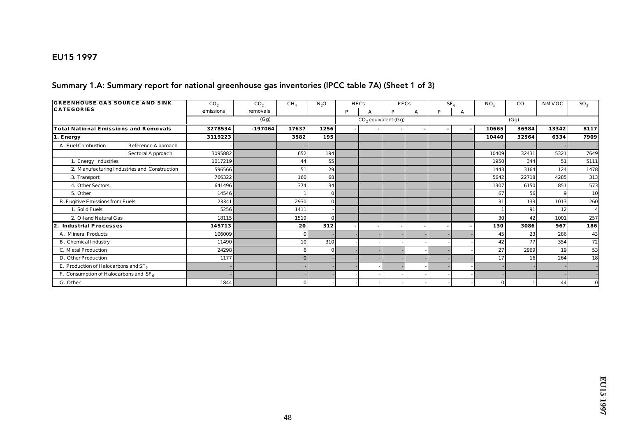### EU15 1997

#### Summary 1.A: Summary report for national greenhouse gas inventories (IPCC table 7A) (Sheet 1 of 3)

| <b>GREENHOUSE GAS SOURCE AND SINK</b>     |                                              | CO <sub>2</sub> | CO <sub>2</sub> | CH <sub>4</sub> | $N_2O$          | <b>HFCs</b> |   | <b>PFCs</b>           |   |   | SF <sub>6</sub> | $NO_{v}$ | CO    | NMVOC | SO <sub>2</sub> |
|-------------------------------------------|----------------------------------------------|-----------------|-----------------|-----------------|-----------------|-------------|---|-----------------------|---|---|-----------------|----------|-------|-------|-----------------|
| <b>CATEGORIES</b>                         |                                              | emissions       | removals        |                 |                 | P           | А | D                     | A | D | A               |          |       |       |                 |
|                                           |                                              |                 | (Gg)            |                 |                 |             |   | $CO2$ equivalent (Gg) |   |   |                 |          | (Gg)  |       |                 |
| Total National Emissions and Removals     |                                              | 3278534         | $-197064$       | 17637           | 1256            |             |   |                       |   |   |                 | 10665    | 36984 | 13342 | 8117            |
| 1. Energy                                 |                                              | 3119223         |                 | 3582            | 195             |             |   |                       |   |   |                 | 10440    | 32564 | 6334  | 7909            |
| A. Fuel Combustion                        | Reference Approach                           |                 |                 |                 |                 |             |   |                       |   |   |                 |          |       |       |                 |
|                                           | Sectoral Approach                            | 3095882         |                 | 652             | 194             |             |   |                       |   |   |                 | 10409    | 32431 | 5321  | 7649            |
| 1. Energy Industries                      |                                              | 1017219         |                 | 44              | 55              |             |   |                       |   |   |                 | 1950     | 344   | 51    | 5111            |
|                                           | 2. Manufacturing Industries and Construction | 596566          |                 | 51              | 29              |             |   |                       |   |   |                 | 1443     | 3164  | 124   | 1478            |
| 3. Transport                              |                                              | 766322          |                 | 160             | 68              |             |   |                       |   |   |                 | 5642     | 22718 | 4285  | 313             |
| 4. Other Sectors                          |                                              | 641496          |                 | 374             | 34              |             |   |                       |   |   |                 | 1307     | 6150  | 851   | 573             |
| 5. Other                                  |                                              | 14546           |                 |                 | $\vert 0 \vert$ |             |   |                       |   |   |                 | 67       | 56    | 9     | 10              |
| B. Fugitive Emissions from Fuels          |                                              | 23341           |                 | 2930            | $\Omega$        |             |   |                       |   |   |                 | 31       | 133   | 1013  | 260             |
| 1. Solid Fuels                            |                                              | 5256            |                 | 1411            |                 |             |   |                       |   |   |                 |          | 91    | 12    |                 |
| 2. Oil and Natural Gas                    |                                              | 18115           |                 | 1519            | $\Omega$        |             |   |                       |   |   |                 | 30       | 42    | 1001  | 257             |
| Industrial Processes<br>2.                |                                              | 145713          |                 | 20              | 312             |             |   |                       |   |   |                 | 130      | 3086  | 967   | 186             |
| A. Mineral Products                       |                                              | 106009          |                 | $\bf{0}$        |                 |             |   |                       |   |   |                 | 45       | 23    | 286   | 43              |
| B. Chemical Industry                      |                                              | 11490           |                 | 10              | 310             |             |   |                       |   |   |                 | 42       | 77    | 354   | 72              |
| C. Metal Production                       |                                              | 24298           |                 | 6               | $\bf{0}$        |             |   |                       |   |   |                 | 27       | 2969  | 19    | 53              |
| D. Other Production                       |                                              | 1177            |                 | $\Omega$        |                 |             |   |                       |   |   |                 | 17       | 16    | 264   | 18              |
| E. Production of Haloc arbons and $SF_6$  |                                              |                 |                 |                 |                 |             |   |                       |   |   |                 |          |       |       |                 |
| F. Consumption of Haloc arbons and $SF_6$ |                                              |                 |                 |                 |                 |             |   |                       |   |   |                 |          |       |       |                 |
| G. Other                                  |                                              | 1844            |                 | $\Omega$        |                 |             |   |                       |   |   |                 |          |       | 44    | $\Omega$        |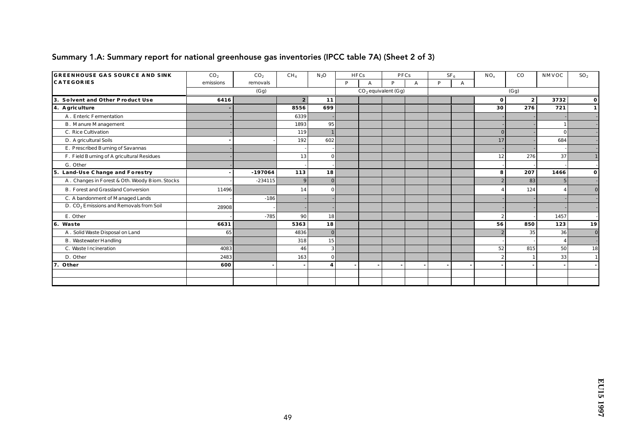| <b>GREENHOUSE GAS SOURCE AND SINK</b>               | CO <sub>2</sub> | CO <sub>2</sub> | CH <sub>4</sub>          | $N_2O$                  | <b>HFCs</b> |   | <b>PFCs</b>           |   |   | SF <sub>6</sub> | $NO_{x}$       | $_{\rm CO}$    | NMVOC           | SO <sub>2</sub> |
|-----------------------------------------------------|-----------------|-----------------|--------------------------|-------------------------|-------------|---|-----------------------|---|---|-----------------|----------------|----------------|-----------------|-----------------|
| <b>CATEGORIES</b>                                   | emissions       | removals        |                          |                         | P           | А | D                     | A | P | A               |                |                |                 |                 |
|                                                     |                 | (Gg)            |                          |                         |             |   | $CO2$ equivalent (Gg) |   |   |                 |                | (Gg)           |                 |                 |
| Solvent and Other Product Use<br>3.                 | 6416            |                 | $\boldsymbol{2}$         | 11                      |             |   |                       |   |   |                 | $\bf{0}$       | 2 <sup>2</sup> | 3732            | $\mathbf{0}$    |
| 4. A griculture                                     |                 |                 | 8556                     | 699                     |             |   |                       |   |   |                 | 30             | 276            | 721             | $\mathbf{1}$    |
| A. Enteric Fermentation                             |                 |                 | 6339                     |                         |             |   |                       |   |   |                 |                |                |                 |                 |
| <b>B.</b> Manure Management                         |                 |                 | 1893                     | 95                      |             |   |                       |   |   |                 |                |                |                 |                 |
| C. Rice Cultivation                                 |                 |                 | 119                      |                         |             |   |                       |   |   |                 | $\Omega$       |                | $\Omega$        |                 |
| D. A gric ultural Soils                             |                 |                 | 192                      | 602                     |             |   |                       |   |   |                 | 17             |                | 684             |                 |
| E. Prescribed Burning of Savannas                   |                 |                 |                          |                         |             |   |                       |   |   |                 |                |                |                 |                 |
| F. Field Burning of A gric ultural Residues         |                 |                 | 13                       | $\Omega$                |             |   |                       |   |   |                 | 12             | 276            | 37              |                 |
| G. Other                                            |                 |                 |                          |                         |             |   |                       |   |   |                 |                |                |                 |                 |
| 5. Land-Use Change and Forestry                     |                 | $-197064$       | 113                      | 18                      |             |   |                       |   |   |                 | 8              | 207            | 1466            | $\mathbf{o}$    |
| A. Changes in Forest & Oth. Woody Biom. Stocks      |                 | $-234115$       | 9                        | $\Omega$                |             |   |                       |   |   |                 |                | 83             |                 |                 |
| <b>B.</b> Forest and Grassland Conversion           | 11496           |                 | 14                       |                         |             |   |                       |   |   |                 |                | 124            |                 | $\bf{0}$        |
| C. A bandonment of Managed Lands                    |                 | $-186$          |                          |                         |             |   |                       |   |   |                 |                |                |                 |                 |
| D. CO <sub>2</sub> Emissions and Removals from Soil | 28908           |                 |                          |                         |             |   |                       |   |   |                 |                |                |                 |                 |
| E. Other                                            |                 | $-785$          | 90                       | 18                      |             |   |                       |   |   |                 | $\overline{2}$ |                | 1457            |                 |
| 6. Waste                                            | 6631            |                 | 5363                     | 18                      |             |   |                       |   |   |                 | 56             | 850            | 123             | 19              |
| A. Solid Waste Disposal on Land                     | 65              |                 | 4836                     | $\Omega$                |             |   |                       |   |   |                 |                | 35             | 36              | $\bf{0}$        |
| <b>B.</b> Wastewater Handling                       |                 |                 | 318                      | 15                      |             |   |                       |   |   |                 |                |                |                 |                 |
| C. Waste Incineration                               | 4083            |                 | 46                       | 3                       |             |   |                       |   |   |                 | 52             | 815            | 50 <sup>1</sup> | 18              |
| D. Other                                            | 2483            |                 | 163                      | $\mathbf{0}$            |             |   |                       |   |   |                 | $\overline{2}$ |                | 33              |                 |
| Other<br>7.                                         | 600             |                 | $\overline{\phantom{a}}$ | $\overline{\mathbf{4}}$ |             |   |                       |   |   |                 |                |                |                 |                 |
|                                                     |                 |                 |                          |                         |             |   |                       |   |   |                 |                |                |                 |                 |
|                                                     |                 |                 |                          |                         |             |   |                       |   |   |                 |                |                |                 |                 |

### Summary 1.A: Summary report for national greenhouse gas inventories (IPCC table 7A) (Sheet 2 of 3)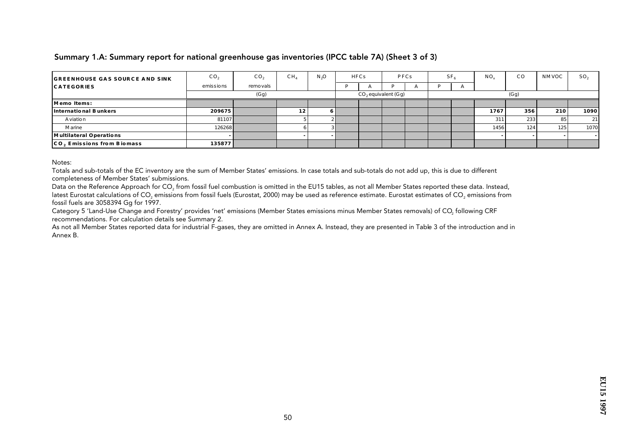#### Summary 1.A: Summary report for national greenhouse gas inventories (IPCC table 7A) (Sheet 3 of 3)

| <b>GREENHOUSE GAS SOURCE AND SINK</b> | CO <sub>2</sub> | CO <sub>2</sub> | CH <sub>4</sub> | N <sub>3</sub> O | HFCs |                       | PFCs         | SF. |    | NO.  | $_{\rm CO}$ | NMVOC | SO <sub>2</sub> |
|---------------------------------------|-----------------|-----------------|-----------------|------------------|------|-----------------------|--------------|-----|----|------|-------------|-------|-----------------|
| <b>CATEGORIES</b>                     | emissions       | remo vals       |                 |                  |      |                       | $\mathbf{r}$ |     | r. |      |             |       |                 |
|                                       |                 | (Gg)            |                 |                  |      | $CO2$ equivalent (Gg) |              |     |    |      | (Gg)        |       |                 |
| Memo Items:                           |                 |                 |                 |                  |      |                       |              |     |    |      |             |       |                 |
| International Bunkers                 | 209675          |                 | 12              | 6                |      |                       |              |     |    | 1767 | 356         | 210   | 1090            |
| A viatio n                            | 81107           |                 |                 |                  |      |                       |              |     |    | 311  | 233         | 85    | 21              |
| Marine                                | 126268          |                 |                 |                  |      |                       |              |     |    | 1456 | 124         | 125   | 1070            |
| Multilateral Operations               |                 |                 |                 |                  |      |                       |              |     |    |      |             |       |                 |
| CO, Emissions from Biomass            | 135877          |                 |                 |                  |      |                       |              |     |    |      |             |       |                 |

Notes:

Totals and sub-totals of the EC inventory are the sum of Member States' emissions. In case totals and sub-totals do not add up, this is due to different completeness of Member States' submissions.

Data on the Reference Approach for CO<sub>2</sub> from fossil fuel combustion is omitted in the EU15 tables, as not all Member States reported these data. Instead, latest Eurostat calculations of CO<sub>2</sub> emissions from fossil fuels (Eurostat, 2000) may be used as reference estimate. Eurostat estimates of CO<sub>2</sub> emissions from fossil fuels are 3058394 Gg for 1997.

Category 5 'Land-Use Change and Forestry' provides 'net' emissions (Member States emissions minus Member States removals) of CO<sub>2</sub> following CRF recommendations. For calculation details see Summary 2.

As not all Member States reported data for industrial F-gases, they are omitted in Annex A. Instead, they are presented in Table 3 of the introduction and in Annex B.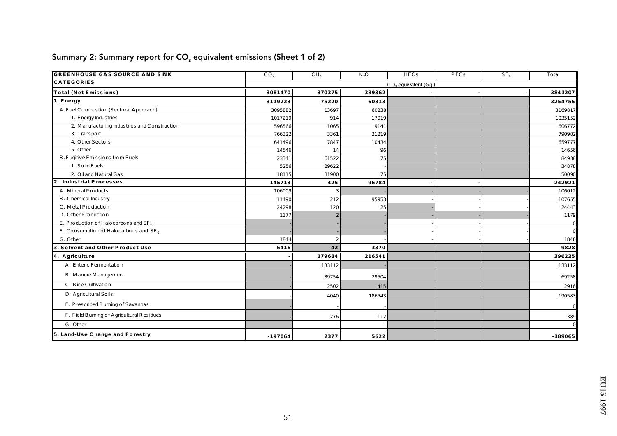| <b>GREENHOUSE GAS SOURCE AND SINK</b>        | CO <sub>2</sub> | CH <sub>4</sub> | $N_2O$ | HFCs                  | PFCs | SF <sub>6</sub> | To tal       |
|----------------------------------------------|-----------------|-----------------|--------|-----------------------|------|-----------------|--------------|
| <b>CATEGORIES</b>                            |                 |                 |        | $CO2$ equivalent (Gg) |      |                 |              |
| Total (Net Emissions)                        | 3081470         | 370375          | 389362 |                       |      |                 | 3841207      |
| 1. Energy                                    | 3119223         | 75220           | 60313  |                       |      |                 | 3254755      |
| A. Fuel Combustion (Sectoral Approach)       | 3095882         | 13697           | 60238  |                       |      |                 | 3169817      |
| 1. Energy Industries                         | 1017219         | 914             | 17019  |                       |      |                 | 1035152      |
| 2. Manufacturing Industries and Construction | 596566          | 1065            | 9141   |                       |      |                 | 606772       |
| 3. Transport                                 | 766322          | 3361            | 21219  |                       |      |                 | 790902       |
| 4. Other Sectors                             | 641496          | 7847            | 10434  |                       |      |                 | 659777       |
| 5. Other                                     | 14546           | 14              | 96     |                       |      |                 | 14656        |
| B. Fugitive Emissions from Fuels             | 23341           | 61522           | 75     |                       |      |                 | 84938        |
| 1. So lid Fuels                              | 5256            | 29622           |        |                       |      |                 | 34878        |
| 2. Oil and Natural Gas                       | 18115           | 31900           | 75     |                       |      |                 | 50090        |
| Industrial Processes<br>2.                   | 145713          | 425             | 96784  |                       |      |                 | 242921       |
| A. Mineral P roducts                         | 106009          | -3              |        |                       |      |                 | 106012       |
| <b>B.</b> Chemical Industry                  | 11490           | 212             | 95953  |                       |      |                 | 107655       |
| C. MetalProduction                           | 24298           | 120             | 25     |                       |      |                 | 24443        |
| D. Other P ro duction                        | 1177            | $\overline{2}$  |        |                       |      |                 | 1179         |
| E. P roduction of Halocarbons and $SF_6$     |                 |                 |        |                       |      |                 | $\mathbf{0}$ |
| F. Consumption of Halocarbons and $SF_6$     |                 |                 |        |                       |      |                 | $\mathbf{0}$ |
| G. Other                                     | 1844            | $\overline{2}$  |        |                       |      |                 | 1846         |
| 3. Solvent and Other Product Use             | 6416            | 42              | 3370   |                       |      |                 | 9828         |
| 4. A griculture                              |                 | 179684          | 216541 |                       |      |                 | 396225       |
| A. Enteric Fermentation                      |                 | 133112          |        |                       |      |                 | 133112       |
| <b>B.</b> Manure Management                  |                 | 39754           | 29504  |                       |      |                 | 69258        |
| C. Rice Cultivation                          |                 | 2502            | 415    |                       |      |                 | 2916         |
| D. Agric ultural So ils                      |                 | 4040            | 186543 |                       |      |                 | 190583       |
| E. Prescribed Burning of Savannas            |                 |                 |        |                       |      |                 | $\mathbf{0}$ |
| F. Field Burning of Agric ultural Residues   |                 | 276             | 112    |                       |      |                 | 389          |
| G. Other                                     |                 |                 |        |                       |      |                 | $\Omega$     |
| 5. Land-Use Change and Forestry              | $-197064$       | 2377            | 5622   |                       |      |                 | $-189065$    |

# Summary 2: Summary report for  $CO<sub>2</sub>$  equivalent emissions (Sheet 1 of 2)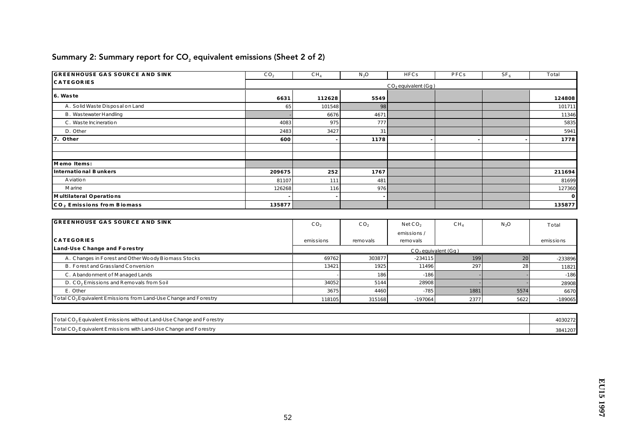| <b>GREENHOUSE GAS SOURCE AND SINK</b>  | CO <sub>2</sub> | CH <sub>4</sub> | $N_2O$       | HFCs                  | PFCs | SF <sub>6</sub> | To tal       |
|----------------------------------------|-----------------|-----------------|--------------|-----------------------|------|-----------------|--------------|
| <b>CATEGORIES</b>                      |                 |                 |              | $CO2$ equivalent (Gg) |      |                 |              |
| 6. Was te                              | 6631            | 112628          | 5549         |                       |      |                 | 124808       |
| A. So lid Waste Disposal on Land       | 65              | 101548          | 98           |                       |      |                 | 101711       |
| B. Was tewater Handling                |                 | 6676            | 4671         |                       |      |                 | 11346        |
| C. Was te Incineration                 | 4083            | 975             | 777 <b>I</b> |                       |      |                 | 5835         |
| D. Other                               | 2483            | 3427            | 31           |                       |      |                 | 5941         |
| 7. Other                               | 600             |                 | 1178         |                       |      |                 | 1778         |
|                                        |                 |                 |              |                       |      |                 |              |
|                                        |                 |                 |              |                       |      |                 |              |
| Memo Items:                            |                 |                 |              |                       |      |                 |              |
| International Bunkers                  | 209675          | 252             | 1767         |                       |      |                 | 211694       |
| A viation                              | 81107           | 111             | 481          |                       |      |                 | 81699        |
| <b>Marine</b>                          | 126268          | 116             | 976          |                       |      |                 | 127360       |
| Multilateral Operations                |                 |                 | $\sim$       |                       |      |                 | $\mathbf{0}$ |
| CO <sub>2</sub> Emissions from Biomass | 135877          |                 |              |                       |      |                 | 135877       |

# Summary 2: Summary report for  $CO<sub>2</sub>$  equivalent emissions (Sheet 2 of 2)

| <b>GREENHOUSE GAS SOURCE AND SINK</b>                                         | CO <sub>2</sub> | CO <sub>2</sub> | NetCO <sub>2</sub>    | CH <sub>4</sub> | N <sub>2</sub> O | To tal    |
|-------------------------------------------------------------------------------|-----------------|-----------------|-----------------------|-----------------|------------------|-----------|
|                                                                               |                 |                 | emis sions/           |                 |                  |           |
| <b>CATEGORIES</b>                                                             | emissions       | remo vals       | remo vals             |                 |                  | emissions |
| Land-Use Change and Forestry                                                  |                 |                 | $CO2$ equivalent (Gg) |                 |                  |           |
| A. Changes in Forest and Other Woody Biomass Stocks                           | 69762           | 303877          | $-234115$             | 199             | 20               | -233896   |
| B. Forest and Grassland Conversion                                            | 13421           | 1925            | 11496                 | 297             | 28               | 11821     |
| C. Abando nment of Managed Lands                                              |                 | 186             | $-186$                |                 |                  | $-186$    |
| D. CO <sub>2</sub> Emissions and Removals from Soil                           | 34052           | 5144            | 28908                 |                 |                  | 28908     |
| E. Other                                                                      | 3675            | 4460            | $-785$                | 1881            | 5574             | 6670      |
| To tal CO <sub>2</sub> Equivalent Emissions from Land-Use Change and Forestry | 118105          | 315168          | $-197064$             | 2377            | 5622             | $-189065$ |

| To tal CO <sub>2</sub> Equivalent Emissions without Land-Use Change and Forestry       | 4030272 |
|----------------------------------------------------------------------------------------|---------|
| $\Gamma$ To tal CO <sub>2</sub> Equivalent Emissions with Land-Use Change and Forestry | 3841207 |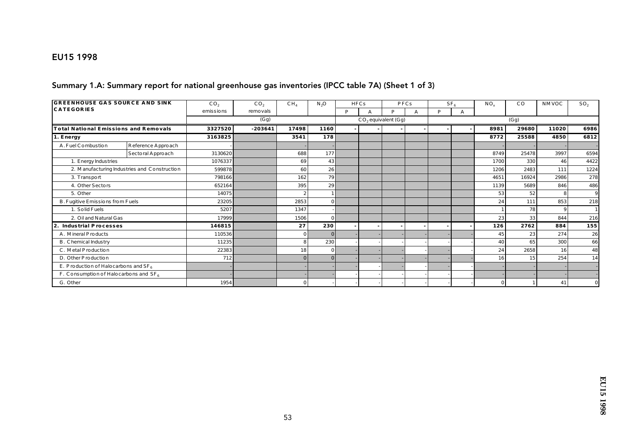### EU15 1998

#### Summary 1.A: Summary report for national greenhouse gas inventories (IPCC table 7A) (Sheet 1 of 3)

| <b>GREENHOUSE GAS SOURCE AND SINK</b><br><b>CATEGORIES</b> |                                              | CO <sub>2</sub> | CO <sub>2</sub> | CH <sub>4</sub> | $N_2O$    |   | HFCs |                       | PFCs |   | SF <sub>6</sub> | $NO_{v}$ | CO    | <b>NMVOC</b> | SO <sub>2</sub> |
|------------------------------------------------------------|----------------------------------------------|-----------------|-----------------|-----------------|-----------|---|------|-----------------------|------|---|-----------------|----------|-------|--------------|-----------------|
|                                                            |                                              | emissions       | remo vals       |                 |           | P | А    | D                     | A    | D |                 |          |       |              |                 |
|                                                            |                                              |                 | (Gg)            |                 |           |   |      | $CO2$ equivalent (Gg) |      |   |                 | (Gg)     |       |              |                 |
| Total National Emissions and Removals                      |                                              | 3327520         | $-203641$       | 17498           | 1160      |   |      |                       |      |   |                 | 8981     | 29680 | 11020        | 6986            |
| 1. Energy                                                  |                                              | 3163825         |                 | 3541            | 178       |   |      |                       |      |   |                 | 8772     | 25588 | 4850         | 6812            |
| A. Fuel Combustion                                         | Reference Appro ach                          |                 |                 |                 |           |   |      |                       |      |   |                 |          |       |              |                 |
|                                                            | Sectoral Approach                            | 3130620         |                 | 688             | 177       |   |      |                       |      |   |                 | 8749     | 25478 | 3997         | 6594            |
| 1. Energy Industries                                       |                                              | 1076337         |                 | 69              | 43        |   |      |                       |      |   |                 | 1700     | 330   | 46           | 4422            |
|                                                            | 2. Manufacturing Industries and Construction | 599878          |                 | 60              | 26        |   |      |                       |      |   |                 | 1206     | 2483  | 111          | 1224            |
| 3. Transport                                               |                                              | 798166          |                 | 162             | <b>79</b> |   |      |                       |      |   |                 | 4651     | 16924 | 2986         | 278             |
| 4. Other Sectors                                           |                                              | 652164          |                 | 395             | 29        |   |      |                       |      |   |                 | 1139     | 5689  | 846          | 486             |
| 5. Other                                                   |                                              | 14075           |                 |                 |           |   |      |                       |      |   |                 | 53       | 52    | 8            | 9               |
| B. Fugitive Emissions from Fuels                           |                                              | 23205           |                 | 2853            |           |   |      |                       |      |   |                 | 24       | 111   | 853          | 218             |
| 1. So lid Fuels                                            |                                              | 5207            |                 | 1347            |           |   |      |                       |      |   |                 |          | 78    | 9            |                 |
| 2. Oil and Natural Gas                                     |                                              | 17999           |                 | 1506            |           |   |      |                       |      |   |                 | 23       | 33    | 844          | 216             |
| Industrial Processes<br>2.                                 |                                              | 146815          |                 | 27              | 230       |   |      |                       |      |   |                 | 126      | 2762  | 884          | 155             |
| A. Mineral P roducts                                       |                                              | 110536          |                 | $\bf{0}$        |           |   |      |                       |      |   |                 | 45       | 23    | 274          | 26              |
| B. Chemical Industry                                       |                                              | 11235           |                 | 8               | 230       |   |      |                       |      |   |                 | 40       | 65    | 300          | 66              |
| C. Metal P roduction                                       |                                              | 22383           |                 | 18              |           |   |      |                       |      |   |                 | 24       | 2658  | 16           | 48              |
| D. Other P roduction                                       |                                              | 712             |                 | $\Omega$        |           |   |      |                       |      |   |                 | 16       | 15    | 254          | 14              |
| E. P ro duction of Halo carbo ns and $SF6$                 |                                              |                 |                 |                 |           |   |      |                       |      |   |                 |          |       |              |                 |
| F. Consumption of Halocarbons and $SF_6$                   |                                              |                 |                 |                 |           |   |      |                       |      |   |                 |          |       |              |                 |
| G. Other                                                   |                                              | 1954            |                 | $\Omega$        |           |   |      |                       |      |   |                 | 0        |       | 41           |                 |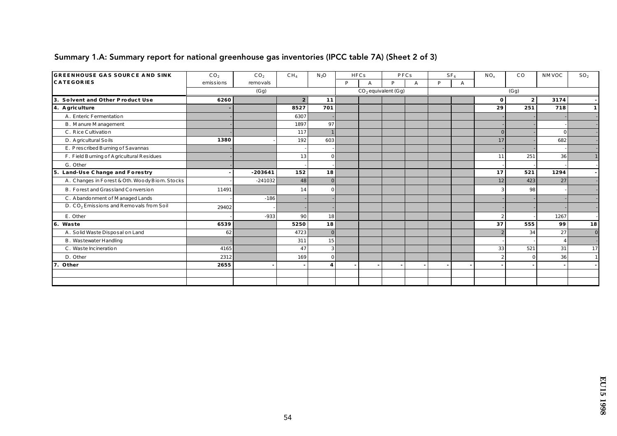| <b>GREENHOUSE GAS SOURCE AND SINK</b>               | CO <sub>2</sub> | CO <sub>2</sub> | CH <sub>4</sub>  | $N_2O$                  |   | <b>HFCs</b> |                       | PFCs |   | SF <sub>6</sub> | $NO_x$         | $_{\rm CO}$    | <b>NMVOC</b>           | SO <sub>2</sub> |
|-----------------------------------------------------|-----------------|-----------------|------------------|-------------------------|---|-------------|-----------------------|------|---|-----------------|----------------|----------------|------------------------|-----------------|
| <b>CATEGORIES</b>                                   | emissions       | remo vals       |                  |                         | P | A           | P                     | A    | P | $\mathbf{A}$    |                |                |                        |                 |
|                                                     |                 | (Gg)            |                  |                         |   |             | $CO2$ equivalent (Gg) |      |   |                 |                | (Gg)           |                        |                 |
| 3.<br>Solvent and Other Product Use                 | 6260            |                 | $\boldsymbol{2}$ | 11                      |   |             |                       |      |   |                 | $\bf{0}$       | 2 <sup>1</sup> | 3174                   |                 |
| 4. A griculture                                     |                 |                 | 8527             | 701                     |   |             |                       |      |   |                 | 29             | 251            | 718                    | 1               |
| A. Enteric Fermentation                             |                 |                 | 6307             |                         |   |             |                       |      |   |                 |                |                |                        |                 |
| <b>B.</b> Manure Management                         |                 |                 | 1897             | 97                      |   |             |                       |      |   |                 |                |                |                        |                 |
| C. Rice Cultivation                                 |                 |                 | 117              |                         |   |             |                       |      |   |                 | $\Omega$       |                |                        |                 |
| D. Agricultural Soils                               | 1380            |                 | 192              | 603                     |   |             |                       |      |   |                 | 17             |                | 682                    |                 |
| E. Prescribed Burning of Savannas                   |                 |                 |                  |                         |   |             |                       |      |   |                 |                |                |                        |                 |
| F. Field Burning of Agricultural Residues           |                 |                 | 13               | $\overline{0}$          |   |             |                       |      |   |                 | 11             | 251            | 36                     |                 |
| G. Other                                            |                 |                 |                  |                         |   |             |                       |      |   |                 |                |                |                        |                 |
| 5. Land-Use Change and Forestry                     |                 | $-203641$       | 152              | 18                      |   |             |                       |      |   |                 | 17             | 521            | 1294                   |                 |
| A. Changes in Forest & Oth. Woody Biom. Stocks      |                 | $-241032$       | 48               | $\mathbf{0}$            |   |             |                       |      |   |                 | 12             | 423            | 27                     |                 |
| B. Forest and Grassland Conversion                  | 11491           |                 | 14               | $\Omega$                |   |             |                       |      |   |                 |                | 98             |                        |                 |
| C. Abando nment of Managed Lands                    |                 | $-186$          |                  |                         |   |             |                       |      |   |                 |                |                |                        |                 |
| D. CO <sub>2</sub> Emissions and Removals from Soil | 29402           |                 |                  |                         |   |             |                       |      |   |                 |                |                |                        |                 |
| E. Other                                            |                 | $-933$          | 90               | 18                      |   |             |                       |      |   |                 | $\overline{2}$ |                | 1267                   |                 |
| 6. Waste                                            | 6539            |                 | 5250             | 18                      |   |             |                       |      |   |                 | 37             | 555            | 99                     | 18              |
| A. So lid Waste Disposal on Land                    | 62              |                 | 4723             | $\overline{0}$          |   |             |                       |      |   |                 |                | 34             | 27                     | $\bf{0}$        |
| B. Was tewater Handling                             |                 |                 | 311              | 15                      |   |             |                       |      |   |                 |                |                | $\boldsymbol{\Lambda}$ |                 |
| C. Was te Incineration                              | 4165            |                 | 47               | 3 <sup>l</sup>          |   |             |                       |      |   |                 | 33             | 521            | 31                     | 17              |
| D. Other                                            | 2312            |                 | 169              | $\Omega$                |   |             |                       |      |   |                 | $\overline{2}$ | $\Omega$       | 36                     |                 |
| 7.<br>Other                                         | 2655            |                 |                  | $\overline{\mathbf{4}}$ |   |             |                       |      |   |                 |                |                |                        |                 |
|                                                     |                 |                 |                  |                         |   |             |                       |      |   |                 |                |                |                        |                 |
|                                                     |                 |                 |                  |                         |   |             |                       |      |   |                 |                |                |                        |                 |

### Summary 1.A: Summary report for national greenhouse gas inventories (IPCC table 7A) (Sheet 2 of 3)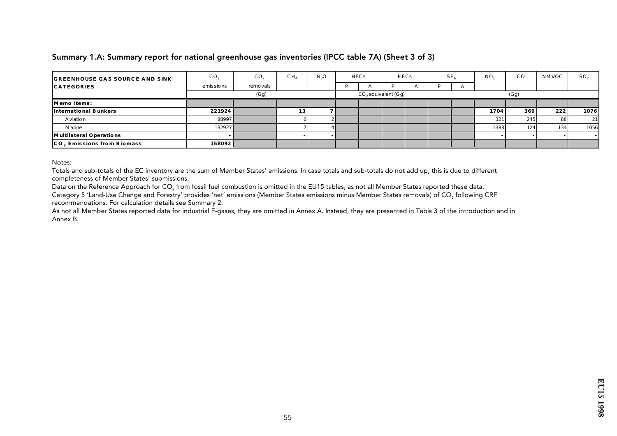#### Summary 1.A: Summary report for national greenhouse gas inventories (IPCC table 7A) (Sheet 3 of 3)

| <b>GREENHOUSE GAS SOURCE AND SINK</b> | CO <sub>2</sub> | CO <sub>2</sub> | CH <sub>4</sub> | N <sub>3</sub> O | <b>HFCs</b> |                       | PFCs | SF <sub>i</sub> | NO.  | $_{\rm CO}$ | NMVOC | SO <sub>2</sub> |
|---------------------------------------|-----------------|-----------------|-----------------|------------------|-------------|-----------------------|------|-----------------|------|-------------|-------|-----------------|
| <b>CATEGORIES</b>                     | e missions      | remo vals       |                 |                  |             |                       |      |                 |      |             |       |                 |
|                                       |                 | (Gg)            |                 |                  |             | $CO2$ equivalent (Gg) |      |                 |      | (Gg)        |       |                 |
| Memo Items:                           |                 |                 |                 |                  |             |                       |      |                 |      |             |       |                 |
| International Bunkers                 | 221924          |                 | 13              |                  |             |                       |      |                 | 1704 | 369         | 222   | 1076            |
| A viation                             | 88997           |                 |                 |                  |             |                       |      |                 | 321  | 245         | 88    | 21              |
| Marine                                | 132927          |                 |                 |                  |             |                       |      |                 | 1383 | 124         | 134   | 1056            |
| Multilateral Operations               |                 |                 |                 |                  |             |                       |      |                 |      |             |       |                 |
| CO. Emissions from Biomass            | 158092          |                 |                 |                  |             |                       |      |                 |      |             |       |                 |

Notes:

Totals and sub-totals of the EC inventory are the sum of Member States' emissions. In case totals and sub-totals do not add up, this is due to different completeness of Member States' submissions.

Data on the Reference Approach for CO<sub>2</sub> from fossil fuel combustion is omitted in the EU15 tables, as not all Member States reported these data.

Category 5 'Land-Use Change and Forestry' provides 'net' emissions (Member States emissions minus Member States removals) of CO, following CRF recommendations. For calculation details see Summary 2.

As not all Member States reported data for industrial F-gases, they are omitted in Annex A. Instead, they are presented in Table 3 of the introduction and in Annex B.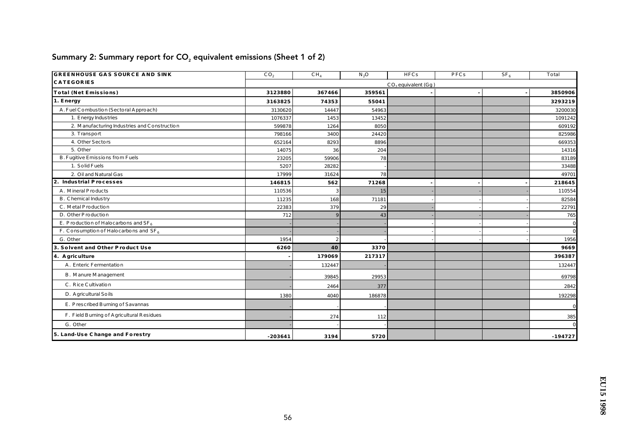| <b>GREENHOUSE GAS SOURCE AND SINK</b>        | CO <sub>2</sub> | CH <sub>4</sub> | $N_2$ O | HFCs                  | PFCs | $SF_6$ | To tal         |
|----------------------------------------------|-----------------|-----------------|---------|-----------------------|------|--------|----------------|
| <b>CATEGORIES</b>                            |                 |                 |         | $CO2$ equivalent (Gg) |      |        |                |
| Total (Net Emissions)                        | 3123880         | 367466          | 359561  |                       |      |        | 3850906        |
| 1. Energy                                    | 3163825         | 74353           | 55041   |                       |      |        | 3293219        |
| A. Fuel Combustion (Sectoral Approach)       | 3130620         | 14447           | 54963   |                       |      |        | 3200030        |
| 1. Energy Industries                         | 1076337         | 1453            | 13452   |                       |      |        | 1091242        |
| 2. Manufacturing Industries and Construction | 599878          | 1264            | 8050    |                       |      |        | 609192         |
| 3. Transport                                 | 798166          | 3400            | 24420   |                       |      |        | 825986         |
| 4. Other Sectors                             | 652164          | 8293            | 8896    |                       |      |        | 669353         |
| 5. Other                                     | 14075           | 36              | 204     |                       |      |        | 14316          |
| B. Fugitive Emissions from Fuels             | 23205           | 59906           | 78      |                       |      |        | 83189          |
| 1. So lid Fuels                              | 5207            | 28282           |         |                       |      |        | 33488          |
| 2. Oil and Natural Gas                       | 17999           | 31624           | 78      |                       |      |        | 49701          |
| Industrial Processes<br>2.                   | 146815          | 562             | 71268   |                       |      |        | 218645         |
| A. Mineral P roducts                         | 110536          | 3               | 15      |                       |      |        | 110554         |
| <b>B.</b> Chemical Industry                  | 11235           | 168             | 71181   |                       |      |        | 82584          |
| C. MetalProduction                           | 22383           | 379             | 29      |                       |      |        | 22791          |
| D. Other P ro duction                        | 712             |                 | 43      |                       |      |        | 765            |
| E. P ro duction of Halo c arbo ns and $SF_6$ |                 |                 |         |                       |      |        | $\mathbf{0}$   |
| F. Consumption of Halo carbons and $SF_6$    |                 |                 |         |                       |      |        | $\overline{0}$ |
| G. Other                                     | 1954            | $\overline{2}$  |         |                       |      |        | 1956           |
| 3. Solvent and Other Product Use             | 6260            | 40              | 3370    |                       |      |        | 9669           |
| 4. A griculture                              |                 | 179069          | 217317  |                       |      |        | 396387         |
| A. Enteric Fermentation                      |                 | 132447          |         |                       |      |        | 132447         |
| <b>B.</b> Manure Management                  |                 | 39845           | 29953   |                       |      |        | 69798          |
| C. Rice Cultivation                          |                 | 2464            | 377     |                       |      |        | 2842           |
| D. Agric ultural So ils                      | 1380            | 4040            | 186878  |                       |      |        | 192298         |
| E. Prescribed Burning of Savannas            |                 |                 |         |                       |      |        | $\mathbf{0}$   |
| F. Field Burning of Agric ultural Residues   |                 | 274             | 112     |                       |      |        | 385            |
| G. Other                                     |                 |                 |         |                       |      |        | $\Omega$       |
| 5. Land-Use Change and Forestry              | $-203641$       | 3194            | 5720    |                       |      |        | $-194727$      |

# Summary 2: Summary report for  $CO<sub>2</sub>$  equivalent emissions (Sheet 1 of 2)